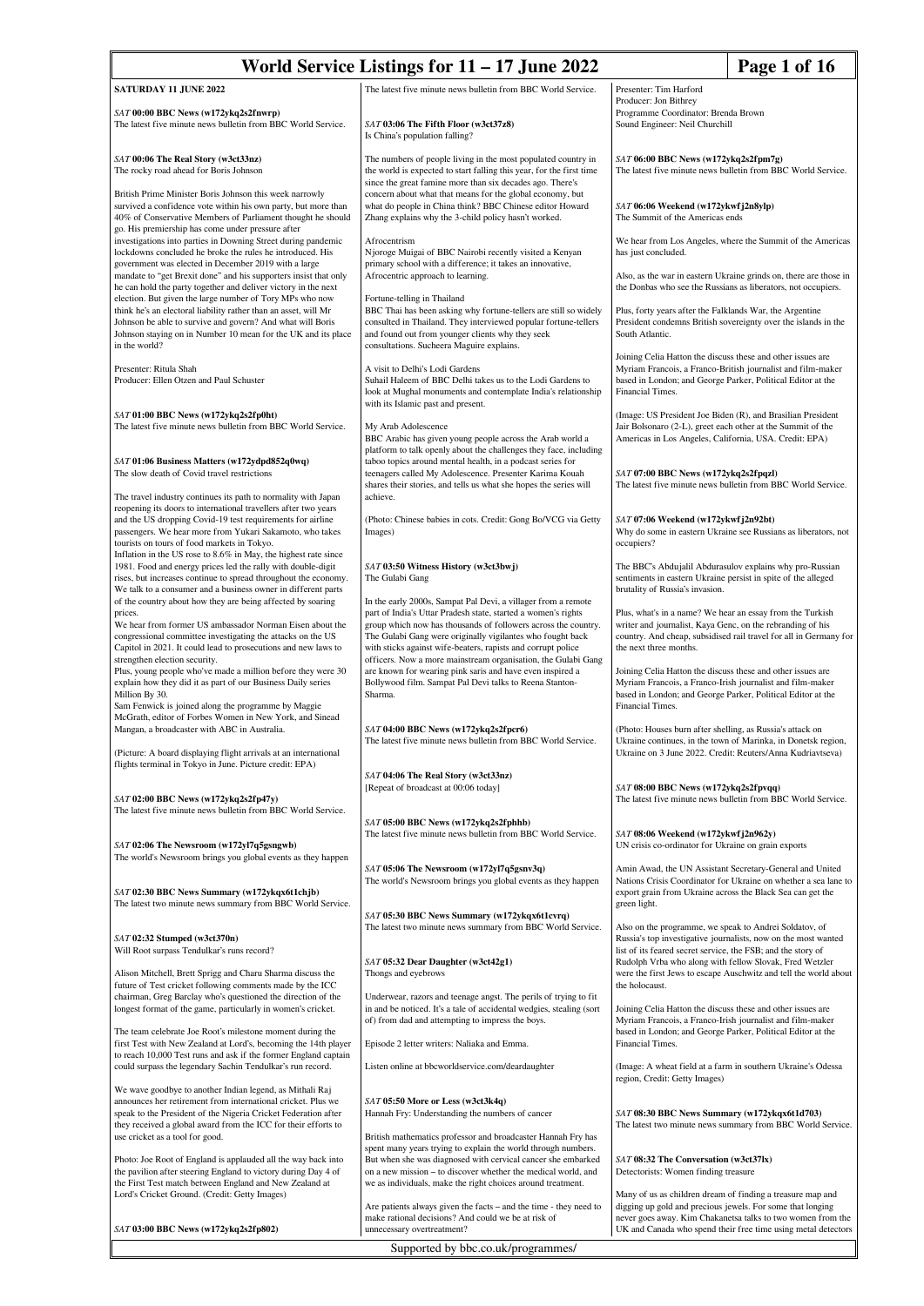| Page 1 of 16<br>World Service Listings for $11 - 17$ June 2022                                                                                                                                                  |                                                                                                                                                                                                                                      |                                                                                                                                                                                                             |                                                                                                                              |  |
|-----------------------------------------------------------------------------------------------------------------------------------------------------------------------------------------------------------------|--------------------------------------------------------------------------------------------------------------------------------------------------------------------------------------------------------------------------------------|-------------------------------------------------------------------------------------------------------------------------------------------------------------------------------------------------------------|------------------------------------------------------------------------------------------------------------------------------|--|
| SATURDAY 11 JUNE 2022                                                                                                                                                                                           | The latest five minute news bulletin from BBC World Service.                                                                                                                                                                         | Presenter: Tim Harford                                                                                                                                                                                      |                                                                                                                              |  |
| SAT 00:00 BBC News (w172ykq2s2fnwrp)                                                                                                                                                                            |                                                                                                                                                                                                                                      | Producer: Jon Bithrey<br>Programme Coordinator: Brenda Brown                                                                                                                                                |                                                                                                                              |  |
| The latest five minute news bulletin from BBC World Service.                                                                                                                                                    | SAT 03:06 The Fifth Floor (w3ct37z8)<br>Is China's population falling?                                                                                                                                                               | Sound Engineer: Neil Churchill                                                                                                                                                                              |                                                                                                                              |  |
| SAT 00:06 The Real Story (w3ct33nz)<br>The rocky road ahead for Boris Johnson                                                                                                                                   | The numbers of people living in the most populated country in<br>the world is expected to start falling this year, for the first time<br>since the great famine more than six decades ago. There's                                   | SAT 06:00 BBC News (w172ykq2s2fpm7g)<br>The latest five minute news bulletin from BBC World Service.                                                                                                        |                                                                                                                              |  |
| British Prime Minister Boris Johnson this week narrowly<br>survived a confidence vote within his own party, but more than<br>40% of Conservative Members of Parliament thought he should                        | concern about what that means for the global economy, but<br>what do people in China think? BBC Chinese editor Howard<br>Zhang explains why the 3-child policy hasn't worked.                                                        | SAT 06:06 Weekend (w172ykwfj2n8ylp)<br>The Summit of the Americas ends                                                                                                                                      |                                                                                                                              |  |
| go. His premiership has come under pressure after<br>investigations into parties in Downing Street during pandemic                                                                                              | Afrocentrism                                                                                                                                                                                                                         |                                                                                                                                                                                                             | We hear from Los Angeles, where the Summit of the Americas                                                                   |  |
| lockdowns concluded he broke the rules he introduced. His<br>government was elected in December 2019 with a large                                                                                               | Njoroge Muigai of BBC Nairobi recently visited a Kenyan<br>primary school with a difference; it takes an innovative,                                                                                                                 | has just concluded.                                                                                                                                                                                         |                                                                                                                              |  |
| mandate to "get Brexit done" and his supporters insist that only<br>he can hold the party together and deliver victory in the next                                                                              | Afrocentric approach to learning.                                                                                                                                                                                                    | Also, as the war in eastern Ukraine grinds on, there are those in<br>the Donbas who see the Russians as liberators, not occupiers.                                                                          |                                                                                                                              |  |
| election. But given the large number of Tory MPs who now                                                                                                                                                        | Fortune-telling in Thailand                                                                                                                                                                                                          |                                                                                                                                                                                                             |                                                                                                                              |  |
| think he's an electoral liability rather than an asset, will Mr<br>Johnson be able to survive and govern? And what will Boris<br>Johnson staying on in Number 10 mean for the UK and its place<br>in the world? | BBC Thai has been asking why fortune-tellers are still so widely<br>consulted in Thailand. They interviewed popular fortune-tellers<br>and found out from younger clients why they seek<br>consultations. Sucheera Maguire explains. | Plus, forty years after the Falklands War, the Argentine<br>President condemns British sovereignty over the islands in the<br>South Atlantic.                                                               |                                                                                                                              |  |
| Presenter: Ritula Shah                                                                                                                                                                                          | A visit to Delhi's Lodi Gardens                                                                                                                                                                                                      | Joining Celia Hatton the discuss these and other issues are<br>Myriam Francois, a Franco-British journalist and film-maker                                                                                  |                                                                                                                              |  |
| Producer: Ellen Otzen and Paul Schuster                                                                                                                                                                         | Suhail Haleem of BBC Delhi takes us to the Lodi Gardens to<br>look at Mughal monuments and contemplate India's relationship<br>with its Islamic past and present.                                                                    | based in London; and George Parker, Political Editor at the<br>Financial Times.                                                                                                                             |                                                                                                                              |  |
| SAT 01:00 BBC News (w172ykq2s2fp0ht)<br>The latest five minute news bulletin from BBC World Service.                                                                                                            | My Arab Adolescence                                                                                                                                                                                                                  | (Image: US President Joe Biden (R), and Brasilian President<br>Jair Bolsonaro (2-L), greet each other at the Summit of the                                                                                  |                                                                                                                              |  |
|                                                                                                                                                                                                                 | BBC Arabic has given young people across the Arab world a<br>platform to talk openly about the challenges they face, including                                                                                                       | Americas in Los Angeles, California, USA. Credit: EPA)                                                                                                                                                      |                                                                                                                              |  |
| SAT 01:06 Business Matters (w172ydpd852q0wq)<br>The slow death of Covid travel restrictions                                                                                                                     | taboo topics around mental health, in a podcast series for<br>teenagers called My Adolescence. Presenter Karima Kouah                                                                                                                | SAT 07:00 BBC News (w172ykq2s2fpqzl)                                                                                                                                                                        |                                                                                                                              |  |
| The travel industry continues its path to normality with Japan                                                                                                                                                  | shares their stories, and tells us what she hopes the series will<br>achieve.                                                                                                                                                        | The latest five minute news bulletin from BBC World Service.                                                                                                                                                |                                                                                                                              |  |
| reopening its doors to international travellers after two years                                                                                                                                                 |                                                                                                                                                                                                                                      |                                                                                                                                                                                                             |                                                                                                                              |  |
| and the US dropping Covid-19 test requirements for airline<br>passengers. We hear more from Yukari Sakamoto, who takes<br>tourists on tours of food markets in Tokyo.                                           | (Photo: Chinese babies in cots. Credit: Gong Bo/VCG via Getty<br>Images)                                                                                                                                                             | SAT 07:06 Weekend (w172ykwfj2n92bt)<br>Why do some in eastern Ukraine see Russians as liberators, not<br>occupiers?                                                                                         |                                                                                                                              |  |
| Inflation in the US rose to 8.6% in May, the highest rate since<br>1981. Food and energy prices led the rally with double-digit<br>rises, but increases continue to spread throughout the economy.              | SAT 03:50 Witness History (w3ct3bwj)<br>The Gulabi Gang                                                                                                                                                                              | The BBC's Abdujalil Abdurasulov explains why pro-Russian<br>sentiments in eastern Ukraine persist in spite of the alleged                                                                                   |                                                                                                                              |  |
| We talk to a consumer and a business owner in different parts<br>of the country about how they are being affected by soaring                                                                                    | In the early 2000s, Sampat Pal Devi, a villager from a remote                                                                                                                                                                        | brutality of Russia's invasion.                                                                                                                                                                             |                                                                                                                              |  |
| prices.<br>We hear from former US ambassador Norman Eisen about the                                                                                                                                             | part of India's Uttar Pradesh state, started a women's rights<br>group which now has thousands of followers across the country.                                                                                                      | Plus, what's in a name? We hear an essay from the Turkish<br>writer and journalist, Kaya Genc, on the rebranding of his                                                                                     |                                                                                                                              |  |
| congressional committee investigating the attacks on the US<br>Capitol in 2021. It could lead to prosecutions and new laws to                                                                                   | The Gulabi Gang were originally vigilantes who fought back<br>with sticks against wife-beaters, rapists and corrupt police                                                                                                           | the next three months.                                                                                                                                                                                      | country. And cheap, subsidised rail travel for all in Germany for                                                            |  |
| strengthen election security.<br>Plus, young people who've made a million before they were 30                                                                                                                   | officers. Now a more mainstream organisation, the Gulabi Gang                                                                                                                                                                        |                                                                                                                                                                                                             |                                                                                                                              |  |
| explain how they did it as part of our Business Daily series<br>Million By 30.<br>Sam Fenwick is joined along the programme by Maggie                                                                           | are known for wearing pink saris and have even inspired a<br>Bollywood film. Sampat Pal Devi talks to Reena Stanton-<br>Sharma.                                                                                                      | Joining Celia Hatton the discuss these and other issues are<br>Myriam Francois, a Franco-Irish journalist and film-maker<br>based in London; and George Parker, Political Editor at the<br>Financial Times. |                                                                                                                              |  |
| McGrath, editor of Forbes Women in New York, and Sinead                                                                                                                                                         |                                                                                                                                                                                                                                      |                                                                                                                                                                                                             |                                                                                                                              |  |
| Mangan, a broadcaster with ABC in Australia.                                                                                                                                                                    | SAT 04:00 BBC News (w172ykq2s2fpcr6)<br>The latest five minute news bulletin from BBC World Service.                                                                                                                                 | (Photo: Houses burn after shelling, as Russia's attack on<br>Ukraine continues, in the town of Marinka, in Donetsk region,                                                                                  |                                                                                                                              |  |
| (Picture: A board displaying flight arrivals at an international<br>flights terminal in Tokyo in June. Picture credit: EPA)                                                                                     |                                                                                                                                                                                                                                      | Ukraine on 3 June 2022. Credit: Reuters/Anna Kudriavtseva)                                                                                                                                                  |                                                                                                                              |  |
|                                                                                                                                                                                                                 | SAT 04:06 The Real Story (w3ct33nz)<br>[Repeat of broadcast at 00:06 today]                                                                                                                                                          | SAT 08:00 BBC News (w172ykq2s2fpvqq)                                                                                                                                                                        |                                                                                                                              |  |
| SAT 02:00 BBC News (w172ykq2s2fp47y)<br>The latest five minute news bulletin from BBC World Service.                                                                                                            |                                                                                                                                                                                                                                      | The latest five minute news bulletin from BBC World Service.                                                                                                                                                |                                                                                                                              |  |
|                                                                                                                                                                                                                 | SAT 05:00 BBC News (w172ykq2s2fphhb)                                                                                                                                                                                                 |                                                                                                                                                                                                             |                                                                                                                              |  |
| SAT 02:06 The Newsroom (w172yl7q5gsngwb)                                                                                                                                                                        | The latest five minute news bulletin from BBC World Service.                                                                                                                                                                         | SAT 08:06 Weekend (w172ykwfj2n962y)<br>UN crisis co-ordinator for Ukraine on grain exports                                                                                                                  |                                                                                                                              |  |
| The world's Newsroom brings you global events as they happen                                                                                                                                                    | SAT 05:06 The Newsroom (w172yl7q5gsnv3q)                                                                                                                                                                                             | Amin Awad, the UN Assistant Secretary-General and United                                                                                                                                                    |                                                                                                                              |  |
| SAT 02:30 BBC News Summary (w172ykqx6t1chjb)                                                                                                                                                                    | The world's Newsroom brings you global events as they happen                                                                                                                                                                         | export grain from Ukraine across the Black Sea can get the                                                                                                                                                  | Nations Crisis Coordinator for Ukraine on whether a sea lane to                                                              |  |
| The latest two minute news summary from BBC World Service.                                                                                                                                                      | SAT 05:30 BBC News Summary (w172ykqx6t1cvrq)                                                                                                                                                                                         | green light.                                                                                                                                                                                                |                                                                                                                              |  |
| SAT 02:32 Stumped (w3ct370n)                                                                                                                                                                                    | The latest two minute news summary from BBC World Service.                                                                                                                                                                           | Also on the programme, we speak to Andrei Soldatov, of<br>Russia's top investigative journalists, now on the most wanted                                                                                    |                                                                                                                              |  |
| Will Root surpass Tendulkar's runs record?                                                                                                                                                                      | SAT 05:32 Dear Daughter (w3ct42g1)                                                                                                                                                                                                   | list of its feared secret service, the FSB; and the story of<br>Rudolph Vrba who along with fellow Slovak, Fred Wetzler                                                                                     |                                                                                                                              |  |
| Alison Mitchell, Brett Sprigg and Charu Sharma discuss the                                                                                                                                                      | Thongs and eyebrows                                                                                                                                                                                                                  |                                                                                                                                                                                                             | were the first Jews to escape Auschwitz and tell the world about                                                             |  |
| future of Test cricket following comments made by the ICC<br>chairman, Greg Barclay who's questioned the direction of the                                                                                       | Underwear, razors and teenage angst. The perils of trying to fit                                                                                                                                                                     | the holocaust.                                                                                                                                                                                              |                                                                                                                              |  |
| longest format of the game, particularly in women's cricket.                                                                                                                                                    | in and be noticed. It's a tale of accidental wedgies, stealing (sort<br>of) from dad and attempting to impress the boys.                                                                                                             | Joining Celia Hatton the discuss these and other issues are<br>Myriam Francois, a Franco-Irish journalist and film-maker                                                                                    |                                                                                                                              |  |
| The team celebrate Joe Root's milestone moment during the                                                                                                                                                       |                                                                                                                                                                                                                                      | based in London; and George Parker, Political Editor at the                                                                                                                                                 |                                                                                                                              |  |
| first Test with New Zealand at Lord's, becoming the 14th player<br>to reach 10,000 Test runs and ask if the former England captain                                                                              | Episode 2 letter writers: Naliaka and Emma.                                                                                                                                                                                          | Financial Times.                                                                                                                                                                                            |                                                                                                                              |  |
| could surpass the legendary Sachin Tendulkar's run record.                                                                                                                                                      | Listen online at bbcworldservice.com/deardaughter                                                                                                                                                                                    | (Image: A wheat field at a farm in southern Ukraine's Odessa<br>region, Credit: Getty Images)                                                                                                               |                                                                                                                              |  |
| We wave goodbye to another Indian legend, as Mithali Raj<br>announces her retirement from international cricket. Plus we                                                                                        | SAT 05:50 More or Less (w3ct3k4q)                                                                                                                                                                                                    |                                                                                                                                                                                                             |                                                                                                                              |  |
| speak to the President of the Nigeria Cricket Federation after<br>they received a global award from the ICC for their efforts to                                                                                | Hannah Fry: Understanding the numbers of cancer                                                                                                                                                                                      | SAT 08:30 BBC News Summary (w172ykqx6t1d703)                                                                                                                                                                | The latest two minute news summary from BBC World Service.                                                                   |  |
| use cricket as a tool for good.                                                                                                                                                                                 | British mathematics professor and broadcaster Hannah Fry has                                                                                                                                                                         |                                                                                                                                                                                                             |                                                                                                                              |  |
| Photo: Joe Root of England is applauded all the way back into                                                                                                                                                   | spent many years trying to explain the world through numbers.<br>But when she was diagnosed with cervical cancer she embarked                                                                                                        | SAT 08:32 The Conversation (w3ct37lx)                                                                                                                                                                       |                                                                                                                              |  |
| the pavilion after steering England to victory during Day 4 of<br>the First Test match between England and New Zealand at                                                                                       | on a new mission - to discover whether the medical world, and<br>we as individuals, make the right choices around treatment.                                                                                                         | Detectorists: Women finding treasure                                                                                                                                                                        |                                                                                                                              |  |
| Lord's Cricket Ground. (Credit: Getty Images)                                                                                                                                                                   | Are patients always given the facts - and the time - they need to                                                                                                                                                                    | Many of us as children dream of finding a treasure map and<br>digging up gold and precious jewels. For some that longing                                                                                    |                                                                                                                              |  |
| SAT 03:00 BBC News (w172ykq2s2fp802)                                                                                                                                                                            | make rational decisions? And could we be at risk of<br>unnecessary overtreatment?                                                                                                                                                    |                                                                                                                                                                                                             | never goes away. Kim Chakanetsa talks to two women from the<br>UK and Canada who spend their free time using metal detectors |  |
|                                                                                                                                                                                                                 | Supported by bbc.co.uk/programmes/                                                                                                                                                                                                   |                                                                                                                                                                                                             |                                                                                                                              |  |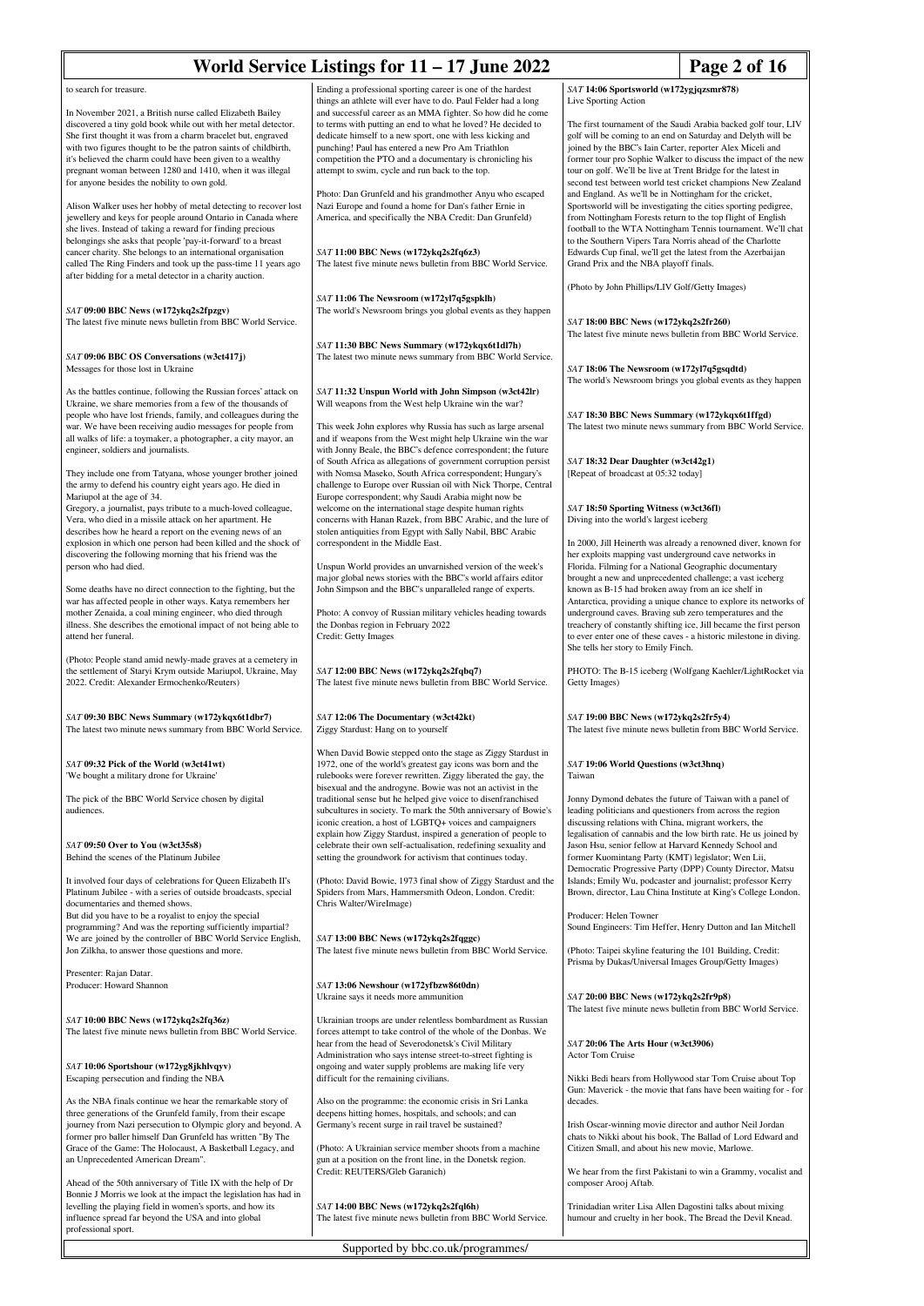|                                                                                                                                                                                                                                                                                                                                                                                                                                           | World Service Listings for 11 - 17 June 2022                                                                                                                                                                                                                                                                                                                                                                                    | Page 2 of 16                                                                                                                                                                                                                                                                                                                                                                                   |  |
|-------------------------------------------------------------------------------------------------------------------------------------------------------------------------------------------------------------------------------------------------------------------------------------------------------------------------------------------------------------------------------------------------------------------------------------------|---------------------------------------------------------------------------------------------------------------------------------------------------------------------------------------------------------------------------------------------------------------------------------------------------------------------------------------------------------------------------------------------------------------------------------|------------------------------------------------------------------------------------------------------------------------------------------------------------------------------------------------------------------------------------------------------------------------------------------------------------------------------------------------------------------------------------------------|--|
| to search for treasure.                                                                                                                                                                                                                                                                                                                                                                                                                   | Ending a professional sporting career is one of the hardest                                                                                                                                                                                                                                                                                                                                                                     | SAT 14:06 Sportsworld (w172ygjqzsmr878)<br>Live Sporting Action                                                                                                                                                                                                                                                                                                                                |  |
| In November 2021, a British nurse called Elizabeth Bailey<br>discovered a tiny gold book while out with her metal detector.<br>She first thought it was from a charm bracelet but, engraved<br>with two figures thought to be the patron saints of childbirth,<br>it's believed the charm could have been given to a wealthy<br>pregnant woman between 1280 and 1410, when it was illegal<br>for anyone besides the nobility to own gold. | things an athlete will ever have to do. Paul Felder had a long<br>and successful career as an MMA fighter. So how did he come<br>to terms with putting an end to what he loved? He decided to<br>dedicate himself to a new sport, one with less kicking and<br>punching! Paul has entered a new Pro Am Triathlon<br>competition the PTO and a documentary is chronicling his<br>attempt to swim, cycle and run back to the top. | The first tournament of the Saudi Arabia backed golf tour, LIV<br>golf will be coming to an end on Saturday and Delyth will be<br>joined by the BBC's Iain Carter, reporter Alex Miceli and<br>former tour pro Sophie Walker to discuss the impact of the new<br>tour on golf. We'll be live at Trent Bridge for the latest in<br>second test between world test cricket champions New Zealand |  |
| Alison Walker uses her hobby of metal detecting to recover lost<br>jewellery and keys for people around Ontario in Canada where<br>she lives. Instead of taking a reward for finding precious<br>belongings she asks that people 'pay-it-forward' to a breast<br>cancer charity. She belongs to an international organisation                                                                                                             | Photo: Dan Grunfeld and his grandmother Anyu who escaped<br>Nazi Europe and found a home for Dan's father Ernie in<br>America, and specifically the NBA Credit: Dan Grunfeld)<br>SAT 11:00 BBC News (w172ykq2s2fq6z3)                                                                                                                                                                                                           | and England. As we'll be in Nottingham for the cricket,<br>Sportsworld will be investigating the cities sporting pedigree,<br>from Nottingham Forests return to the top flight of English<br>football to the WTA Nottingham Tennis tournament. We'll chat<br>to the Southern Vipers Tara Norris ahead of the Charlotte<br>Edwards Cup final, we'll get the latest from the Azerbaijan          |  |
| called The Ring Finders and took up the pass-time 11 years ago<br>after bidding for a metal detector in a charity auction.                                                                                                                                                                                                                                                                                                                | The latest five minute news bulletin from BBC World Service.                                                                                                                                                                                                                                                                                                                                                                    | Grand Prix and the NBA playoff finals.<br>(Photo by John Phillips/LIV Golf/Getty Images)                                                                                                                                                                                                                                                                                                       |  |
| SAT 09:00 BBC News (w172ykq2s2fpzgv)<br>The latest five minute news bulletin from BBC World Service.                                                                                                                                                                                                                                                                                                                                      | SAT 11:06 The Newsroom (w172yl7q5gspklh)<br>The world's Newsroom brings you global events as they happen                                                                                                                                                                                                                                                                                                                        | SAT 18:00 BBC News (w172ykq2s2fr260)<br>The latest five minute news bulletin from BBC World Service.                                                                                                                                                                                                                                                                                           |  |
| SAT 09:06 BBC OS Conversations (w3ct417j)<br>Messages for those lost in Ukraine                                                                                                                                                                                                                                                                                                                                                           | SAT 11:30 BBC News Summary (w172ykqx6t1dl7h)<br>The latest two minute news summary from BBC World Service.                                                                                                                                                                                                                                                                                                                      | SAT 18:06 The Newsroom (w172yl7q5gsqdtd)                                                                                                                                                                                                                                                                                                                                                       |  |
| As the battles continue, following the Russian forces' attack on<br>Ukraine, we share memories from a few of the thousands of<br>people who have lost friends, family, and colleagues during the                                                                                                                                                                                                                                          | SAT 11:32 Unspun World with John Simpson (w3ct42lr)<br>Will weapons from the West help Ukraine win the war?                                                                                                                                                                                                                                                                                                                     | The world's Newsroom brings you global events as they happen<br>SAT 18:30 BBC News Summary (w172ykqx6t1ffgd)                                                                                                                                                                                                                                                                                   |  |
| war. We have been receiving audio messages for people from<br>all walks of life: a toymaker, a photographer, a city mayor, an<br>engineer, soldiers and journalists.                                                                                                                                                                                                                                                                      | This week John explores why Russia has such as large arsenal<br>and if weapons from the West might help Ukraine win the war<br>with Jonny Beale, the BBC's defence correspondent; the future                                                                                                                                                                                                                                    | The latest two minute news summary from BBC World Service.                                                                                                                                                                                                                                                                                                                                     |  |
| They include one from Tatyana, whose younger brother joined<br>the army to defend his country eight years ago. He died in<br>Mariupol at the age of 34.                                                                                                                                                                                                                                                                                   | of South Africa as allegations of government corruption persist<br>with Nomsa Maseko, South Africa correspondent; Hungary's<br>challenge to Europe over Russian oil with Nick Thorpe, Central<br>Europe correspondent; why Saudi Arabia might now be                                                                                                                                                                            | SAT 18:32 Dear Daughter (w3ct42g1)<br>[Repeat of broadcast at 05:32 today]                                                                                                                                                                                                                                                                                                                     |  |
| Gregory, a journalist, pays tribute to a much-loved colleague,<br>Vera, who died in a missile attack on her apartment. He<br>describes how he heard a report on the evening news of an                                                                                                                                                                                                                                                    | welcome on the international stage despite human rights<br>concerns with Hanan Razek, from BBC Arabic, and the lure of<br>stolen antiquities from Egypt with Sally Nabil, BBC Arabic                                                                                                                                                                                                                                            | SAT 18:50 Sporting Witness (w3ct36fl)<br>Diving into the world's largest iceberg                                                                                                                                                                                                                                                                                                               |  |
| explosion in which one person had been killed and the shock of<br>discovering the following morning that his friend was the<br>person who had died.                                                                                                                                                                                                                                                                                       | correspondent in the Middle East.<br>Unspun World provides an unvarnished version of the week's<br>major global news stories with the BBC's world affairs editor                                                                                                                                                                                                                                                                | In 2000, Jill Heinerth was already a renowned diver, known for<br>her exploits mapping vast underground cave networks in<br>Florida. Filming for a National Geographic documentary<br>brought a new and unprecedented challenge; a vast iceberg                                                                                                                                                |  |
| Some deaths have no direct connection to the fighting, but the<br>war has affected people in other ways. Katya remembers her<br>mother Zenaida, a coal mining engineer, who died through<br>illness. She describes the emotional impact of not being able to<br>attend her funeral.                                                                                                                                                       | John Simpson and the BBC's unparalleled range of experts.<br>Photo: A convoy of Russian military vehicles heading towards<br>the Donbas region in February 2022<br>Credit: Getty Images                                                                                                                                                                                                                                         | known as B-15 had broken away from an ice shelf in<br>Antarctica, providing a unique chance to explore its networks of<br>underground caves. Braving sub zero temperatures and the<br>treachery of constantly shifting ice, Jill became the first person<br>to ever enter one of these caves - a historic milestone in diving.                                                                 |  |
| (Photo: People stand amid newly-made graves at a cemetery in<br>the settlement of Staryi Krym outside Mariupol, Ukraine, May<br>2022. Credit: Alexander Ermochenko/Reuters)                                                                                                                                                                                                                                                               | SAT 12:00 BBC News (w172ykq2s2fqbq7)<br>The latest five minute news bulletin from BBC World Service.                                                                                                                                                                                                                                                                                                                            | She tells her story to Emily Finch.<br>PHOTO: The B-15 iceberg (Wolfgang Kaehler/LightRocket via<br>Getty Images)                                                                                                                                                                                                                                                                              |  |
| SAT 09:30 BBC News Summary (w172ykqx6t1dbr7)<br>The latest two minute news summary from BBC World Service.                                                                                                                                                                                                                                                                                                                                | SAT 12:06 The Documentary (w3ct42kt)<br>Ziggy Stardust: Hang on to yourself                                                                                                                                                                                                                                                                                                                                                     | SAT 19:00 BBC News (w172ykq2s2fr5y4)<br>The latest five minute news bulletin from BBC World Service.                                                                                                                                                                                                                                                                                           |  |
| SAT 09:32 Pick of the World (w3ct41wt)<br>'We bought a military drone for Ukraine'                                                                                                                                                                                                                                                                                                                                                        | When David Bowie stepped onto the stage as Ziggy Stardust in<br>1972, one of the world's greatest gay icons was born and the<br>rulebooks were forever rewritten. Ziggy liberated the gay, the<br>bisexual and the androgyne. Bowie was not an activist in the                                                                                                                                                                  | SAT 19:06 World Questions (w3ct3hnq)<br>Taiwan                                                                                                                                                                                                                                                                                                                                                 |  |
| The pick of the BBC World Service chosen by digital<br>audiences.                                                                                                                                                                                                                                                                                                                                                                         | traditional sense but he helped give voice to disenfranchised<br>subcultures in society. To mark the 50th anniversary of Bowie's<br>iconic creation, a host of LGBTQ+ voices and campaigners<br>explain how Ziggy Stardust, inspired a generation of people to                                                                                                                                                                  | Jonny Dymond debates the future of Taiwan with a panel of<br>leading politicians and questioners from across the region<br>discussing relations with China, migrant workers, the<br>legalisation of cannabis and the low birth rate. He us joined by                                                                                                                                           |  |
| $SAT$ 09:50 Over to You (w3ct35s8)<br>Behind the scenes of the Platinum Jubilee                                                                                                                                                                                                                                                                                                                                                           | celebrate their own self-actualisation, redefining sexuality and<br>setting the groundwork for activism that continues today.                                                                                                                                                                                                                                                                                                   | Jason Hsu, senior fellow at Harvard Kennedy School and<br>former Kuomintang Party (KMT) legislator; Wen Lii,<br>Democratic Progressive Party (DPP) County Director, Matsu                                                                                                                                                                                                                      |  |
| It involved four days of celebrations for Queen Elizabeth II's<br>Platinum Jubilee - with a series of outside broadcasts, special<br>documentaries and themed shows.<br>But did you have to be a royalist to enjoy the special                                                                                                                                                                                                            | (Photo: David Bowie, 1973 final show of Ziggy Stardust and the<br>Spiders from Mars, Hammersmith Odeon, London. Credit:<br>Chris Walter/WireImage)                                                                                                                                                                                                                                                                              | Islands; Emily Wu, podcaster and journalist; professor Kerry<br>Brown, director, Lau China Institute at King's College London.<br>Producer: Helen Towner                                                                                                                                                                                                                                       |  |
| programming? And was the reporting sufficiently impartial?<br>We are joined by the controller of BBC World Service English,<br>Jon Zilkha, to answer those questions and more.                                                                                                                                                                                                                                                            | SAT 13:00 BBC News (w172ykq2s2fqggc)<br>The latest five minute news bulletin from BBC World Service.                                                                                                                                                                                                                                                                                                                            | Sound Engineers: Tim Heffer, Henry Dutton and Ian Mitchell<br>(Photo: Taipei skyline featuring the 101 Building, Credit:                                                                                                                                                                                                                                                                       |  |
| Presenter: Rajan Datar.<br>Producer: Howard Shannon                                                                                                                                                                                                                                                                                                                                                                                       | SAT 13:06 Newshour (w172yfbzw86t0dn)<br>Ukraine says it needs more ammunition                                                                                                                                                                                                                                                                                                                                                   | Prisma by Dukas/Universal Images Group/Getty Images)<br>SAT 20:00 BBC News (w172ykq2s2fr9p8)                                                                                                                                                                                                                                                                                                   |  |
| SAT 10:00 BBC News (w172ykq2s2fq36z)<br>The latest five minute news bulletin from BBC World Service.                                                                                                                                                                                                                                                                                                                                      | Ukrainian troops are under relentless bombardment as Russian<br>forces attempt to take control of the whole of the Donbas. We<br>hear from the head of Severodonetsk's Civil Military                                                                                                                                                                                                                                           | The latest five minute news bulletin from BBC World Service.<br>SAT 20:06 The Arts Hour (w3ct3906)                                                                                                                                                                                                                                                                                             |  |
| SAT 10:06 Sportshour (w172yg8jkhlvqyv)<br>Escaping persecution and finding the NBA                                                                                                                                                                                                                                                                                                                                                        | Administration who says intense street-to-street fighting is<br>ongoing and water supply problems are making life very<br>difficult for the remaining civilians.                                                                                                                                                                                                                                                                | <b>Actor Tom Cruise</b><br>Nikki Bedi hears from Hollywood star Tom Cruise about Top                                                                                                                                                                                                                                                                                                           |  |
| As the NBA finals continue we hear the remarkable story of<br>three generations of the Grunfeld family, from their escape<br>journey from Nazi persecution to Olympic glory and beyond. A<br>former pro baller himself Dan Grunfeld has written "By The                                                                                                                                                                                   | Also on the programme: the economic crisis in Sri Lanka<br>deepens hitting homes, hospitals, and schools; and can<br>Germany's recent surge in rail travel be sustained?                                                                                                                                                                                                                                                        | Gun: Maverick - the movie that fans have been waiting for - for<br>decades.<br>Irish Oscar-winning movie director and author Neil Jordan<br>chats to Nikki about his book, The Ballad of Lord Edward and                                                                                                                                                                                       |  |
| Grace of the Game: The Holocaust, A Basketball Legacy, and<br>an Unprecedented American Dream".                                                                                                                                                                                                                                                                                                                                           | (Photo: A Ukrainian service member shoots from a machine<br>gun at a position on the front line, in the Donetsk region.<br>Credit: REUTERS/Gleb Garanich)                                                                                                                                                                                                                                                                       | Citizen Small, and about his new movie, Marlowe.<br>We hear from the first Pakistani to win a Grammy, vocalist and                                                                                                                                                                                                                                                                             |  |
| Ahead of the 50th anniversary of Title IX with the help of Dr<br>Bonnie J Morris we look at the impact the legislation has had in<br>levelling the playing field in women's sports, and how its<br>influence spread far beyond the USA and into global<br>professional sport.                                                                                                                                                             | SAT 14:00 BBC News (w172ykq2s2fql6h)<br>The latest five minute news bulletin from BBC World Service.                                                                                                                                                                                                                                                                                                                            | composer Arooj Aftab.<br>Trinidadian writer Lisa Allen Dagostini talks about mixing<br>humour and cruelty in her book, The Bread the Devil Knead.                                                                                                                                                                                                                                              |  |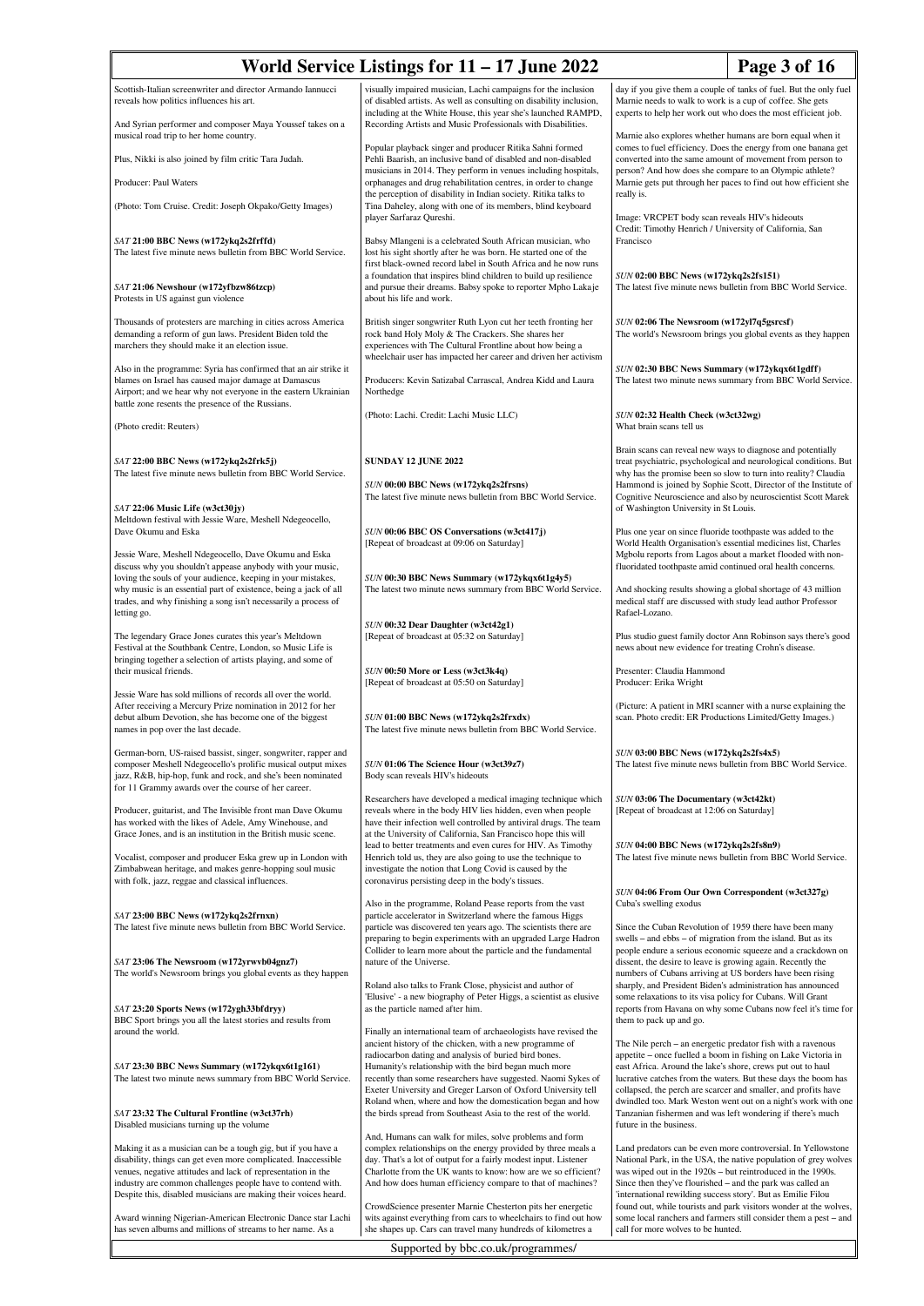| World Service Listings for $11 - 17$ June 2022<br>Page 3 of 16                                                                                                                                                                                                 |                                                                                                                                                                                                                                                                                                                            |                                                                                                                                                                                                                                                                                                                                 |  |
|----------------------------------------------------------------------------------------------------------------------------------------------------------------------------------------------------------------------------------------------------------------|----------------------------------------------------------------------------------------------------------------------------------------------------------------------------------------------------------------------------------------------------------------------------------------------------------------------------|---------------------------------------------------------------------------------------------------------------------------------------------------------------------------------------------------------------------------------------------------------------------------------------------------------------------------------|--|
| Scottish-Italian screenwriter and director Armando Iannucci<br>reveals how politics influences his art.                                                                                                                                                        | visually impaired musician, Lachi campaigns for the inclusion<br>of disabled artists. As well as consulting on disability inclusion,<br>including at the White House, this year she's launched RAMPD,                                                                                                                      | day if you give them a couple of tanks of fuel. But the only fuel<br>Marnie needs to walk to work is a cup of coffee. She gets<br>experts to help her work out who does the most efficient job.                                                                                                                                 |  |
| And Syrian performer and composer Maya Youssef takes on a<br>musical road trip to her home country.                                                                                                                                                            | Recording Artists and Music Professionals with Disabilities.<br>Popular playback singer and producer Ritika Sahni formed                                                                                                                                                                                                   | Marnie also explores whether humans are born equal when it<br>comes to fuel efficiency. Does the energy from one banana get                                                                                                                                                                                                     |  |
| Plus, Nikki is also joined by film critic Tara Judah.                                                                                                                                                                                                          | Pehli Baarish, an inclusive band of disabled and non-disabled<br>musicians in 2014. They perform in venues including hospitals,                                                                                                                                                                                            | converted into the same amount of movement from person to<br>person? And how does she compare to an Olympic athlete?                                                                                                                                                                                                            |  |
| Producer: Paul Waters                                                                                                                                                                                                                                          | orphanages and drug rehabilitation centres, in order to change<br>the perception of disability in Indian society. Ritika talks to                                                                                                                                                                                          | Marnie gets put through her paces to find out how efficient she<br>really is.                                                                                                                                                                                                                                                   |  |
| (Photo: Tom Cruise. Credit: Joseph Okpako/Getty Images)                                                                                                                                                                                                        | Tina Daheley, along with one of its members, blind keyboard<br>player Sarfaraz Qureshi.                                                                                                                                                                                                                                    | Image: VRCPET body scan reveals HIV's hideouts<br>Credit: Timothy Henrich / University of California, San                                                                                                                                                                                                                       |  |
| SAT 21:00 BBC News (w172ykq2s2frffd)<br>The latest five minute news bulletin from BBC World Service.                                                                                                                                                           | Babsy Mlangeni is a celebrated South African musician, who<br>lost his sight shortly after he was born. He started one of the<br>first black-owned record label in South Africa and he now runs<br>a foundation that inspires blind children to build up resilience                                                        | Francisco<br>SUN 02:00 BBC News (w172ykq2s2fs151)<br>The latest five minute news bulletin from BBC World Service.                                                                                                                                                                                                               |  |
| SAT 21:06 Newshour (w172yfbzw86tzcp)<br>Protests in US against gun violence                                                                                                                                                                                    | and pursue their dreams. Babsy spoke to reporter Mpho Lakaje<br>about his life and work.                                                                                                                                                                                                                                   |                                                                                                                                                                                                                                                                                                                                 |  |
| Thousands of protesters are marching in cities across America<br>demanding a reform of gun laws. President Biden told the<br>marchers they should make it an election issue.                                                                                   | British singer songwriter Ruth Lyon cut her teeth fronting her<br>rock band Holy Moly & The Crackers. She shares her<br>experiences with The Cultural Frontline about how being a<br>wheelchair user has impacted her career and driven her activism                                                                       | SUN 02:06 The Newsroom (w172yl7q5gsrcsf)<br>The world's Newsroom brings you global events as they happen                                                                                                                                                                                                                        |  |
| Also in the programme: Syria has confirmed that an air strike it<br>blames on Israel has caused major damage at Damascus<br>Airport; and we hear why not everyone in the eastern Ukrainian<br>battle zone resents the presence of the Russians.                | Producers: Kevin Satizabal Carrascal, Andrea Kidd and Laura<br>Northedge                                                                                                                                                                                                                                                   | SUN 02:30 BBC News Summary (w172ykqx6t1gdff)<br>The latest two minute news summary from BBC World Service.                                                                                                                                                                                                                      |  |
| (Photo credit: Reuters)                                                                                                                                                                                                                                        | (Photo: Lachi. Credit: Lachi Music LLC)                                                                                                                                                                                                                                                                                    | SUN 02:32 Health Check (w3ct32wg)<br>What brain scans tell us                                                                                                                                                                                                                                                                   |  |
| SAT 22:00 BBC News (w172ykq2s2frk5j)<br>The latest five minute news bulletin from BBC World Service.                                                                                                                                                           | <b>SUNDAY 12 JUNE 2022</b>                                                                                                                                                                                                                                                                                                 | Brain scans can reveal new ways to diagnose and potentially<br>treat psychiatric, psychological and neurological conditions. But<br>why has the promise been so slow to turn into reality? Claudia                                                                                                                              |  |
| $SAT$ 22:06 Music Life (w3ct30jy)                                                                                                                                                                                                                              | SUN 00:00 BBC News (w172ykq2s2frsns)<br>The latest five minute news bulletin from BBC World Service.                                                                                                                                                                                                                       | Hammond is joined by Sophie Scott, Director of the Institute of<br>Cognitive Neuroscience and also by neuroscientist Scott Marek<br>of Washington University in St Louis.                                                                                                                                                       |  |
| Meltdown festival with Jessie Ware, Meshell Ndegeocello,<br>Dave Okumu and Eska                                                                                                                                                                                | SUN 00:06 BBC OS Conversations (w3ct417j)<br>[Repeat of broadcast at 09:06 on Saturday]                                                                                                                                                                                                                                    | Plus one year on since fluoride toothpaste was added to the<br>World Health Organisation's essential medicines list, Charles                                                                                                                                                                                                    |  |
| Jessie Ware, Meshell Ndegeocello, Dave Okumu and Eska<br>discuss why you shouldn't appease anybody with your music,<br>loving the souls of your audience, keeping in your mistakes,                                                                            | SUN 00:30 BBC News Summary (w172ykqx6t1g4y5)                                                                                                                                                                                                                                                                               | Mgbolu reports from Lagos about a market flooded with non-<br>fluoridated toothpaste amid continued oral health concerns.                                                                                                                                                                                                       |  |
| why music is an essential part of existence, being a jack of all<br>trades, and why finishing a song isn't necessarily a process of<br>letting go.                                                                                                             | The latest two minute news summary from BBC World Service.                                                                                                                                                                                                                                                                 | And shocking results showing a global shortage of 43 million<br>medical staff are discussed with study lead author Professor<br>Rafael-Lozano.                                                                                                                                                                                  |  |
| The legendary Grace Jones curates this year's Meltdown<br>Festival at the Southbank Centre, London, so Music Life is<br>bringing together a selection of artists playing, and some of                                                                          | SUN 00:32 Dear Daughter (w3ct42g1)<br>[Repeat of broadcast at 05:32 on Saturday]                                                                                                                                                                                                                                           | Plus studio guest family doctor Ann Robinson says there's good<br>news about new evidence for treating Crohn's disease.                                                                                                                                                                                                         |  |
| their musical friends.<br>Jessie Ware has sold millions of records all over the world.                                                                                                                                                                         | SUN 00:50 More or Less (w3ct3k4q)<br>[Repeat of broadcast at 05:50 on Saturday]                                                                                                                                                                                                                                            | Presenter: Claudia Hammond<br>Producer: Erika Wright                                                                                                                                                                                                                                                                            |  |
| After receiving a Mercury Prize nomination in 2012 for her<br>debut album Devotion, she has become one of the biggest<br>names in pop over the last decade.                                                                                                    | SUN 01:00 BBC News (w172ykq2s2frxdx)<br>The latest five minute news bulletin from BBC World Service.                                                                                                                                                                                                                       | (Picture: A patient in MRI scanner with a nurse explaining the<br>scan. Photo credit: ER Productions Limited/Getty Images.)                                                                                                                                                                                                     |  |
| German-born, US-raised bassist, singer, songwriter, rapper and<br>composer Meshell Ndegeocello's prolific musical output mixes<br>jazz, R&B, hip-hop, funk and rock, and she's been nominated<br>for 11 Grammy awards over the course of her career.           | SUN 01:06 The Science Hour (w3ct39z7)<br>Body scan reveals HIV's hideouts                                                                                                                                                                                                                                                  | SUN 03:00 BBC News (w172ykq2s2fs4x5)<br>The latest five minute news bulletin from BBC World Service.                                                                                                                                                                                                                            |  |
| Producer, guitarist, and The Invisible front man Dave Okumu<br>has worked with the likes of Adele, Amy Winehouse, and<br>Grace Jones, and is an institution in the British music scene.                                                                        | Researchers have developed a medical imaging technique which<br>reveals where in the body HIV lies hidden, even when people<br>have their infection well controlled by antiviral drugs. The team<br>at the University of California, San Francisco hope this will                                                          | SUN 03:06 The Documentary (w3ct42kt)<br>[Repeat of broadcast at 12:06 on Saturday]                                                                                                                                                                                                                                              |  |
| Vocalist, composer and producer Eska grew up in London with<br>Zimbabwean heritage, and makes genre-hopping soul music<br>with folk, jazz, reggae and classical influences.                                                                                    | lead to better treatments and even cures for HIV. As Timothy<br>Henrich told us, they are also going to use the technique to<br>investigate the notion that Long Covid is caused by the<br>coronavirus persisting deep in the body's tissues.                                                                              | SUN 04:00 BBC News (w172ykq2s2fs8n9)<br>The latest five minute news bulletin from BBC World Service.                                                                                                                                                                                                                            |  |
| SAT 23:00 BBC News (w172ykq2s2frnxn)<br>The latest five minute news bulletin from BBC World Service.                                                                                                                                                           | Also in the programme, Roland Pease reports from the vast<br>particle accelerator in Switzerland where the famous Higgs<br>particle was discovered ten years ago. The scientists there are                                                                                                                                 | SUN 04:06 From Our Own Correspondent (w3ct327g)<br>Cuba's swelling exodus<br>Since the Cuban Revolution of 1959 there have been many                                                                                                                                                                                            |  |
| SAT 23:06 The Newsroom (w172yrwvb04gnz7)<br>The world's Newsroom brings you global events as they happen                                                                                                                                                       | preparing to begin experiments with an upgraded Large Hadron<br>Collider to learn more about the particle and the fundamental<br>nature of the Universe.                                                                                                                                                                   | swells – and ebbs – of migration from the island. But as its<br>people endure a serious economic squeeze and a crackdown on<br>dissent, the desire to leave is growing again. Recently the<br>numbers of Cubans arriving at US borders have been rising                                                                         |  |
| SAT 23:20 Sports News (w172ygh33bfdryy)<br>BBC Sport brings you all the latest stories and results from<br>around the world.                                                                                                                                   | Roland also talks to Frank Close, physicist and author of<br>'Elusive' - a new biography of Peter Higgs, a scientist as elusive<br>as the particle named after him.<br>Finally an international team of archaeologists have revised the                                                                                    | sharply, and President Biden's administration has announced<br>some relaxations to its visa policy for Cubans. Will Grant<br>reports from Havana on why some Cubans now feel it's time for<br>them to pack up and go.                                                                                                           |  |
| SAT 23:30 BBC News Summary (w172ykqx6t1g161)<br>The latest two minute news summary from BBC World Service.                                                                                                                                                     | ancient history of the chicken, with a new programme of<br>radiocarbon dating and analysis of buried bird bones.<br>Humanity's relationship with the bird began much more<br>recently than some researchers have suggested. Naomi Sykes of<br>Exeter University and Greger Larson of Oxford University tell                | The Nile perch - an energetic predator fish with a ravenous<br>appetite – once fuelled a boom in fishing on Lake Victoria in<br>east Africa. Around the lake's shore, crews put out to haul<br>lucrative catches from the waters. But these days the boom has<br>collapsed, the perch are scarcer and smaller, and profits have |  |
| SAT 23:32 The Cultural Frontline (w3ct37rh)<br>Disabled musicians turning up the volume                                                                                                                                                                        | Roland when, where and how the domestication began and how<br>the birds spread from Southeast Asia to the rest of the world.                                                                                                                                                                                               | dwindled too. Mark Weston went out on a night's work with one<br>Tanzanian fishermen and was left wondering if there's much<br>future in the business.                                                                                                                                                                          |  |
| Making it as a musician can be a tough gig, but if you have a<br>disability, things can get even more complicated. Inaccessible<br>venues, negative attitudes and lack of representation in the<br>industry are common challenges people have to contend with. | And, Humans can walk for miles, solve problems and form<br>complex relationships on the energy provided by three meals a<br>day. That's a lot of output for a fairly modest input. Listener<br>Charlotte from the UK wants to know: how are we so efficient?<br>And how does human efficiency compare to that of machines? | Land predators can be even more controversial. In Yellowstone<br>National Park, in the USA, the native population of grey wolves<br>was wiped out in the 1920s - but reintroduced in the 1990s.<br>Since then they've flourished – and the park was called an                                                                   |  |
| Despite this, disabled musicians are making their voices heard.<br>Award winning Nigerian-American Electronic Dance star Lachi<br>has seven albums and millions of streams to her name. As a                                                                   | CrowdScience presenter Marnie Chesterton pits her energetic<br>wits against everything from cars to wheelchairs to find out how<br>she shapes up. Cars can travel many hundreds of kilometres a                                                                                                                            | 'international rewilding success story'. But as Emilie Filou<br>found out, while tourists and park visitors wonder at the wolves,<br>some local ranchers and farmers still consider them a pest - and<br>call for more wolves to be hunted.                                                                                     |  |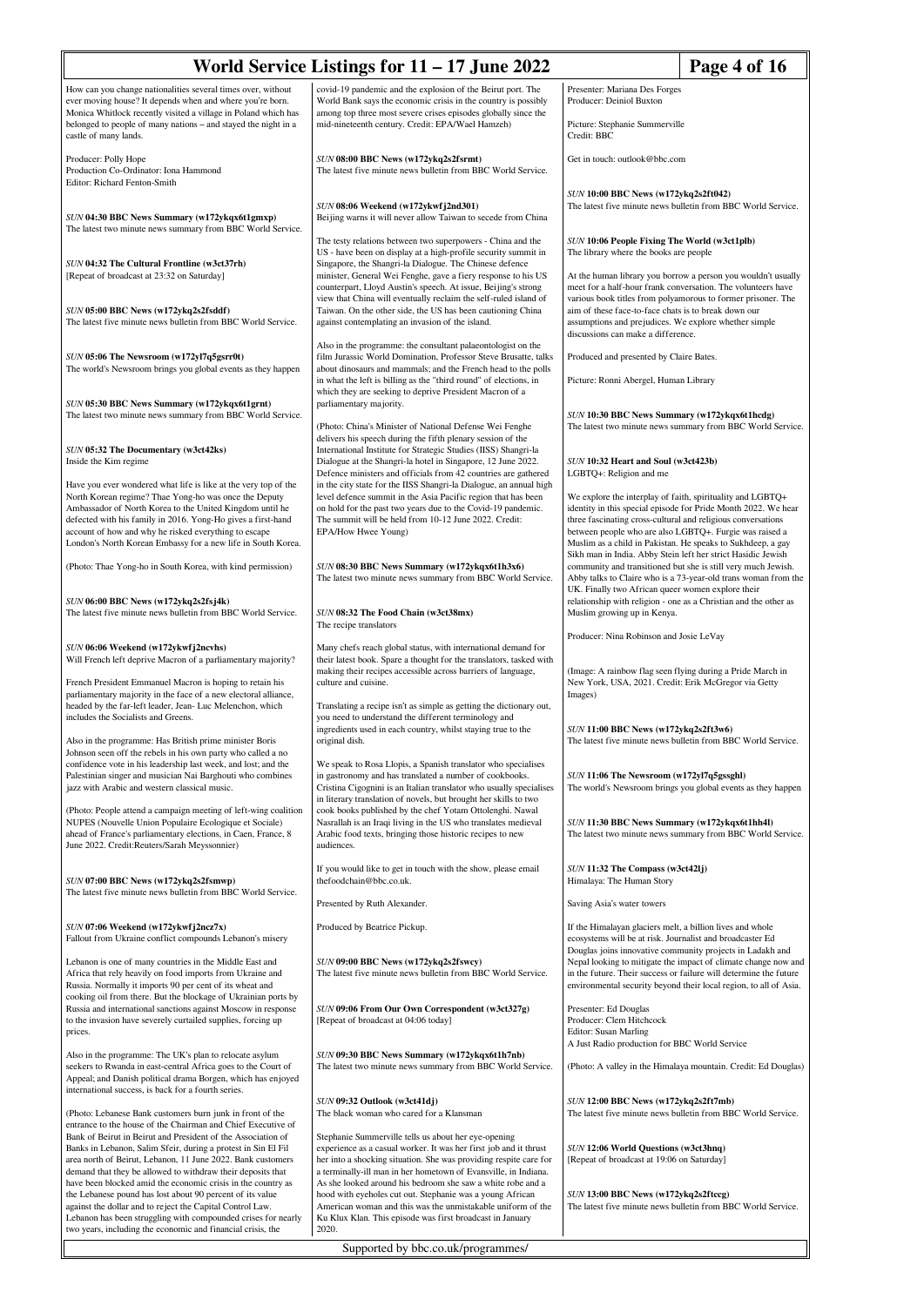| World Service Listings for 11 - 17 June 2022<br>Page 4 of 16                                                                                                                                                                                                                                                                                                                  |                                                                                                                                                                                                                                                                                                                                        |                                                                                                                                                                                                                                                                                                                                    |  |
|-------------------------------------------------------------------------------------------------------------------------------------------------------------------------------------------------------------------------------------------------------------------------------------------------------------------------------------------------------------------------------|----------------------------------------------------------------------------------------------------------------------------------------------------------------------------------------------------------------------------------------------------------------------------------------------------------------------------------------|------------------------------------------------------------------------------------------------------------------------------------------------------------------------------------------------------------------------------------------------------------------------------------------------------------------------------------|--|
| How can you change nationalities several times over, without<br>ever moving house? It depends when and where you're born.<br>Monica Whitlock recently visited a village in Poland which has<br>belonged to people of many nations - and stayed the night in a                                                                                                                 | covid-19 pandemic and the explosion of the Beirut port. The<br>World Bank says the economic crisis in the country is possibly<br>among top three most severe crises episodes globally since the<br>mid-nineteenth century. Credit: EPA/Wael Hamzeh)                                                                                    | Presenter: Mariana Des Forges<br>Producer: Deiniol Buxton<br>Picture: Stephanie Summerville                                                                                                                                                                                                                                        |  |
| castle of many lands.<br>Producer: Polly Hope<br>Production Co-Ordinator: Iona Hammond<br>Editor: Richard Fenton-Smith                                                                                                                                                                                                                                                        | SUN 08:00 BBC News (w172ykq2s2fsrmt)<br>The latest five minute news bulletin from BBC World Service.                                                                                                                                                                                                                                   | Credit: BBC<br>Get in touch: outlook@bbc.com                                                                                                                                                                                                                                                                                       |  |
| SUN 04:30 BBC News Summary (w172ykqx6t1gmxp)<br>The latest two minute news summary from BBC World Service.                                                                                                                                                                                                                                                                    | SUN 08:06 Weekend (w172ykwfj2nd301)<br>Beijing warns it will never allow Taiwan to secede from China                                                                                                                                                                                                                                   | SUN 10:00 BBC News (w172ykq2s2ft042)<br>The latest five minute news bulletin from BBC World Service.                                                                                                                                                                                                                               |  |
| SUN 04:32 The Cultural Frontline (w3ct37rh)<br>[Repeat of broadcast at 23:32 on Saturday]                                                                                                                                                                                                                                                                                     | The testy relations between two superpowers - China and the<br>US - have been on display at a high-profile security summit in<br>Singapore, the Shangri-la Dialogue. The Chinese defence<br>minister, General Wei Fenghe, gave a fiery response to his US                                                                              | SUN 10:06 People Fixing The World (w3ct1plb)<br>The library where the books are people<br>At the human library you borrow a person you wouldn't usually                                                                                                                                                                            |  |
| SUN 05:00 BBC News (w172ykq2s2fsddf)<br>The latest five minute news bulletin from BBC World Service.                                                                                                                                                                                                                                                                          | counterpart, Lloyd Austin's speech. At issue, Beijing's strong<br>view that China will eventually reclaim the self-ruled island of<br>Taiwan. On the other side, the US has been cautioning China<br>against contemplating an invasion of the island.                                                                                  | meet for a half-hour frank conversation. The volunteers have<br>various book titles from polyamorous to former prisoner. The<br>aim of these face-to-face chats is to break down our<br>assumptions and prejudices. We explore whether simple<br>discussions can make a difference.                                                |  |
| SUN 05:06 The Newsroom (w172yl7q5gsrr0t)<br>The world's Newsroom brings you global events as they happen                                                                                                                                                                                                                                                                      | Also in the programme: the consultant palaeontologist on the<br>film Jurassic World Domination, Professor Steve Brusatte, talks<br>about dinosaurs and mammals; and the French head to the polls<br>in what the left is billing as the "third round" of elections, in                                                                  | Produced and presented by Claire Bates.<br>Picture: Ronni Abergel, Human Library                                                                                                                                                                                                                                                   |  |
| SUN 05:30 BBC News Summary (w172ykqx6t1grnt)<br>The latest two minute news summary from BBC World Service.                                                                                                                                                                                                                                                                    | which they are seeking to deprive President Macron of a<br>parliamentary majority.<br>(Photo: China's Minister of National Defense Wei Fenghe                                                                                                                                                                                          | SUN 10:30 BBC News Summary (w172ykqx6t1hcdg)<br>The latest two minute news summary from BBC World Service.                                                                                                                                                                                                                         |  |
| SUN 05:32 The Documentary (w3ct42ks)<br>Inside the Kim regime                                                                                                                                                                                                                                                                                                                 | delivers his speech during the fifth plenary session of the<br>International Institute for Strategic Studies (IISS) Shangri-la<br>Dialogue at the Shangri-la hotel in Singapore, 12 June 2022.<br>Defence ministers and officials from 42 countries are gathered<br>in the city state for the IISS Shangri-la Dialogue, an annual high | SUN 10:32 Heart and Soul (w3ct423b)<br>LGBTQ+: Religion and me                                                                                                                                                                                                                                                                     |  |
| Have you ever wondered what life is like at the very top of the<br>North Korean regime? Thae Yong-ho was once the Deputy<br>Ambassador of North Korea to the United Kingdom until he<br>defected with his family in 2016. Yong-Ho gives a first-hand<br>account of how and why he risked everything to escape<br>London's North Korean Embassy for a new life in South Korea. | level defence summit in the Asia Pacific region that has been<br>on hold for the past two years due to the Covid-19 pandemic.<br>The summit will be held from 10-12 June 2022. Credit:<br>EPA/How Hwee Young)                                                                                                                          | We explore the interplay of faith, spirituality and LGBTQ+<br>identity in this special episode for Pride Month 2022. We hear<br>three fascinating cross-cultural and religious conversations<br>between people who are also LGBTQ+. Furgie was raised a<br>Muslim as a child in Pakistan. He speaks to Sukhdeep, a gay             |  |
| (Photo: Thae Yong-ho in South Korea, with kind permission)                                                                                                                                                                                                                                                                                                                    | SUN 08:30 BBC News Summary (w172ykqx6t1h3x6)<br>The latest two minute news summary from BBC World Service.                                                                                                                                                                                                                             | Sikh man in India. Abby Stein left her strict Hasidic Jewish<br>community and transitioned but she is still very much Jewish.<br>Abby talks to Claire who is a 73-year-old trans woman from the<br>UK. Finally two African queer women explore their                                                                               |  |
| SUN 06:00 BBC News (w172ykq2s2fsj4k)<br>The latest five minute news bulletin from BBC World Service.                                                                                                                                                                                                                                                                          | SUN 08:32 The Food Chain (w3ct38mx)<br>The recipe translators                                                                                                                                                                                                                                                                          | relationship with religion - one as a Christian and the other as<br>Muslim growing up in Kenya.<br>Producer: Nina Robinson and Josie LeVay                                                                                                                                                                                         |  |
| SUN 06:06 Weekend (w172ykwfj2ncvhs)<br>Will French left deprive Macron of a parliamentary majority?<br>French President Emmanuel Macron is hoping to retain his                                                                                                                                                                                                               | Many chefs reach global status, with international demand for<br>their latest book. Spare a thought for the translators, tasked with<br>making their recipes accessible across barriers of language,<br>culture and cuisine.                                                                                                           | (Image: A rainbow flag seen flying during a Pride March in<br>New York, USA, 2021. Credit: Erik McGregor via Getty                                                                                                                                                                                                                 |  |
| parliamentary majority in the face of a new electoral alliance,<br>headed by the far-left leader, Jean- Luc Melenchon, which<br>includes the Socialists and Greens.                                                                                                                                                                                                           | Translating a recipe isn't as simple as getting the dictionary out,<br>you need to understand the different terminology and<br>ingredients used in each country, whilst staying true to the                                                                                                                                            | Images)<br>SUN 11:00 BBC News (w172ykq2s2ft3w6)<br>The latest five minute news bulletin from BBC World Service.                                                                                                                                                                                                                    |  |
| Also in the programme: Has British prime minister Boris<br>Johnson seen off the rebels in his own party who called a no<br>confidence vote in his leadership last week, and lost; and the<br>Palestinian singer and musician Nai Barghouti who combines<br>jazz with Arabic and western classical music.                                                                      | original dish.<br>We speak to Rosa Llopis, a Spanish translator who specialises<br>in gastronomy and has translated a number of cookbooks.<br>Cristina Cigognini is an Italian translator who usually specialises                                                                                                                      | SUN 11:06 The Newsroom (w172yl7q5gssghl)<br>The world's Newsroom brings you global events as they happen                                                                                                                                                                                                                           |  |
| (Photo: People attend a campaign meeting of left-wing coalition<br>NUPES (Nouvelle Union Populaire Ecologique et Sociale)<br>ahead of France's parliamentary elections, in Caen, France, 8<br>June 2022. Credit:Reuters/Sarah Meyssonnier)                                                                                                                                    | in literary translation of novels, but brought her skills to two<br>cook books published by the chef Yotam Ottolenghi. Nawal<br>Nasrallah is an Iraqi living in the US who translates medieval<br>Arabic food texts, bringing those historic recipes to new<br>audiences.                                                              | SUN 11:30 BBC News Summary (w172ykqx6t1hh4l)<br>The latest two minute news summary from BBC World Service.                                                                                                                                                                                                                         |  |
| SUN 07:00 BBC News (w172ykq2s2fsmwp)<br>The latest five minute news bulletin from BBC World Service.                                                                                                                                                                                                                                                                          | If you would like to get in touch with the show, please email<br>thefoodchain@bbc.co.uk.                                                                                                                                                                                                                                               | SUN 11:32 The Compass (w3ct42lj)<br>Himalaya: The Human Story                                                                                                                                                                                                                                                                      |  |
| SUN 07:06 Weekend (w172ykwfj2ncz7x)                                                                                                                                                                                                                                                                                                                                           | Presented by Ruth Alexander.<br>Produced by Beatrice Pickup.                                                                                                                                                                                                                                                                           | Saving Asia's water towers<br>If the Himalayan glaciers melt, a billion lives and whole                                                                                                                                                                                                                                            |  |
| Fallout from Ukraine conflict compounds Lebanon's misery<br>Lebanon is one of many countries in the Middle East and<br>Africa that rely heavily on food imports from Ukraine and<br>Russia. Normally it imports 90 per cent of its wheat and                                                                                                                                  | SUN 09:00 BBC News (w172ykq2s2fswcy)<br>The latest five minute news bulletin from BBC World Service.                                                                                                                                                                                                                                   | ecosystems will be at risk. Journalist and broadcaster Ed<br>Douglas joins innovative community projects in Ladakh and<br>Nepal looking to mitigate the impact of climate change now and<br>in the future. Their success or failure will determine the future<br>environmental security beyond their local region, to all of Asia. |  |
| cooking oil from there. But the blockage of Ukrainian ports by<br>Russia and international sanctions against Moscow in response<br>to the invasion have severely curtailed supplies, forcing up<br>prices.                                                                                                                                                                    | SUN 09:06 From Our Own Correspondent (w3ct327g)<br>[Repeat of broadcast at 04:06 today]                                                                                                                                                                                                                                                | Presenter: Ed Douglas<br>Producer: Clem Hitchcock<br><b>Editor: Susan Marling</b>                                                                                                                                                                                                                                                  |  |
| Also in the programme: The UK's plan to relocate asylum<br>seekers to Rwanda in east-central Africa goes to the Court of<br>Appeal; and Danish political drama Borgen, which has enjoyed<br>international success, is back for a fourth series.                                                                                                                               | SUN 09:30 BBC News Summary (w172ykqx6t1h7nb)<br>The latest two minute news summary from BBC World Service.                                                                                                                                                                                                                             | A Just Radio production for BBC World Service<br>(Photo: A valley in the Himalaya mountain. Credit: Ed Douglas)                                                                                                                                                                                                                    |  |
| (Photo: Lebanese Bank customers burn junk in front of the<br>entrance to the house of the Chairman and Chief Executive of                                                                                                                                                                                                                                                     | SUN 09:32 Outlook (w3ct41dj)<br>The black woman who cared for a Klansman                                                                                                                                                                                                                                                               | SUN 12:00 BBC News (w172ykq2s2ft7mb)<br>The latest five minute news bulletin from BBC World Service.                                                                                                                                                                                                                               |  |
| Bank of Beirut in Beirut and President of the Association of<br>Banks in Lebanon, Salim Sfeir, during a protest in Sin El Fil<br>area north of Beirut, Lebanon, 11 June 2022. Bank customers<br>demand that they be allowed to withdraw their deposits that                                                                                                                   | Stephanie Summerville tells us about her eye-opening<br>experience as a casual worker. It was her first job and it thrust<br>her into a shocking situation. She was providing respite care for<br>a terminally-ill man in her hometown of Evansville, in Indiana.                                                                      | <b>SUN 12:06 World Questions (w3ct3hnq)</b><br>[Repeat of broadcast at 19:06 on Saturday]                                                                                                                                                                                                                                          |  |
| have been blocked amid the economic crisis in the country as<br>the Lebanese pound has lost about 90 percent of its value<br>against the dollar and to reject the Capital Control Law.<br>Lebanon has been struggling with compounded crises for nearly<br>two years, including the economic and financial crisis, the                                                        | As she looked around his bedroom she saw a white robe and a<br>hood with eyeholes cut out. Stephanie was a young African<br>American woman and this was the unmistakable uniform of the<br>Ku Klux Klan. This episode was first broadcast in January<br>2020.                                                                          | SUN 13:00 BBC News (w172ykq2s2ftccg)<br>The latest five minute news bulletin from BBC World Service.                                                                                                                                                                                                                               |  |
| Supported by bbc.co.uk/programmes/                                                                                                                                                                                                                                                                                                                                            |                                                                                                                                                                                                                                                                                                                                        |                                                                                                                                                                                                                                                                                                                                    |  |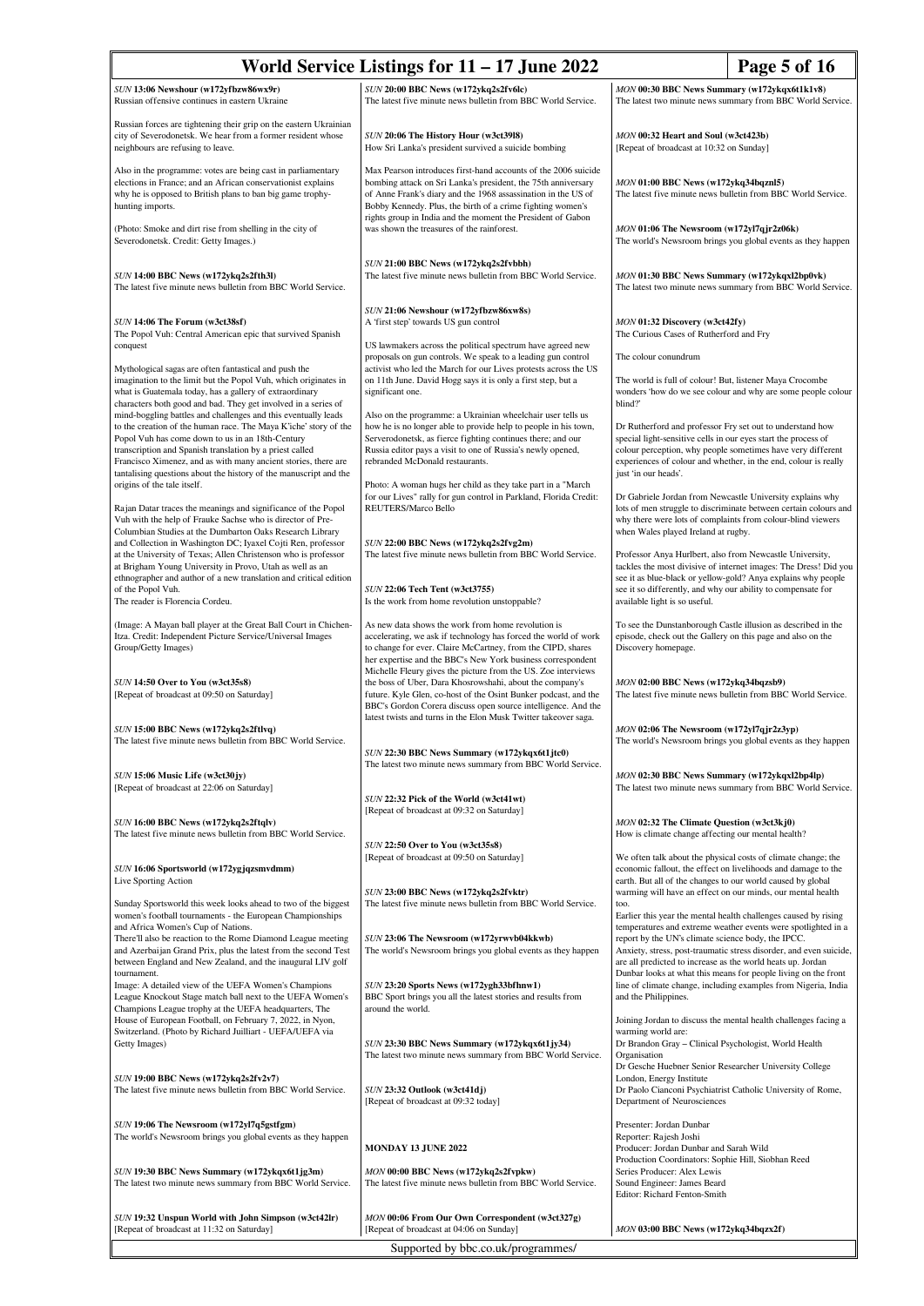| World Service Listings for 11 - 17 June 2022<br>Page 5 of 16                                                                                                                                                                                                                                                                                                                              |                                                                                                                                                                                                                                                                                                                              |                                                                                                                                                                                                                                                                                                      |  |
|-------------------------------------------------------------------------------------------------------------------------------------------------------------------------------------------------------------------------------------------------------------------------------------------------------------------------------------------------------------------------------------------|------------------------------------------------------------------------------------------------------------------------------------------------------------------------------------------------------------------------------------------------------------------------------------------------------------------------------|------------------------------------------------------------------------------------------------------------------------------------------------------------------------------------------------------------------------------------------------------------------------------------------------------|--|
| SUN 13:06 Newshour (w172yfbzw86wx9r)<br>Russian offensive continues in eastern Ukraine                                                                                                                                                                                                                                                                                                    | SUN 20:00 BBC News (w172ykq2s2fv6lc)<br>The latest five minute news bulletin from BBC World Service.                                                                                                                                                                                                                         | MON 00:30 BBC News Summary (w172ykqx6t1k1v8)<br>The latest two minute news summary from BBC World Service.                                                                                                                                                                                           |  |
| Russian forces are tightening their grip on the eastern Ukrainian<br>city of Severodonetsk. We hear from a former resident whose<br>neighbours are refusing to leave.                                                                                                                                                                                                                     | SUN 20:06 The History Hour (w3ct3918)<br>How Sri Lanka's president survived a suicide bombing                                                                                                                                                                                                                                | MON 00:32 Heart and Soul (w3ct423b)<br>[Repeat of broadcast at 10:32 on Sunday]                                                                                                                                                                                                                      |  |
| Also in the programme: votes are being cast in parliamentary<br>elections in France; and an African conservationist explains<br>why he is opposed to British plans to ban big game trophy-<br>hunting imports.                                                                                                                                                                            | Max Pearson introduces first-hand accounts of the 2006 suicide<br>bombing attack on Sri Lanka's president, the 75th anniversary<br>of Anne Frank's diary and the 1968 assassination in the US of<br>Bobby Kennedy. Plus, the birth of a crime fighting women's                                                               | MON 01:00 BBC News (w172ykq34bqznl5)<br>The latest five minute news bulletin from BBC World Service.                                                                                                                                                                                                 |  |
| (Photo: Smoke and dirt rise from shelling in the city of<br>Severodonetsk. Credit: Getty Images.)                                                                                                                                                                                                                                                                                         | rights group in India and the moment the President of Gabon<br>was shown the treasures of the rainforest.                                                                                                                                                                                                                    | MON 01:06 The Newsroom (w172yl7qjr2z06k)<br>The world's Newsroom brings you global events as they happen                                                                                                                                                                                             |  |
| SUN 14:00 BBC News (w172ykq2s2fth3l)<br>The latest five minute news bulletin from BBC World Service.                                                                                                                                                                                                                                                                                      | SUN 21:00 BBC News (w172ykq2s2fvbbh)<br>The latest five minute news bulletin from BBC World Service.                                                                                                                                                                                                                         | MON 01:30 BBC News Summary (w172ykqxl2bp0vk)<br>The latest two minute news summary from BBC World Service.                                                                                                                                                                                           |  |
| SUN 14:06 The Forum (w3ct38sf)<br>The Popol Vuh: Central American epic that survived Spanish<br>conquest                                                                                                                                                                                                                                                                                  | SUN 21:06 Newshour (w172yfbzw86xw8s)<br>A 'first step' towards US gun control<br>US lawmakers across the political spectrum have agreed new                                                                                                                                                                                  | MON 01:32 Discovery (w3ct42fy)<br>The Curious Cases of Rutherford and Fry                                                                                                                                                                                                                            |  |
| Mythological sagas are often fantastical and push the<br>imagination to the limit but the Popol Vuh, which originates in<br>what is Guatemala today, has a gallery of extraordinary<br>characters both good and bad. They get involved in a series of                                                                                                                                     | proposals on gun controls. We speak to a leading gun control<br>activist who led the March for our Lives protests across the US<br>on 11th June. David Hogg says it is only a first step, but a<br>significant one.                                                                                                          | The colour conundrum<br>The world is full of colour! But, listener Maya Crocombe<br>wonders 'how do we see colour and why are some people colour<br>blind?'                                                                                                                                          |  |
| mind-boggling battles and challenges and this eventually leads<br>to the creation of the human race. The Maya K'iche' story of the<br>Popol Vuh has come down to us in an 18th-Century<br>transcription and Spanish translation by a priest called<br>Francisco Ximenez, and as with many ancient stories, there are<br>tantalising questions about the history of the manuscript and the | Also on the programme: a Ukrainian wheelchair user tells us<br>how he is no longer able to provide help to people in his town,<br>Serverodonetsk, as fierce fighting continues there; and our<br>Russia editor pays a visit to one of Russia's newly opened,<br>rebranded McDonald restaurants.                              | Dr Rutherford and professor Fry set out to understand how<br>special light-sensitive cells in our eyes start the process of<br>colour perception, why people sometimes have very different<br>experiences of colour and whether, in the end, colour is really<br>just 'in our heads'.                |  |
| origins of the tale itself.<br>Rajan Datar traces the meanings and significance of the Popol<br>Vuh with the help of Frauke Sachse who is director of Pre-                                                                                                                                                                                                                                | Photo: A woman hugs her child as they take part in a "March<br>for our Lives" rally for gun control in Parkland, Florida Credit:<br>REUTERS/Marco Bello                                                                                                                                                                      | Dr Gabriele Jordan from Newcastle University explains why<br>lots of men struggle to discriminate between certain colours and<br>why there were lots of complaints from colour-blind viewers                                                                                                         |  |
| Columbian Studies at the Dumbarton Oaks Research Library<br>and Collection in Washington DC; Iyaxel Cojti Ren, professor<br>at the University of Texas; Allen Christenson who is professor<br>at Brigham Young University in Provo, Utah as well as an<br>ethnographer and author of a new translation and critical edition<br>of the Popol Vuh.                                          | SUN 22:00 BBC News (w172ykq2s2fvg2m)<br>The latest five minute news bulletin from BBC World Service.<br>SUN 22:06 Tech Tent (w3ct3755)                                                                                                                                                                                       | when Wales played Ireland at rugby.<br>Professor Anya Hurlbert, also from Newcastle University,<br>tackles the most divisive of internet images: The Dress! Did you<br>see it as blue-black or yellow-gold? Anya explains why people<br>see it so differently, and why our ability to compensate for |  |
| The reader is Florencia Cordeu.<br>(Image: A Mayan ball player at the Great Ball Court in Chichen-<br>Itza. Credit: Independent Picture Service/Universal Images<br>Group/Getty Images)                                                                                                                                                                                                   | Is the work from home revolution unstoppable?<br>As new data shows the work from home revolution is<br>accelerating, we ask if technology has forced the world of work<br>to change for ever. Claire McCartney, from the CIPD, shares                                                                                        | available light is so useful.<br>To see the Dunstanborough Castle illusion as described in the<br>episode, check out the Gallery on this page and also on the<br>Discovery homepage.                                                                                                                 |  |
| SUN 14:50 Over to You (w3ct35s8)<br>[Repeat of broadcast at 09:50 on Saturday]                                                                                                                                                                                                                                                                                                            | her expertise and the BBC's New York business correspondent<br>Michelle Fleury gives the picture from the US. Zoe interviews<br>the boss of Uber, Dara Khosrowshahi, about the company's<br>future. Kyle Glen, co-host of the Osint Bunker podcast, and the<br>BBC's Gordon Corera discuss open source intelligence. And the | MON 02:00 BBC News (w172ykq34bqzsb9)<br>The latest five minute news bulletin from BBC World Service.                                                                                                                                                                                                 |  |
| SUN 15:00 BBC News (w172ykq2s2ftlvq)<br>The latest five minute news bulletin from BBC World Service.                                                                                                                                                                                                                                                                                      | latest twists and turns in the Elon Musk Twitter takeover saga.<br>SUN 22:30 BBC News Summary (w172ykqx6t1jtc0)                                                                                                                                                                                                              | MON 02:06 The Newsroom (w172yl7qjr2z3yp)<br>The world's Newsroom brings you global events as they happen                                                                                                                                                                                             |  |
| SUN 15:06 Music Life (w3ct30jy)<br>[Repeat of broadcast at 22:06 on Saturday]                                                                                                                                                                                                                                                                                                             | The latest two minute news summary from BBC World Service.<br>SUN 22:32 Pick of the World (w3ct41wt)                                                                                                                                                                                                                         | MON 02:30 BBC News Summary (w172ykqxl2bp4lp)<br>The latest two minute news summary from BBC World Service.                                                                                                                                                                                           |  |
| SUN 16:00 BBC News (w172ykq2s2ftqlv)<br>The latest five minute news bulletin from BBC World Service.                                                                                                                                                                                                                                                                                      | [Repeat of broadcast at 09:32 on Saturday]<br>SUN 22:50 Over to You (w3ct35s8)                                                                                                                                                                                                                                               | MON 02:32 The Climate Question (w3ct3kj0)<br>How is climate change affecting our mental health?                                                                                                                                                                                                      |  |
| SUN 16:06 Sportsworld (w172ygjqzsmvdmm)<br>Live Sporting Action                                                                                                                                                                                                                                                                                                                           | [Repeat of broadcast at 09:50 on Saturday]<br>SUN 23:00 BBC News (w172ykq2s2fvktr)                                                                                                                                                                                                                                           | We often talk about the physical costs of climate change; the<br>economic fallout, the effect on livelihoods and damage to the<br>earth. But all of the changes to our world caused by global<br>warming will have an effect on our minds, our mental health                                         |  |
| Sunday Sportsworld this week looks ahead to two of the biggest<br>women's football tournaments - the European Championships<br>and Africa Women's Cup of Nations.<br>There'll also be reaction to the Rome Diamond League meeting<br>and Azerbaijan Grand Prix, plus the latest from the second Test                                                                                      | The latest five minute news bulletin from BBC World Service.<br>SUN 23:06 The Newsroom (w172yrwvb04kkwb)<br>The world's Newsroom brings you global events as they happen                                                                                                                                                     | too.<br>Earlier this year the mental health challenges caused by rising<br>temperatures and extreme weather events were spotlighted in a<br>report by the UN's climate science body, the IPCC.<br>Anxiety, stress, post-traumatic stress disorder, and even suicide,                                 |  |
| between England and New Zealand, and the inaugural LIV golf<br>tournament.<br>Image: A detailed view of the UEFA Women's Champions<br>League Knockout Stage match ball next to the UEFA Women's<br>Champions League trophy at the UEFA headquarters, The                                                                                                                                  | SUN 23:20 Sports News (w172ygh33bfhnw1)<br>BBC Sport brings you all the latest stories and results from<br>around the world.                                                                                                                                                                                                 | are all predicted to increase as the world heats up. Jordan<br>Dunbar looks at what this means for people living on the front<br>line of climate change, including examples from Nigeria, India<br>and the Philippines.                                                                              |  |
| House of European Football, on February 7, 2022, in Nyon,<br>Switzerland. (Photo by Richard Juilliart - UEFA/UEFA via<br>Getty Images)                                                                                                                                                                                                                                                    | SUN 23:30 BBC News Summary (w172ykqx6t1jy34)<br>The latest two minute news summary from BBC World Service.                                                                                                                                                                                                                   | Joining Jordan to discuss the mental health challenges facing a<br>warming world are:<br>Dr Brandon Gray - Clinical Psychologist, World Health<br>Organisation                                                                                                                                       |  |
| SUN 19:00 BBC News (w172ykq2s2fv2v7)<br>The latest five minute news bulletin from BBC World Service.                                                                                                                                                                                                                                                                                      | SUN 23:32 Outlook (w3ct41dj)<br>[Repeat of broadcast at 09:32 today]                                                                                                                                                                                                                                                         | Dr Gesche Huebner Senior Researcher University College<br>London, Energy Institute<br>Dr Paolo Cianconi Psychiatrist Catholic University of Rome,<br>Department of Neurosciences                                                                                                                     |  |
| SUN 19:06 The Newsroom (w172yl7q5gstfgm)<br>The world's Newsroom brings you global events as they happen                                                                                                                                                                                                                                                                                  | <b>MONDAY 13 JUNE 2022</b>                                                                                                                                                                                                                                                                                                   | Presenter: Jordan Dunbar<br>Reporter: Rajesh Joshi<br>Producer: Jordan Dunbar and Sarah Wild                                                                                                                                                                                                         |  |
| SUN 19:30 BBC News Summary (w172ykqx6t1jg3m)<br>The latest two minute news summary from BBC World Service.                                                                                                                                                                                                                                                                                | MON 00:00 BBC News (w172ykq2s2fvpkw)<br>The latest five minute news bulletin from BBC World Service.                                                                                                                                                                                                                         | Production Coordinators: Sophie Hill, Siobhan Reed<br>Series Producer: Alex Lewis<br>Sound Engineer: James Beard<br>Editor: Richard Fenton-Smith                                                                                                                                                     |  |
| SUN 19:32 Unspun World with John Simpson (w3ct42lr)<br>[Repeat of broadcast at 11:32 on Saturday]                                                                                                                                                                                                                                                                                         | MON 00:06 From Our Own Correspondent (w3ct327g)<br>[Repeat of broadcast at 04:06 on Sunday]                                                                                                                                                                                                                                  | MON 03:00 BBC News (w172ykq34bqzx2f)                                                                                                                                                                                                                                                                 |  |
|                                                                                                                                                                                                                                                                                                                                                                                           | Supported by bbc.co.uk/programmes/                                                                                                                                                                                                                                                                                           |                                                                                                                                                                                                                                                                                                      |  |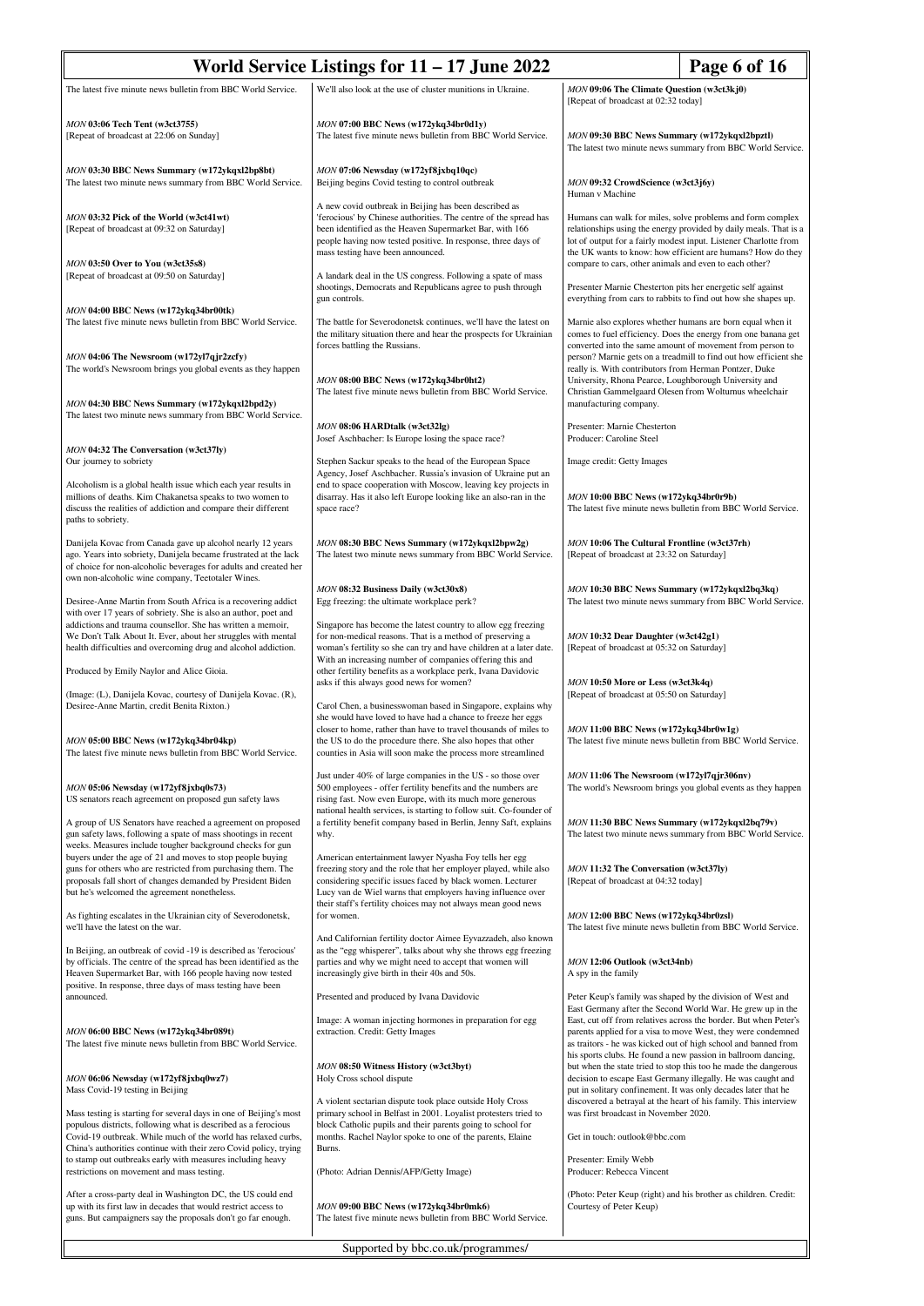| World Service Listings for 11 - 17 June 2022                                                                                                                                                                                                                               |                                                                                                                                                                                                                                                                                                                                 |                                                                                                                                                                                                                                                                                                            | Page 6 of 16                                                                                                                                                                                                                                                        |
|----------------------------------------------------------------------------------------------------------------------------------------------------------------------------------------------------------------------------------------------------------------------------|---------------------------------------------------------------------------------------------------------------------------------------------------------------------------------------------------------------------------------------------------------------------------------------------------------------------------------|------------------------------------------------------------------------------------------------------------------------------------------------------------------------------------------------------------------------------------------------------------------------------------------------------------|---------------------------------------------------------------------------------------------------------------------------------------------------------------------------------------------------------------------------------------------------------------------|
| The latest five minute news bulletin from BBC World Service.                                                                                                                                                                                                               | We'll also look at the use of cluster munitions in Ukraine.                                                                                                                                                                                                                                                                     | MON 09:06 The Climate Question (w3ct3kj0)<br>[Repeat of broadcast at 02:32 today]                                                                                                                                                                                                                          |                                                                                                                                                                                                                                                                     |
| MON 03:06 Tech Tent (w3ct3755)<br>[Repeat of broadcast at 22:06 on Sunday]                                                                                                                                                                                                 | MON 07:00 BBC News (w172ykq34br0d1y)<br>The latest five minute news bulletin from BBC World Service.                                                                                                                                                                                                                            | MON 09:30 BBC News Summary (w172ykqxl2bpztl)<br>The latest two minute news summary from BBC World Service.                                                                                                                                                                                                 |                                                                                                                                                                                                                                                                     |
| MON 03:30 BBC News Summary (w172ykqxl2bp8bt)<br>The latest two minute news summary from BBC World Service.                                                                                                                                                                 | MON 07:06 Newsday (w172yf8jxbq10qc)<br>Beijing begins Covid testing to control outbreak                                                                                                                                                                                                                                         | MON 09:32 CrowdScience (w3ct3j6y)<br>Human v Machine                                                                                                                                                                                                                                                       |                                                                                                                                                                                                                                                                     |
| MON 03:32 Pick of the World (w3ct41wt)<br>[Repeat of broadcast at 09:32 on Saturday]                                                                                                                                                                                       | A new covid outbreak in Beijing has been described as<br>'ferocious' by Chinese authorities. The centre of the spread has<br>been identified as the Heaven Supermarket Bar, with 166<br>people having now tested positive. In response, three days of<br>mass testing have been announced.                                      | Humans can walk for miles, solve problems and form complex<br>relationships using the energy provided by daily meals. That is a<br>lot of output for a fairly modest input. Listener Charlotte from<br>the UK wants to know: how efficient are humans? How do they                                         |                                                                                                                                                                                                                                                                     |
| MON 03:50 Over to You (w3ct35s8)<br>[Repeat of broadcast at 09:50 on Saturday]                                                                                                                                                                                             | A landark deal in the US congress. Following a spate of mass<br>shootings, Democrats and Republicans agree to push through<br>gun controls.                                                                                                                                                                                     | compare to cars, other animals and even to each other?<br>Presenter Marnie Chesterton pits her energetic self against                                                                                                                                                                                      |                                                                                                                                                                                                                                                                     |
| MON 04:00 BBC News (w172ykq34br00tk)<br>The latest five minute news bulletin from BBC World Service.                                                                                                                                                                       | The battle for Severodonetsk continues, we'll have the latest on<br>the military situation there and hear the prospects for Ukrainian                                                                                                                                                                                           | everything from cars to rabbits to find out how she shapes up.<br>Marnie also explores whether humans are born equal when it<br>comes to fuel efficiency. Does the energy from one banana get                                                                                                              |                                                                                                                                                                                                                                                                     |
| MON 04:06 The Newsroom (w172yl7qjr2zcfy)<br>The world's Newsroom brings you global events as they happen                                                                                                                                                                   | forces battling the Russians.<br>MON 08:00 BBC News (w172ykq34br0ht2)<br>The latest five minute news bulletin from BBC World Service.                                                                                                                                                                                           | converted into the same amount of movement from person to<br>person? Marnie gets on a treadmill to find out how efficient she<br>really is. With contributors from Herman Pontzer, Duke<br>University, Rhona Pearce, Loughborough University and<br>Christian Gammelgaard Olesen from Wolturnus wheelchair |                                                                                                                                                                                                                                                                     |
| MON 04:30 BBC News Summary (w172ykqxl2bpd2y)<br>The latest two minute news summary from BBC World Service.                                                                                                                                                                 | MON 08:06 HARDtalk (w3ct32lg)<br>Josef Aschbacher: Is Europe losing the space race?                                                                                                                                                                                                                                             | manufacturing company.<br>Presenter: Marnie Chesterton<br>Producer: Caroline Steel                                                                                                                                                                                                                         |                                                                                                                                                                                                                                                                     |
| MON 04:32 The Conversation (w3ct37ly)<br>Our journey to sobriety                                                                                                                                                                                                           | Stephen Sackur speaks to the head of the European Space                                                                                                                                                                                                                                                                         | Image credit: Getty Images                                                                                                                                                                                                                                                                                 |                                                                                                                                                                                                                                                                     |
| Alcoholism is a global health issue which each year results in<br>millions of deaths. Kim Chakanetsa speaks to two women to<br>discuss the realities of addiction and compare their different<br>paths to sobriety.                                                        | Agency, Josef Aschbacher. Russia's invasion of Ukraine put an<br>end to space cooperation with Moscow, leaving key projects in<br>disarray. Has it also left Europe looking like an also-ran in the<br>space race?                                                                                                              | MON 10:00 BBC News (w172ykq34br0r9b)                                                                                                                                                                                                                                                                       | The latest five minute news bulletin from BBC World Service.                                                                                                                                                                                                        |
| Danijela Kovac from Canada gave up alcohol nearly 12 years<br>ago. Years into sobriety, Danijela became frustrated at the lack<br>of choice for non-alcoholic beverages for adults and created her<br>own non-alcoholic wine company, Teetotaler Wines.                    | MON 08:30 BBC News Summary (w172ykqxl2bpw2g)<br>The latest two minute news summary from BBC World Service.                                                                                                                                                                                                                      | MON 10:06 The Cultural Frontline (w3ct37rh)<br>[Repeat of broadcast at 23:32 on Saturday]                                                                                                                                                                                                                  |                                                                                                                                                                                                                                                                     |
| Desiree-Anne Martin from South Africa is a recovering addict<br>with over 17 years of sobriety. She is also an author, poet and<br>addictions and trauma counsellor. She has written a memoir,<br>We Don't Talk About It. Ever, about her struggles with mental            | MON 08:32 Business Daily (w3ct30x8)<br>Egg freezing: the ultimate workplace perk?<br>Singapore has become the latest country to allow egg freezing<br>for non-medical reasons. That is a method of preserving a                                                                                                                 | MON 10:30 BBC News Summary (w172ykqxl2bq3kq)<br>MON 10:32 Dear Daughter (w3ct42g1)                                                                                                                                                                                                                         | The latest two minute news summary from BBC World Service.                                                                                                                                                                                                          |
| health difficulties and overcoming drug and alcohol addiction.<br>Produced by Emily Naylor and Alice Gioia.                                                                                                                                                                | woman's fertility so she can try and have children at a later date.<br>With an increasing number of companies offering this and<br>other fertility benefits as a workplace perk, Ivana Davidovic                                                                                                                                | [Repeat of broadcast at 05:32 on Saturday]                                                                                                                                                                                                                                                                 |                                                                                                                                                                                                                                                                     |
| (Image: (L), Danijela Kovac, courtesy of Danijela Kovac. (R),                                                                                                                                                                                                              | asks if this always good news for women?                                                                                                                                                                                                                                                                                        | MON 10:50 More or Less (w3ct3k4q)<br>[Repeat of broadcast at 05:50 on Saturday]                                                                                                                                                                                                                            |                                                                                                                                                                                                                                                                     |
| Desiree-Anne Martin, credit Benita Rixton.)<br>MON 05:00 BBC News (w172ykq34br04kp)<br>The latest five minute news bulletin from BBC World Service.                                                                                                                        | Carol Chen, a businesswoman based in Singapore, explains why<br>she would have loved to have had a chance to freeze her eggs<br>closer to home, rather than have to travel thousands of miles to<br>the US to do the procedure there. She also hopes that other<br>counties in Asia will soon make the process more streamlined | MON 11:00 BBC News (w172ykq34br0w1g)<br>The latest five minute news bulletin from BBC World Service.                                                                                                                                                                                                       |                                                                                                                                                                                                                                                                     |
| MON 05:06 Newsday (w172yf8jxbq0s73)<br>US senators reach agreement on proposed gun safety laws                                                                                                                                                                             | Just under 40% of large companies in the US - so those over<br>500 employees - offer fertility benefits and the numbers are<br>rising fast. Now even Europe, with its much more generous<br>national health services, is starting to follow suit. Co-founder of                                                                 | MON 11:06 The Newsroom (w172yl7qjr306nv)                                                                                                                                                                                                                                                                   | The world's Newsroom brings you global events as they happen                                                                                                                                                                                                        |
| A group of US Senators have reached a agreement on proposed<br>gun safety laws, following a spate of mass shootings in recent<br>weeks. Measures include tougher background checks for gun                                                                                 | a fertility benefit company based in Berlin, Jenny Saft, explains<br>why.                                                                                                                                                                                                                                                       | MON 11:30 BBC News Summary (w172ykqxl2bq79v)                                                                                                                                                                                                                                                               | The latest two minute news summary from BBC World Service.                                                                                                                                                                                                          |
| buyers under the age of 21 and moves to stop people buying<br>guns for others who are restricted from purchasing them. The<br>proposals fall short of changes demanded by President Biden<br>but he's welcomed the agreement nonetheless.                                  | American entertainment lawyer Nyasha Foy tells her egg<br>freezing story and the role that her employer played, while also<br>considering specific issues faced by black women. Lecturer<br>Lucy van de Wiel warns that employers having influence over<br>their staff's fertility choices may not always mean good news        | MON 11:32 The Conversation (w3ct37ly)<br>[Repeat of broadcast at 04:32 today]                                                                                                                                                                                                                              |                                                                                                                                                                                                                                                                     |
| As fighting escalates in the Ukrainian city of Severodonetsk,<br>we'll have the latest on the war.                                                                                                                                                                         | for women.                                                                                                                                                                                                                                                                                                                      | MON 12:00 BBC News (w172ykq34br0zsl)                                                                                                                                                                                                                                                                       | The latest five minute news bulletin from BBC World Service.                                                                                                                                                                                                        |
| In Beijing, an outbreak of covid -19 is described as 'ferocious'<br>by officials. The centre of the spread has been identified as the<br>Heaven Supermarket Bar, with 166 people having now tested<br>positive. In response, three days of mass testing have been          | And Californian fertility doctor Aimee Eyvazzadeh, also known<br>as the "egg whisperer", talks about why she throws egg freezing<br>parties and why we might need to accept that women will<br>increasingly give birth in their 40s and 50s.                                                                                    | MON 12:06 Outlook (w3ct34nb)<br>A spy in the family                                                                                                                                                                                                                                                        |                                                                                                                                                                                                                                                                     |
| announced.                                                                                                                                                                                                                                                                 | Presented and produced by Ivana Davidovic                                                                                                                                                                                                                                                                                       |                                                                                                                                                                                                                                                                                                            | Peter Keup's family was shaped by the division of West and<br>East Germany after the Second World War. He grew up in the                                                                                                                                            |
| MON 06:00 BBC News (w172ykq34br089t)<br>The latest five minute news bulletin from BBC World Service.                                                                                                                                                                       | Image: A woman injecting hormones in preparation for egg<br>extraction. Credit: Getty Images                                                                                                                                                                                                                                    |                                                                                                                                                                                                                                                                                                            | East, cut off from relatives across the border. But when Peter's<br>parents applied for a visa to move West, they were condemned<br>as traitors - he was kicked out of high school and banned from<br>his sports clubs. He found a new passion in ballroom dancing, |
| MON 06:06 Newsday (w172yf8jxbq0wz7)<br>Mass Covid-19 testing in Beijing                                                                                                                                                                                                    | MON 08:50 Witness History (w3ct3byt)<br>Holy Cross school dispute                                                                                                                                                                                                                                                               |                                                                                                                                                                                                                                                                                                            | but when the state tried to stop this too he made the dangerous<br>decision to escape East Germany illegally. He was caught and<br>put in solitary confinement. It was only decades later that he                                                                   |
| Mass testing is starting for several days in one of Beijing's most<br>populous districts, following what is described as a ferocious<br>Covid-19 outbreak. While much of the world has relaxed curbs,<br>China's authorities continue with their zero Covid policy, trying | A violent sectarian dispute took place outside Holy Cross<br>primary school in Belfast in 2001. Loyalist protesters tried to<br>block Catholic pupils and their parents going to school for<br>months. Rachel Naylor spoke to one of the parents, Elaine<br>Burns.                                                              | discovered a betrayal at the heart of his family. This interview<br>was first broadcast in November 2020.<br>Get in touch: outlook@bbc.com<br>Presenter: Emily Webb<br>Producer: Rebecca Vincent                                                                                                           |                                                                                                                                                                                                                                                                     |
| to stamp out outbreaks early with measures including heavy<br>restrictions on movement and mass testing.                                                                                                                                                                   | (Photo: Adrian Dennis/AFP/Getty Image)                                                                                                                                                                                                                                                                                          |                                                                                                                                                                                                                                                                                                            |                                                                                                                                                                                                                                                                     |
| After a cross-party deal in Washington DC, the US could end<br>up with its first law in decades that would restrict access to<br>guns. But campaigners say the proposals don't go far enough.                                                                              | MON 09:00 BBC News (w172ykq34br0mk6)<br>The latest five minute news bulletin from BBC World Service.                                                                                                                                                                                                                            | Courtesy of Peter Keup)                                                                                                                                                                                                                                                                                    | (Photo: Peter Keup (right) and his brother as children. Credit:                                                                                                                                                                                                     |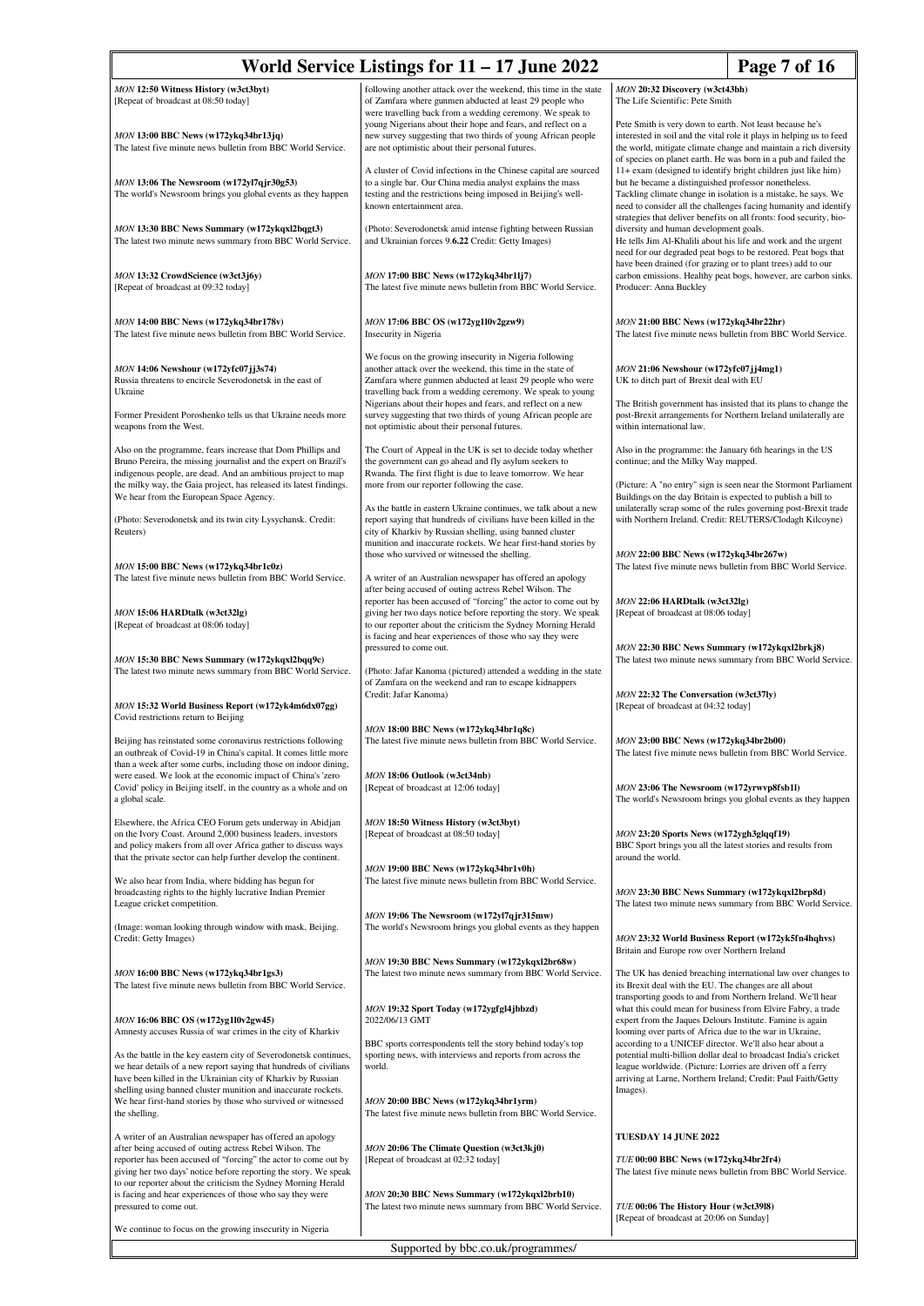|                                                                                                                                        | World Service Listings for $11 - 17$ June 2022                                                                                     | Page 7 of 16                                                                                                                            |  |
|----------------------------------------------------------------------------------------------------------------------------------------|------------------------------------------------------------------------------------------------------------------------------------|-----------------------------------------------------------------------------------------------------------------------------------------|--|
| MON 12:50 Witness History (w3ct3byt)                                                                                                   | following another attack over the weekend, this time in the state                                                                  | MON 20:32 Discovery (w3ct43bh)                                                                                                          |  |
| [Repeat of broadcast at 08:50 today]                                                                                                   | of Zamfara where gunmen abducted at least 29 people who<br>were travelling back from a wedding ceremony. We speak to               | The Life Scientific: Pete Smith                                                                                                         |  |
| MON 13:00 BBC News (w172ykq34br13jq)                                                                                                   | young Nigerians about their hope and fears, and reflect on a<br>new survey suggesting that two thirds of young African people      | Pete Smith is very down to earth. Not least because he's<br>interested in soil and the vital role it plays in helping us to feed        |  |
| The latest five minute news bulletin from BBC World Service.                                                                           | are not optimistic about their personal futures.                                                                                   | the world, mitigate climate change and maintain a rich diversity<br>of species on planet earth. He was born in a pub and failed the     |  |
|                                                                                                                                        | A cluster of Covid infections in the Chinese capital are sourced                                                                   | 11+ exam (designed to identify bright children just like him)                                                                           |  |
| MON 13:06 The Newsroom (w172yl7qjr30g53)<br>The world's Newsroom brings you global events as they happen                               | to a single bar. Our China media analyst explains the mass<br>testing and the restrictions being imposed in Beijing's well-        | but he became a distinguished professor nonetheless.<br>Tackling climate change in isolation is a mistake, he says. We                  |  |
|                                                                                                                                        | known entertainment area.                                                                                                          | need to consider all the challenges facing humanity and identify<br>strategies that deliver benefits on all fronts: food security, bio- |  |
| MON 13:30 BBC News Summary (w172ykqxl2bqgt3)<br>The latest two minute news summary from BBC World Service.                             | (Photo: Severodonetsk amid intense fighting between Russian<br>and Ukrainian forces 9.6.22 Credit: Getty Images)                   | diversity and human development goals.<br>He tells Jim Al-Khalili about his life and work and the urgent                                |  |
|                                                                                                                                        |                                                                                                                                    | need for our degraded peat bogs to be restored. Peat bogs that                                                                          |  |
| MON 13:32 CrowdScience (w3ct3j6y)                                                                                                      | MON 17:00 BBC News (w172ykq34br1lj7)                                                                                               | have been drained (for grazing or to plant trees) add to our<br>carbon emissions. Healthy peat bogs, however, are carbon sinks.         |  |
| [Repeat of broadcast at 09:32 today]                                                                                                   | The latest five minute news bulletin from BBC World Service.                                                                       | Producer: Anna Buckley                                                                                                                  |  |
| MON 14:00 BBC News (w172ykq34br178v)                                                                                                   | MON 17:06 BBC OS (w172yg1l0v2gzw9)                                                                                                 | MON 21:00 BBC News (w172ykq34br22hr)                                                                                                    |  |
| The latest five minute news bulletin from BBC World Service.                                                                           | Insecurity in Nigeria                                                                                                              | The latest five minute news bulletin from BBC World Service.                                                                            |  |
|                                                                                                                                        | We focus on the growing insecurity in Nigeria following                                                                            |                                                                                                                                         |  |
| MON 14:06 Newshour (w172yfc07jj3s74)<br>Russia threatens to encircle Severodonetsk in the east of                                      | another attack over the weekend, this time in the state of<br>Zamfara where gunmen abducted at least 29 people who were            | MON 21:06 Newshour (w172yfc07jj4mg1)<br>UK to ditch part of Brexit deal with EU                                                         |  |
| Ukraine                                                                                                                                | travelling back from a wedding ceremony. We speak to young<br>Nigerians about their hopes and fears, and reflect on a new          | The British government has insisted that its plans to change the                                                                        |  |
| Former President Poroshenko tells us that Ukraine needs more<br>weapons from the West.                                                 | survey suggesting that two thirds of young African people are<br>not optimistic about their personal futures.                      | post-Brexit arrangements for Northern Ireland unilaterally are<br>within international law.                                             |  |
|                                                                                                                                        |                                                                                                                                    |                                                                                                                                         |  |
| Also on the programme, fears increase that Dom Phillips and<br>Bruno Pereira, the missing journalist and the expert on Brazil's        | The Court of Appeal in the UK is set to decide today whether<br>the government can go ahead and fly asylum seekers to              | Also in the programme: the January 6th hearings in the US<br>continue; and the Milky Way mapped.                                        |  |
| indigenous people, are dead. And an ambitious project to map<br>the milky way, the Gaia project, has released its latest findings.     | Rwanda. The first flight is due to leave tomorrow. We hear<br>more from our reporter following the case.                           | (Picture: A "no entry" sign is seen near the Stormont Parliament                                                                        |  |
| We hear from the European Space Agency.                                                                                                | As the battle in eastern Ukraine continues, we talk about a new                                                                    | Buildings on the day Britain is expected to publish a bill to<br>unilaterally scrap some of the rules governing post-Brexit trade       |  |
| (Photo: Severodonetsk and its twin city Lysychansk. Credit:                                                                            | report saying that hundreds of civilians have been killed in the                                                                   | with Northern Ireland. Credit: REUTERS/Clodagh Kilcoyne)                                                                                |  |
| Reuters)                                                                                                                               | city of Kharkiv by Russian shelling, using banned cluster<br>munition and inaccurate rockets. We hear first-hand stories by        |                                                                                                                                         |  |
| MON 15:00 BBC News (w172ykq34br1c0z)                                                                                                   | those who survived or witnessed the shelling.                                                                                      | MON 22:00 BBC News (w172ykq34br267w)<br>The latest five minute news bulletin from BBC World Service.                                    |  |
| The latest five minute news bulletin from BBC World Service.                                                                           | A writer of an Australian newspaper has offered an apology<br>after being accused of outing actress Rebel Wilson. The              |                                                                                                                                         |  |
| MON 15:06 HARDtalk (w3ct32lg)                                                                                                          | reporter has been accused of "forcing" the actor to come out by<br>giving her two days notice before reporting the story. We speak | MON 22:06 HARDtalk (w3ct32lg)<br>[Repeat of broadcast at 08:06 today]                                                                   |  |
| [Repeat of broadcast at 08:06 today]                                                                                                   | to our reporter about the criticism the Sydney Morning Herald                                                                      |                                                                                                                                         |  |
|                                                                                                                                        | is facing and hear experiences of those who say they were<br>pressured to come out.                                                | MON 22:30 BBC News Summary (w172ykqxl2brkj8)                                                                                            |  |
| MON 15:30 BBC News Summary (w172ykqxl2bqq9c)<br>The latest two minute news summary from BBC World Service.                             | (Photo: Jafar Kanoma (pictured) attended a wedding in the state                                                                    | The latest two minute news summary from BBC World Service.                                                                              |  |
|                                                                                                                                        | of Zamfara on the weekend and ran to escape kidnappers<br>Credit: Jafar Kanoma)                                                    | MON 22:32 The Conversation (w3ct37ly)                                                                                                   |  |
| MON 15:32 World Business Report (w172yk4m6dx07gg)<br>Covid restrictions return to Beijing                                              |                                                                                                                                    | [Repeat of broadcast at 04:32 today]                                                                                                    |  |
|                                                                                                                                        | MON 18:00 BBC News (w172ykq34br1q8c)                                                                                               |                                                                                                                                         |  |
| Beijing has reinstated some coronavirus restrictions following<br>an outbreak of Covid-19 in China's capital. It comes little more     | The latest five minute news bulletin from BBC World Service.                                                                       | MON 23:00 BBC News (w172ykq34br2b00)<br>The latest five minute news bulletin from BBC World Service.                                    |  |
| than a week after some curbs, including those on indoor dining,<br>were eased. We look at the economic impact of China's 'zero         | MON 18:06 Outlook (w3ct34nb)                                                                                                       |                                                                                                                                         |  |
| Covid' policy in Beijing itself, in the country as a whole and on<br>a global scale.                                                   | [Repeat of broadcast at 12:06 today]                                                                                               | MON 23:06 The Newsroom (w172yrwvp8fsb1l)<br>The world's Newsroom brings you global events as they happen                                |  |
| Elsewhere, the Africa CEO Forum gets underway in Abidjan                                                                               | MON 18:50 Witness History (w3ct3byt)                                                                                               |                                                                                                                                         |  |
| on the Ivory Coast. Around 2,000 business leaders, investors                                                                           | [Repeat of broadcast at 08:50 today]                                                                                               | MON 23:20 Sports News (w172ygh3glqqf19)                                                                                                 |  |
| and policy makers from all over Africa gather to discuss ways<br>that the private sector can help further develop the continent.       |                                                                                                                                    | BBC Sport brings you all the latest stories and results from<br>around the world.                                                       |  |
| We also hear from India, where bidding has begun for                                                                                   | MON 19:00 BBC News (w172ykq34br1v0h)<br>The latest five minute news bulletin from BBC World Service.                               |                                                                                                                                         |  |
| broadcasting rights to the highly lucrative Indian Premier<br>League cricket competition.                                              |                                                                                                                                    | MON 23:30 BBC News Summary (w172ykqxl2brp8d)<br>The latest two minute news summary from BBC World Service.                              |  |
| (Image: woman looking through window with mask, Beijing.                                                                               | MON 19:06 The Newsroom (w172yl7qjr315mw)<br>The world's Newsroom brings you global events as they happen                           |                                                                                                                                         |  |
| Credit: Getty Images)                                                                                                                  |                                                                                                                                    | MON 23:32 World Business Report (w172yk5fn4hqhvs)                                                                                       |  |
|                                                                                                                                        | MON 19:30 BBC News Summary (w172ykqxl2br68w)                                                                                       | Britain and Europe row over Northern Ireland                                                                                            |  |
| MON 16:00 BBC News (w172ykq34br1gs3)<br>The latest five minute news bulletin from BBC World Service.                                   | The latest two minute news summary from BBC World Service.                                                                         | The UK has denied breaching international law over changes to<br>its Brexit deal with the EU. The changes are all about                 |  |
|                                                                                                                                        | MON 19:32 Sport Today (w172ygfgl4jbbzd)                                                                                            | transporting goods to and from Northern Ireland. We'll hear<br>what this could mean for business from Elvire Fabry, a trade             |  |
| MON 16:06 BBC OS (w172yg1l0v2gw45)<br>Amnesty accuses Russia of war crimes in the city of Kharkiv                                      | 2022/06/13 GMT                                                                                                                     | expert from the Jaques Delours Institute. Famine is again<br>looming over parts of Africa due to the war in Ukraine,                    |  |
|                                                                                                                                        | BBC sports correspondents tell the story behind today's top                                                                        | according to a UNICEF director. We'll also hear about a                                                                                 |  |
| As the battle in the key eastern city of Severodonetsk continues,<br>we hear details of a new report saying that hundreds of civilians | sporting news, with interviews and reports from across the<br>world.                                                               | potential multi-billion dollar deal to broadcast India's cricket<br>league worldwide. (Picture: Lorries are driven off a ferry          |  |
| have been killed in the Ukrainian city of Kharkiv by Russian<br>shelling using banned cluster munition and inaccurate rockets.         |                                                                                                                                    | arriving at Larne, Northern Ireland; Credit: Paul Faith/Getty<br>Images).                                                               |  |
| We hear first-hand stories by those who survived or witnessed<br>the shelling.                                                         | MON 20:00 BBC News (w172ykq34br1yrm)<br>The latest five minute news bulletin from BBC World Service.                               |                                                                                                                                         |  |
| A writer of an Australian newspaper has offered an apology                                                                             |                                                                                                                                    | TUESDAY 14 JUNE 2022                                                                                                                    |  |
| after being accused of outing actress Rebel Wilson. The                                                                                | MON 20:06 The Climate Question (w3ct3kj0)                                                                                          |                                                                                                                                         |  |
| reporter has been accused of "forcing" the actor to come out by<br>giving her two days' notice before reporting the story. We speak    | [Repeat of broadcast at 02:32 today]                                                                                               | TUE 00:00 BBC News (w172ykq34br2fr4)<br>The latest five minute news bulletin from BBC World Service.                                    |  |
| to our reporter about the criticism the Sydney Morning Herald<br>is facing and hear experiences of those who say they were             | MON 20:30 BBC News Summary (w172ykqxl2brb10)                                                                                       |                                                                                                                                         |  |
| pressured to come out.                                                                                                                 | The latest two minute news summary from BBC World Service.                                                                         | TUE 00:06 The History Hour (w3ct3918)<br>[Repeat of broadcast at 20:06 on Sunday]                                                       |  |
| We continue to focus on the growing insecurity in Nigeria                                                                              |                                                                                                                                    |                                                                                                                                         |  |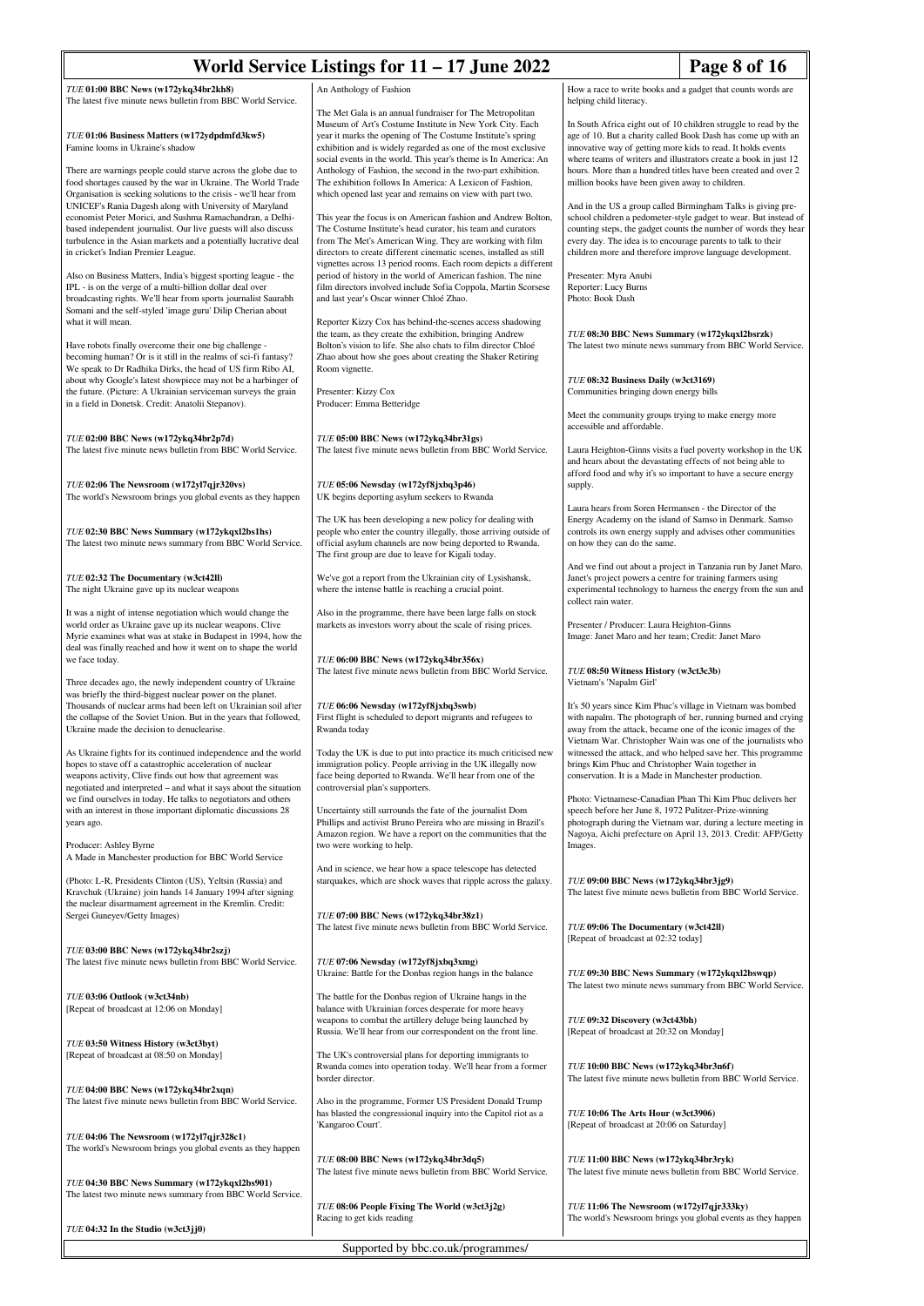| Page 8 of 16<br>World Service Listings for 11 - 17 June 2022                                                                                                                                                                                                                                                                                                            |                                                                                                                                                                                                                                                                                                                                                                                                                                                       |                                                                                                                                                                                                                                                                                                                                  |                                                                                                                                                                                                                                                                                                                                |
|-------------------------------------------------------------------------------------------------------------------------------------------------------------------------------------------------------------------------------------------------------------------------------------------------------------------------------------------------------------------------|-------------------------------------------------------------------------------------------------------------------------------------------------------------------------------------------------------------------------------------------------------------------------------------------------------------------------------------------------------------------------------------------------------------------------------------------------------|----------------------------------------------------------------------------------------------------------------------------------------------------------------------------------------------------------------------------------------------------------------------------------------------------------------------------------|--------------------------------------------------------------------------------------------------------------------------------------------------------------------------------------------------------------------------------------------------------------------------------------------------------------------------------|
| TUE 01:00 BBC News (w172ykq34br2kh8)<br>The latest five minute news bulletin from BBC World Service.                                                                                                                                                                                                                                                                    | An Anthology of Fashion                                                                                                                                                                                                                                                                                                                                                                                                                               | helping child literacy.                                                                                                                                                                                                                                                                                                          | How a race to write books and a gadget that counts words are                                                                                                                                                                                                                                                                   |
| TUE 01:06 Business Matters (w172ydpdmfd3kw5)<br>Famine looms in Ukraine's shadow<br>There are warnings people could starve across the globe due to<br>food shortages caused by the war in Ukraine. The World Trade                                                                                                                                                      | The Met Gala is an annual fundraiser for The Metropolitan<br>Museum of Art's Costume Institute in New York City. Each<br>year it marks the opening of The Costume Institute's spring<br>exhibition and is widely regarded as one of the most exclusive<br>social events in the world. This year's theme is In America: An<br>Anthology of Fashion, the second in the two-part exhibition.<br>The exhibition follows In America: A Lexicon of Fashion, | innovative way of getting more kids to read. It holds events<br>million books have been given away to children.                                                                                                                                                                                                                  | In South Africa eight out of 10 children struggle to read by the<br>age of 10. But a charity called Book Dash has come up with an<br>where teams of writers and illustrators create a book in just 12<br>hours. More than a hundred titles have been created and over 2                                                        |
| Organisation is seeking solutions to the crisis - we'll hear from<br>UNICEF's Rania Dagesh along with University of Maryland<br>economist Peter Morici, and Sushma Ramachandran, a Delhi-<br>based independent journalist. Our live guests will also discuss<br>turbulence in the Asian markets and a potentially lucrative deal<br>in cricket's Indian Premier League. | which opened last year and remains on view with part two.<br>This year the focus is on American fashion and Andrew Bolton,<br>The Costume Institute's head curator, his team and curators<br>from The Met's American Wing. They are working with film<br>directors to create different cinematic scenes, installed as still<br>vignettes across 13 period rooms. Each room depicts a different                                                        | And in the US a group called Birmingham Talks is giving pre-<br>school children a pedometer-style gadget to wear. But instead of<br>counting steps, the gadget counts the number of words they hear<br>every day. The idea is to encourage parents to talk to their<br>children more and therefore improve language development. |                                                                                                                                                                                                                                                                                                                                |
| Also on Business Matters, India's biggest sporting league - the<br>IPL - is on the verge of a multi-billion dollar deal over<br>broadcasting rights. We'll hear from sports journalist Saurabh<br>Somani and the self-styled 'image guru' Dilip Cherian about<br>what it will mean.                                                                                     | period of history in the world of American fashion. The nine<br>film directors involved include Sofia Coppola, Martin Scorsese<br>and last year's Oscar winner Chloé Zhao.<br>Reporter Kizzy Cox has behind-the-scenes access shadowing                                                                                                                                                                                                               | Presenter: Myra Anubi<br>Reporter: Lucy Burns<br>Photo: Book Dash                                                                                                                                                                                                                                                                |                                                                                                                                                                                                                                                                                                                                |
| Have robots finally overcome their one big challenge -<br>becoming human? Or is it still in the realms of sci-fi fantasy?<br>We speak to Dr Radhika Dirks, the head of US firm Ribo AI,<br>about why Google's latest showpiece may not be a harbinger of                                                                                                                | the team, as they create the exhibition, bringing Andrew<br>Bolton's vision to life. She also chats to film director Chloé<br>Zhao about how she goes about creating the Shaker Retiring<br>Room vignette.                                                                                                                                                                                                                                            | TUE 08:30 BBC News Summary (w172ykqxl2bsrzk)<br>TUE 08:32 Business Daily (w3ct3169)                                                                                                                                                                                                                                              | The latest two minute news summary from BBC World Service.                                                                                                                                                                                                                                                                     |
| the future. (Picture: A Ukrainian serviceman surveys the grain<br>in a field in Donetsk. Credit: Anatolii Stepanov).                                                                                                                                                                                                                                                    | Presenter: Kizzy Cox<br>Producer: Emma Betteridge                                                                                                                                                                                                                                                                                                                                                                                                     | Communities bringing down energy bills<br>Meet the community groups trying to make energy more                                                                                                                                                                                                                                   |                                                                                                                                                                                                                                                                                                                                |
| TUE 02:00 BBC News (w172ykq34br2p7d)<br>The latest five minute news bulletin from BBC World Service.                                                                                                                                                                                                                                                                    | TUE 05:00 BBC News (w172ykq34br31gs)<br>The latest five minute news bulletin from BBC World Service.                                                                                                                                                                                                                                                                                                                                                  | accessible and affordable.<br>and hears about the devastating effects of not being able to                                                                                                                                                                                                                                       | Laura Heighton-Ginns visits a fuel poverty workshop in the UK<br>afford food and why it's so important to have a secure energy                                                                                                                                                                                                 |
| TUE 02:06 The Newsroom (w172yl7qjr320vs)<br>The world's Newsroom brings you global events as they happen                                                                                                                                                                                                                                                                | TUE 05:06 Newsday (w172yf8jxbq3p46)<br>UK begins deporting asylum seekers to Rwanda<br>The UK has been developing a new policy for dealing with                                                                                                                                                                                                                                                                                                       | supply.<br>Laura hears from Soren Hermansen - the Director of the                                                                                                                                                                                                                                                                | Energy Academy on the island of Samso in Denmark. Samso                                                                                                                                                                                                                                                                        |
| TUE 02:30 BBC News Summary (w172ykqxl2bs1hs)<br>The latest two minute news summary from BBC World Service.                                                                                                                                                                                                                                                              | people who enter the country illegally, those arriving outside of<br>official asylum channels are now being deported to Rwanda.<br>The first group are due to leave for Kigali today.                                                                                                                                                                                                                                                                 | on how they can do the same.                                                                                                                                                                                                                                                                                                     | controls its own energy supply and advises other communities                                                                                                                                                                                                                                                                   |
| TUE 02:32 The Documentary (w3ct42ll)<br>The night Ukraine gave up its nuclear weapons                                                                                                                                                                                                                                                                                   | We've got a report from the Ukrainian city of Lysishansk,<br>where the intense battle is reaching a crucial point.                                                                                                                                                                                                                                                                                                                                    | Janet's project powers a centre for training farmers using<br>collect rain water.                                                                                                                                                                                                                                                | And we find out about a project in Tanzania run by Janet Maro.<br>experimental technology to harness the energy from the sun and                                                                                                                                                                                               |
| It was a night of intense negotiation which would change the<br>world order as Ukraine gave up its nuclear weapons. Clive<br>Myrie examines what was at stake in Budapest in 1994, how the<br>deal was finally reached and how it went on to shape the world<br>we face today.                                                                                          | Also in the programme, there have been large falls on stock<br>markets as investors worry about the scale of rising prices.<br>TUE 06:00 BBC News (w172ykq34br356x)                                                                                                                                                                                                                                                                                   | Presenter / Producer: Laura Heighton-Ginns<br>Image: Janet Maro and her team; Credit: Janet Maro                                                                                                                                                                                                                                 |                                                                                                                                                                                                                                                                                                                                |
| Three decades ago, the newly independent country of Ukraine<br>was briefly the third-biggest nuclear power on the planet.                                                                                                                                                                                                                                               | The latest five minute news bulletin from BBC World Service.                                                                                                                                                                                                                                                                                                                                                                                          | TUE 08:50 Witness History (w3ct3c3b)<br>Vietnam's 'Napalm Girl'                                                                                                                                                                                                                                                                  |                                                                                                                                                                                                                                                                                                                                |
| Thousands of nuclear arms had been left on Ukrainian soil after<br>the collapse of the Soviet Union. But in the years that followed,<br>Ukraine made the decision to denuclearise.<br>As Ukraine fights for its continued independence and the world                                                                                                                    | TUE 06:06 Newsday (w172yf8jxbq3swb)<br>First flight is scheduled to deport migrants and refugees to<br>Rwanda today<br>Today the UK is due to put into practice its much criticised new                                                                                                                                                                                                                                                               |                                                                                                                                                                                                                                                                                                                                  | It's 50 years since Kim Phuc's village in Vietnam was bombed<br>with napalm. The photograph of her, running burned and crying<br>away from the attack, became one of the iconic images of the<br>Vietnam War. Christopher Wain was one of the journalists who<br>witnessed the attack, and who helped save her. This programme |
| hopes to stave off a catastrophic acceleration of nuclear<br>weapons activity, Clive finds out how that agreement was<br>negotiated and interpreted – and what it says about the situation<br>we find ourselves in today. He talks to negotiators and others<br>with an interest in those important diplomatic discussions 28                                           | immigration policy. People arriving in the UK illegally now<br>face being deported to Rwanda. We'll hear from one of the<br>controversial plan's supporters.<br>Uncertainty still surrounds the fate of the journalist Dom                                                                                                                                                                                                                            | brings Kim Phuc and Christopher Wain together in<br>conservation. It is a Made in Manchester production.<br>speech before her June 8, 1972 Pulitzer-Prize-winning                                                                                                                                                                | Photo: Vietnamese-Canadian Phan Thi Kim Phuc delivers her                                                                                                                                                                                                                                                                      |
| years ago.<br>Producer: Ashley Byrne<br>A Made in Manchester production for BBC World Service                                                                                                                                                                                                                                                                           | Phillips and activist Bruno Pereira who are missing in Brazil's<br>Amazon region. We have a report on the communities that the<br>two were working to help.                                                                                                                                                                                                                                                                                           | Images.                                                                                                                                                                                                                                                                                                                          | photograph during the Vietnam war, during a lecture meeting in<br>Nagoya, Aichi prefecture on April 13, 2013. Credit: AFP/Getty                                                                                                                                                                                                |
| (Photo: L-R, Presidents Clinton (US), Yeltsin (Russia) and<br>Kravchuk (Ukraine) join hands 14 January 1994 after signing<br>the nuclear disarmament agreement in the Kremlin. Credit:                                                                                                                                                                                  | And in science, we hear how a space telescope has detected<br>starquakes, which are shock waves that ripple across the galaxy.                                                                                                                                                                                                                                                                                                                        | TUE 09:00 BBC News (w172ykq34br3jg9)                                                                                                                                                                                                                                                                                             | The latest five minute news bulletin from BBC World Service.                                                                                                                                                                                                                                                                   |
| Sergei Guneyev/Getty Images)<br>TUE 03:00 BBC News (w172ykq34br2szj)                                                                                                                                                                                                                                                                                                    | TUE 07:00 BBC News (w172ykq34br38z1)<br>The latest five minute news bulletin from BBC World Service.                                                                                                                                                                                                                                                                                                                                                  | TUE 09:06 The Documentary (w3ct42ll)<br>[Repeat of broadcast at 02:32 today]                                                                                                                                                                                                                                                     |                                                                                                                                                                                                                                                                                                                                |
| The latest five minute news bulletin from BBC World Service.<br>TUE 03:06 Outlook (w3ct34nb)                                                                                                                                                                                                                                                                            | TUE 07:06 Newsday (w172yf8jxbq3xmg)<br>Ukraine: Battle for the Donbas region hangs in the balance<br>The battle for the Donbas region of Ukraine hangs in the                                                                                                                                                                                                                                                                                         | TUE 09:30 BBC News Summary (w172ykqxl2bswqp)                                                                                                                                                                                                                                                                                     | The latest two minute news summary from BBC World Service.                                                                                                                                                                                                                                                                     |
| [Repeat of broadcast at 12:06 on Monday]                                                                                                                                                                                                                                                                                                                                | balance with Ukrainian forces desperate for more heavy<br>weapons to combat the artillery deluge being launched by<br>Russia. We'll hear from our correspondent on the front line.                                                                                                                                                                                                                                                                    | TUE 09:32 Discovery (w3ct43bh)<br>[Repeat of broadcast at 20:32 on Monday]                                                                                                                                                                                                                                                       |                                                                                                                                                                                                                                                                                                                                |
| TUE 03:50 Witness History (w3ct3byt)<br>[Repeat of broadcast at 08:50 on Monday]                                                                                                                                                                                                                                                                                        | The UK's controversial plans for deporting immigrants to<br>Rwanda comes into operation today. We'll hear from a former<br>border director.                                                                                                                                                                                                                                                                                                           | TUE 10:00 BBC News (w172ykq34br3n6f)                                                                                                                                                                                                                                                                                             | The latest five minute news bulletin from BBC World Service.                                                                                                                                                                                                                                                                   |
| TUE 04:00 BBC News (w172ykq34br2xqn)<br>The latest five minute news bulletin from BBC World Service.                                                                                                                                                                                                                                                                    | Also in the programme, Former US President Donald Trump<br>has blasted the congressional inquiry into the Capitol riot as a<br>'Kangaroo Court'.                                                                                                                                                                                                                                                                                                      | TUE 10:06 The Arts Hour (w3ct3906)<br>[Repeat of broadcast at 20:06 on Saturday]                                                                                                                                                                                                                                                 |                                                                                                                                                                                                                                                                                                                                |
| TUE 04:06 The Newsroom (w172yl7qjr328c1)<br>The world's Newsroom brings you global events as they happen                                                                                                                                                                                                                                                                | TUE 08:00 BBC News (w172ykq34br3dq5)<br>The latest five minute news bulletin from BBC World Service.                                                                                                                                                                                                                                                                                                                                                  | TUE 11:00 BBC News (w172ykq34br3ryk)                                                                                                                                                                                                                                                                                             | The latest five minute news bulletin from BBC World Service.                                                                                                                                                                                                                                                                   |
| TUE 04:30 BBC News Summary (w172ykqxl2bs901)<br>The latest two minute news summary from BBC World Service.                                                                                                                                                                                                                                                              | TUE 08:06 People Fixing The World (w3ct3j2g)<br>Racing to get kids reading                                                                                                                                                                                                                                                                                                                                                                            | TUE 11:06 The Newsroom (w172yl7qjr333ky)                                                                                                                                                                                                                                                                                         | The world's Newsroom brings you global events as they happen                                                                                                                                                                                                                                                                   |
| $TUE$ 04:32 In the Studio (w3ct3jj0)                                                                                                                                                                                                                                                                                                                                    | Supported by bbc.co.uk/programmes/                                                                                                                                                                                                                                                                                                                                                                                                                    |                                                                                                                                                                                                                                                                                                                                  |                                                                                                                                                                                                                                                                                                                                |
|                                                                                                                                                                                                                                                                                                                                                                         |                                                                                                                                                                                                                                                                                                                                                                                                                                                       |                                                                                                                                                                                                                                                                                                                                  |                                                                                                                                                                                                                                                                                                                                |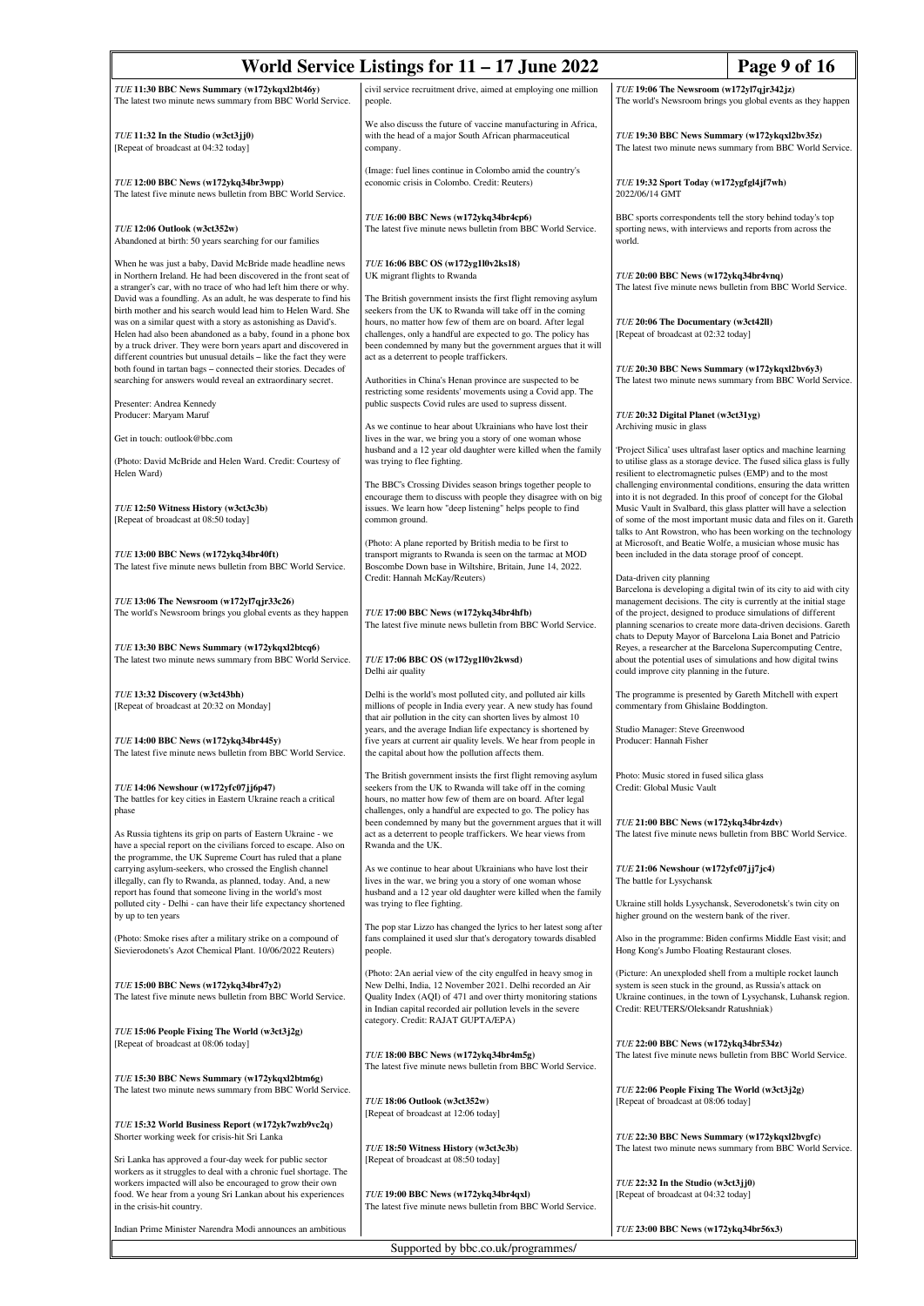| World Service Listings for $11 - 17$ June 2022<br>Page 9 of 16                                                                                                                                                                                                                                                                          |                                                                                                                                                                                                                                                                                                                              |                                                                                                                                                                                                                                                                            |                                                                                                                                                                                                                                                                            |
|-----------------------------------------------------------------------------------------------------------------------------------------------------------------------------------------------------------------------------------------------------------------------------------------------------------------------------------------|------------------------------------------------------------------------------------------------------------------------------------------------------------------------------------------------------------------------------------------------------------------------------------------------------------------------------|----------------------------------------------------------------------------------------------------------------------------------------------------------------------------------------------------------------------------------------------------------------------------|----------------------------------------------------------------------------------------------------------------------------------------------------------------------------------------------------------------------------------------------------------------------------|
| TUE 11:30 BBC News Summary (w172ykqxl2bt46y)<br>The latest two minute news summary from BBC World Service.                                                                                                                                                                                                                              | civil service recruitment drive, aimed at employing one million<br>people.                                                                                                                                                                                                                                                   | TUE 19:06 The Newsroom (w172yl7qjr342jz)<br>The world's Newsroom brings you global events as they happen                                                                                                                                                                   |                                                                                                                                                                                                                                                                            |
| $TUE$ 11:32 In the Studio (w3ct3jj0)<br>[Repeat of broadcast at 04:32 today]                                                                                                                                                                                                                                                            | We also discuss the future of vaccine manufacturing in Africa,<br>with the head of a major South African pharmaceutical<br>company.                                                                                                                                                                                          | TUE 19:30 BBC News Summary (w172ykqxl2bv35z)<br>The latest two minute news summary from BBC World Service.                                                                                                                                                                 |                                                                                                                                                                                                                                                                            |
| TUE 12:00 BBC News (w172ykq34br3wpp)<br>The latest five minute news bulletin from BBC World Service.                                                                                                                                                                                                                                    | (Image: fuel lines continue in Colombo amid the country's<br>economic crisis in Colombo. Credit: Reuters)                                                                                                                                                                                                                    | TUE 19:32 Sport Today (w172ygfgl4jf7wh)<br>2022/06/14 GMT                                                                                                                                                                                                                  |                                                                                                                                                                                                                                                                            |
| TUE 12:06 Outlook (w3ct352w)<br>Abandoned at birth: 50 years searching for our families                                                                                                                                                                                                                                                 | TUE 16:00 BBC News (w172ykq34br4cp6)<br>The latest five minute news bulletin from BBC World Service.                                                                                                                                                                                                                         | BBC sports correspondents tell the story behind today's top<br>sporting news, with interviews and reports from across the<br>world.                                                                                                                                        |                                                                                                                                                                                                                                                                            |
| When he was just a baby, David McBride made headline news<br>in Northern Ireland. He had been discovered in the front seat of<br>a stranger's car, with no trace of who had left him there or why.                                                                                                                                      | TUE 16:06 BBC OS (w172yg1l0v2ks18)<br>UK migrant flights to Rwanda                                                                                                                                                                                                                                                           | TUE 20:00 BBC News (w172ykq34br4vnq)<br>The latest five minute news bulletin from BBC World Service.                                                                                                                                                                       |                                                                                                                                                                                                                                                                            |
| David was a foundling. As an adult, he was desperate to find his<br>birth mother and his search would lead him to Helen Ward. She<br>was on a similar quest with a story as astonishing as David's.<br>Helen had also been abandoned as a baby, found in a phone box<br>by a truck driver. They were born years apart and discovered in | The British government insists the first flight removing asylum<br>seekers from the UK to Rwanda will take off in the coming<br>hours, no matter how few of them are on board. After legal<br>challenges, only a handful are expected to go. The policy has<br>been condemned by many but the government argues that it will | TUE 20:06 The Documentary (w3ct42ll)<br>[Repeat of broadcast at 02:32 today]                                                                                                                                                                                               |                                                                                                                                                                                                                                                                            |
| different countries but unusual details - like the fact they were<br>both found in tartan bags - connected their stories. Decades of<br>searching for answers would reveal an extraordinary secret.                                                                                                                                     | act as a deterrent to people traffickers.<br>Authorities in China's Henan province are suspected to be<br>restricting some residents' movements using a Covid app. The                                                                                                                                                       | TUE 20:30 BBC News Summary (w172ykqxl2bv6y3)                                                                                                                                                                                                                               | The latest two minute news summary from BBC World Service.                                                                                                                                                                                                                 |
| Presenter: Andrea Kennedy<br>Producer: Maryam Maruf                                                                                                                                                                                                                                                                                     | public suspects Covid rules are used to supress dissent.<br>As we continue to hear about Ukrainians who have lost their                                                                                                                                                                                                      | TUE 20:32 Digital Planet (w3ct31yg)<br>Archiving music in glass                                                                                                                                                                                                            |                                                                                                                                                                                                                                                                            |
| Get in touch: outlook@bbc.com                                                                                                                                                                                                                                                                                                           | lives in the war, we bring you a story of one woman whose<br>husband and a 12 year old daughter were killed when the family                                                                                                                                                                                                  |                                                                                                                                                                                                                                                                            | 'Project Silica' uses ultrafast laser optics and machine learning                                                                                                                                                                                                          |
| (Photo: David McBride and Helen Ward. Credit: Courtesy of<br>Helen Ward)                                                                                                                                                                                                                                                                | was trying to flee fighting.<br>The BBC's Crossing Divides season brings together people to                                                                                                                                                                                                                                  | resilient to electromagnetic pulses (EMP) and to the most                                                                                                                                                                                                                  | to utilise glass as a storage device. The fused silica glass is fully<br>challenging environmental conditions, ensuring the data written                                                                                                                                   |
| TUE 12:50 Witness History (w3ct3c3b)<br>[Repeat of broadcast at 08:50 today]                                                                                                                                                                                                                                                            | encourage them to discuss with people they disagree with on big<br>issues. We learn how "deep listening" helps people to find<br>common ground.                                                                                                                                                                              |                                                                                                                                                                                                                                                                            | into it is not degraded. In this proof of concept for the Global<br>Music Vault in Svalbard, this glass platter will have a selection<br>of some of the most important music data and files on it. Gareth<br>talks to Ant Rowstron, who has been working on the technology |
| TUE 13:00 BBC News (w172ykq34br40ft)<br>The latest five minute news bulletin from BBC World Service.                                                                                                                                                                                                                                    | (Photo: A plane reported by British media to be first to<br>transport migrants to Rwanda is seen on the tarmac at MOD<br>Boscombe Down base in Wiltshire, Britain, June 14, 2022.<br>Credit: Hannah McKay/Reuters)                                                                                                           | been included in the data storage proof of concept.<br>Data-driven city planning                                                                                                                                                                                           | at Microsoft, and Beatie Wolfe, a musician whose music has                                                                                                                                                                                                                 |
| TUE 13:06 The Newsroom (w172yl7qjr33c26)<br>The world's Newsroom brings you global events as they happen                                                                                                                                                                                                                                | TUE 17:00 BBC News (w172ykq34br4hfb)<br>The latest five minute news bulletin from BBC World Service.                                                                                                                                                                                                                         | Barcelona is developing a digital twin of its city to aid with city<br>management decisions. The city is currently at the initial stage<br>of the project, designed to produce simulations of different<br>planning scenarios to create more data-driven decisions. Gareth |                                                                                                                                                                                                                                                                            |
| TUE 13:30 BBC News Summary (w172ykqxl2btcq6)<br>The latest two minute news summary from BBC World Service.                                                                                                                                                                                                                              | TUE 17:06 BBC OS (w172yg1l0v2kwsd)<br>Delhi air quality                                                                                                                                                                                                                                                                      | about the potential uses of simulations and how digital twins<br>could improve city planning in the future.                                                                                                                                                                | chats to Deputy Mayor of Barcelona Laia Bonet and Patricio<br>Reyes, a researcher at the Barcelona Supercomputing Centre,                                                                                                                                                  |
| TUE 13:32 Discovery (w3ct43bh)<br>[Repeat of broadcast at 20:32 on Monday]                                                                                                                                                                                                                                                              | Delhi is the world's most polluted city, and polluted air kills<br>millions of people in India every year. A new study has found<br>that air pollution in the city can shorten lives by almost 10                                                                                                                            | The programme is presented by Gareth Mitchell with expert<br>commentary from Ghislaine Boddington.                                                                                                                                                                         |                                                                                                                                                                                                                                                                            |
| TUE 14:00 BBC News (w172ykq34br445y)<br>The latest five minute news bulletin from BBC World Service.                                                                                                                                                                                                                                    | years, and the average Indian life expectancy is shortened by<br>five years at current air quality levels. We hear from people in<br>the capital about how the pollution affects them.                                                                                                                                       | Studio Manager: Steve Greenwood<br>Producer: Hannah Fisher                                                                                                                                                                                                                 |                                                                                                                                                                                                                                                                            |
| TUE 14:06 Newshour (w172yfc07jj6p47)<br>The battles for key cities in Eastern Ukraine reach a critical<br>phase                                                                                                                                                                                                                         | The British government insists the first flight removing asylum<br>seekers from the UK to Rwanda will take off in the coming<br>hours, no matter how few of them are on board. After legal<br>challenges, only a handful are expected to go. The policy has                                                                  | Photo: Music stored in fused silica glass<br>Credit: Global Music Vault                                                                                                                                                                                                    |                                                                                                                                                                                                                                                                            |
| As Russia tightens its grip on parts of Eastern Ukraine - we<br>have a special report on the civilians forced to escape. Also on<br>the programme, the UK Supreme Court has ruled that a plane                                                                                                                                          | been condemned by many but the government argues that it will<br>act as a deterrent to people traffickers. We hear views from<br>Rwanda and the UK.                                                                                                                                                                          | TUE 21:00 BBC News (w172ykq34br4zdv)                                                                                                                                                                                                                                       | The latest five minute news bulletin from BBC World Service.                                                                                                                                                                                                               |
| carrying asylum-seekers, who crossed the English channel<br>illegally, can fly to Rwanda, as planned, today. And, a new<br>report has found that someone living in the world's most                                                                                                                                                     | As we continue to hear about Ukrainians who have lost their<br>lives in the war, we bring you a story of one woman whose<br>husband and a 12 year old daughter were killed when the family                                                                                                                                   | TUE 21:06 Newshour (w172yfc07jj7jc4)<br>The battle for Lysychansk                                                                                                                                                                                                          |                                                                                                                                                                                                                                                                            |
| polluted city - Delhi - can have their life expectancy shortened<br>by up to ten years                                                                                                                                                                                                                                                  | was trying to flee fighting.<br>The pop star Lizzo has changed the lyrics to her latest song after                                                                                                                                                                                                                           | higher ground on the western bank of the river.                                                                                                                                                                                                                            | Ukraine still holds Lysychansk, Severodonetsk's twin city on                                                                                                                                                                                                               |
| (Photo: Smoke rises after a military strike on a compound of<br>Sievierodonets's Azot Chemical Plant. 10/06/2022 Reuters)                                                                                                                                                                                                               | fans complained it used slur that's derogatory towards disabled<br>people.                                                                                                                                                                                                                                                   | Hong Kong's Jumbo Floating Restaurant closes.                                                                                                                                                                                                                              | Also in the programme: Biden confirms Middle East visit; and                                                                                                                                                                                                               |
| TUE 15:00 BBC News (w172ykq34br47y2)<br>The latest five minute news bulletin from BBC World Service.                                                                                                                                                                                                                                    | (Photo: 2An aerial view of the city engulfed in heavy smog in<br>New Delhi, India, 12 November 2021. Delhi recorded an Air<br>Quality Index (AQI) of 471 and over thirty monitoring stations<br>in Indian capital recorded air pollution levels in the severe<br>category. Credit: RAJAT GUPTA/EPA)                          | (Picture: An unexploded shell from a multiple rocket launch<br>system is seen stuck in the ground, as Russia's attack on<br>Ukraine continues, in the town of Lysychansk, Luhansk region.<br>Credit: REUTERS/Oleksandr Ratushniak)                                         |                                                                                                                                                                                                                                                                            |
| TUE 15:06 People Fixing The World (w3ct3j2g)<br>[Repeat of broadcast at 08:06 today]                                                                                                                                                                                                                                                    | TUE 18:00 BBC News (w172ykq34br4m5g)<br>The latest five minute news bulletin from BBC World Service.                                                                                                                                                                                                                         | TUE 22:00 BBC News (w172ykq34br534z)<br>The latest five minute news bulletin from BBC World Service.                                                                                                                                                                       |                                                                                                                                                                                                                                                                            |
| TUE 15:30 BBC News Summary (w172ykqxl2btm6g)<br>The latest two minute news summary from BBC World Service.                                                                                                                                                                                                                              | TUE 18:06 Outlook (w3ct352w)                                                                                                                                                                                                                                                                                                 | TUE 22:06 People Fixing The World (w3ct3j2g)<br>[Repeat of broadcast at 08:06 today]                                                                                                                                                                                       |                                                                                                                                                                                                                                                                            |
| TUE 15:32 World Business Report (w172yk7wzb9vc2q)<br>Shorter working week for crisis-hit Sri Lanka                                                                                                                                                                                                                                      | [Repeat of broadcast at 12:06 today]<br>TUE 18:50 Witness History (w3ct3c3b)                                                                                                                                                                                                                                                 | TUE 22:30 BBC News Summary (w172ykqxl2bvgfc)                                                                                                                                                                                                                               | The latest two minute news summary from BBC World Service.                                                                                                                                                                                                                 |
| Sri Lanka has approved a four-day week for public sector<br>workers as it struggles to deal with a chronic fuel shortage. The<br>workers impacted will also be encouraged to grow their own<br>food. We hear from a young Sri Lankan about his experiences                                                                              | [Repeat of broadcast at 08:50 today]<br>TUE 19:00 BBC News (w172ykq34br4qxl)                                                                                                                                                                                                                                                 | $TUE$ 22:32 In the Studio (w3ct3jj0)<br>[Repeat of broadcast at 04:32 today]                                                                                                                                                                                               |                                                                                                                                                                                                                                                                            |
| in the crisis-hit country.                                                                                                                                                                                                                                                                                                              | The latest five minute news bulletin from BBC World Service.                                                                                                                                                                                                                                                                 |                                                                                                                                                                                                                                                                            |                                                                                                                                                                                                                                                                            |
| Indian Prime Minister Narendra Modi announces an ambitious<br>TUE 23:00 BBC News (w172ykq34br56x3)<br>Supported by bbc.co.uk/programmes/                                                                                                                                                                                                |                                                                                                                                                                                                                                                                                                                              |                                                                                                                                                                                                                                                                            |                                                                                                                                                                                                                                                                            |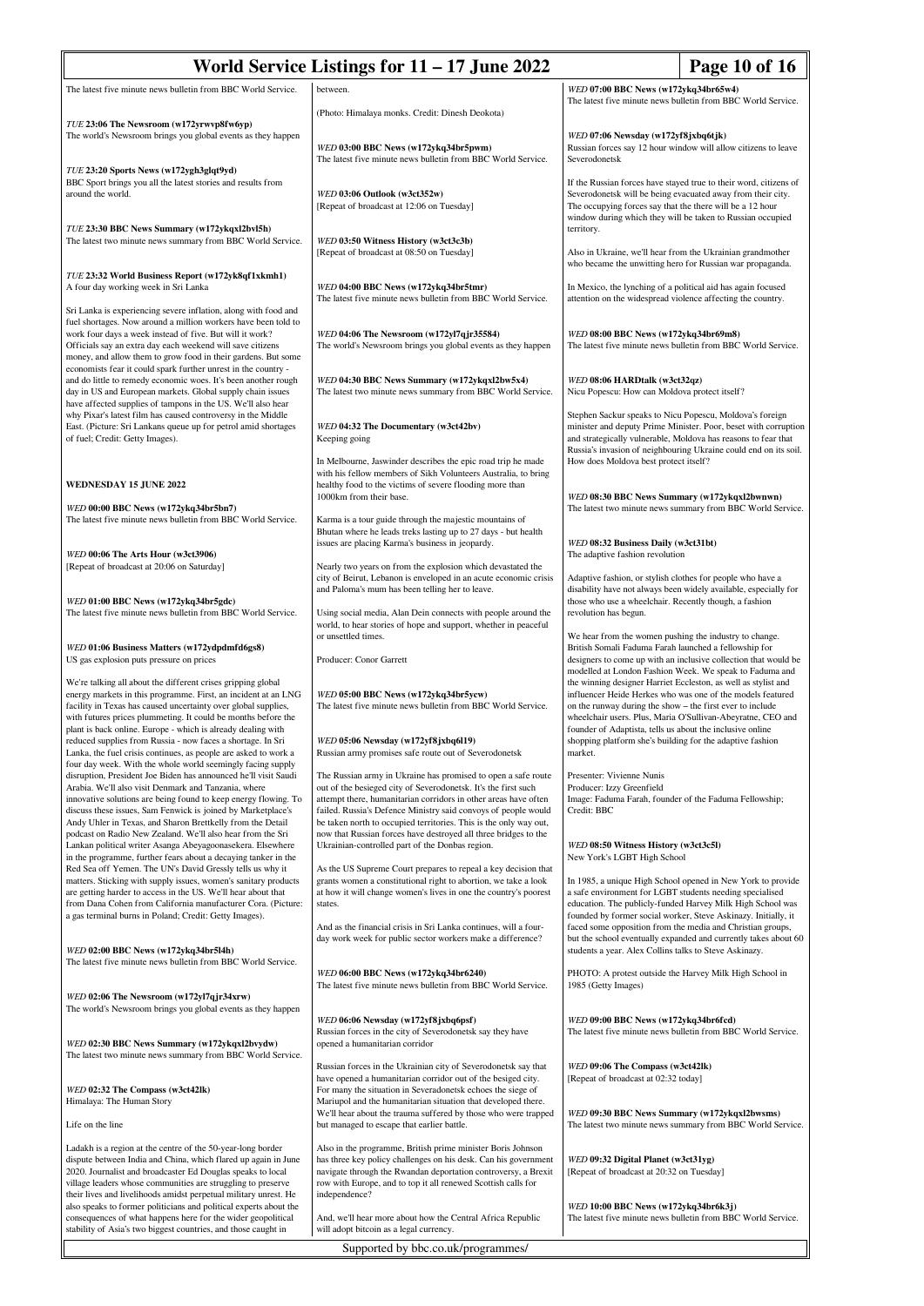| World Service Listings for $11 - 17$ June 2022                                                                                                                                                                                                                                                                                                                                                   |                                                                                                                                                                                                                                                                                    |                                                                                                                                                                                                                                                                                                                                                                                                                                                                                                                                                                                                                                     | Page 10 of 16                                                                                                                                                                                         |  |
|--------------------------------------------------------------------------------------------------------------------------------------------------------------------------------------------------------------------------------------------------------------------------------------------------------------------------------------------------------------------------------------------------|------------------------------------------------------------------------------------------------------------------------------------------------------------------------------------------------------------------------------------------------------------------------------------|-------------------------------------------------------------------------------------------------------------------------------------------------------------------------------------------------------------------------------------------------------------------------------------------------------------------------------------------------------------------------------------------------------------------------------------------------------------------------------------------------------------------------------------------------------------------------------------------------------------------------------------|-------------------------------------------------------------------------------------------------------------------------------------------------------------------------------------------------------|--|
| The latest five minute news bulletin from BBC World Service.                                                                                                                                                                                                                                                                                                                                     | between.                                                                                                                                                                                                                                                                           | WED 07:00 BBC News (w172ykq34br65w4)                                                                                                                                                                                                                                                                                                                                                                                                                                                                                                                                                                                                |                                                                                                                                                                                                       |  |
|                                                                                                                                                                                                                                                                                                                                                                                                  | (Photo: Himalaya monks. Credit: Dinesh Deokota)                                                                                                                                                                                                                                    | The latest five minute news bulletin from BBC World Service.                                                                                                                                                                                                                                                                                                                                                                                                                                                                                                                                                                        |                                                                                                                                                                                                       |  |
| TUE 23:06 The Newsroom (w172yrwvp8fw6yp)<br>The world's Newsroom brings you global events as they happen                                                                                                                                                                                                                                                                                         | WED 03:00 BBC News (w172ykq34br5pwm)<br>The latest five minute news bulletin from BBC World Service.                                                                                                                                                                               | WED 07:06 Newsday (w172yf8jxbq6tjk)<br>Russian forces say 12 hour window will allow citizens to leave<br>Severodonetsk                                                                                                                                                                                                                                                                                                                                                                                                                                                                                                              |                                                                                                                                                                                                       |  |
| TUE 23:20 Sports News (w172ygh3glqt9yd)<br>BBC Sport brings you all the latest stories and results from<br>around the world.                                                                                                                                                                                                                                                                     | WED 03:06 Outlook (w3ct352w)<br>[Repeat of broadcast at 12:06 on Tuesday]                                                                                                                                                                                                          | If the Russian forces have stayed true to their word, citizens of<br>Severodonetsk will be being evacuated away from their city.<br>The occupying forces say that the there will be a 12 hour<br>window during which they will be taken to Russian occupied                                                                                                                                                                                                                                                                                                                                                                         |                                                                                                                                                                                                       |  |
| TUE 23:30 BBC News Summary (w172ykqxl2bvl5h)<br>The latest two minute news summary from BBC World Service.                                                                                                                                                                                                                                                                                       | WED 03:50 Witness History (w3ct3c3b)<br>[Repeat of broadcast at 08:50 on Tuesday]                                                                                                                                                                                                  | territory.<br>Also in Ukraine, we'll hear from the Ukrainian grandmother<br>who became the unwitting hero for Russian war propaganda.                                                                                                                                                                                                                                                                                                                                                                                                                                                                                               |                                                                                                                                                                                                       |  |
| TUE 23:32 World Business Report (w172yk8qf1xkmh1)<br>A four day working week in Sri Lanka<br>Sri Lanka is experiencing severe inflation, along with food and                                                                                                                                                                                                                                     | WED 04:00 BBC News (w172ykq34br5tmr)<br>The latest five minute news bulletin from BBC World Service.                                                                                                                                                                               |                                                                                                                                                                                                                                                                                                                                                                                                                                                                                                                                                                                                                                     | In Mexico, the lynching of a political aid has again focused<br>attention on the widespread violence affecting the country.                                                                           |  |
| fuel shortages. Now around a million workers have been told to<br>work four days a week instead of five. But will it work?<br>Officials say an extra day each weekend will save citizens<br>money, and allow them to grow food in their gardens. But some                                                                                                                                        | WED 04:06 The Newsroom (w172yl7qjr35584)<br>The world's Newsroom brings you global events as they happen                                                                                                                                                                           | WED 08:00 BBC News (w172ykq34br69m8)<br>The latest five minute news bulletin from BBC World Service.                                                                                                                                                                                                                                                                                                                                                                                                                                                                                                                                |                                                                                                                                                                                                       |  |
| economists fear it could spark further unrest in the country -<br>and do little to remedy economic woes. It's been another rough<br>day in US and European markets. Global supply chain issues<br>have affected supplies of tampons in the US. We'll also hear                                                                                                                                   | WED 04:30 BBC News Summary (w172ykqxl2bw5x4)<br>The latest two minute news summary from BBC World Service.                                                                                                                                                                         | WED 08:06 HARDtalk (w3ct32qz)<br>Nicu Popescu: How can Moldova protect itself?                                                                                                                                                                                                                                                                                                                                                                                                                                                                                                                                                      |                                                                                                                                                                                                       |  |
| why Pixar's latest film has caused controversy in the Middle<br>East. (Picture: Sri Lankans queue up for petrol amid shortages<br>of fuel; Credit: Getty Images).                                                                                                                                                                                                                                | WED 04:32 The Documentary (w3ct42bv)<br>Keeping going                                                                                                                                                                                                                              | Stephen Sackur speaks to Nicu Popescu, Moldova's foreign                                                                                                                                                                                                                                                                                                                                                                                                                                                                                                                                                                            | minister and deputy Prime Minister. Poor, beset with corruption<br>and strategically vulnerable, Moldova has reasons to fear that<br>Russia's invasion of neighbouring Ukraine could end on its soil. |  |
| <b>WEDNESDAY 15 JUNE 2022</b>                                                                                                                                                                                                                                                                                                                                                                    | In Melbourne, Jaswinder describes the epic road trip he made<br>with his fellow members of Sikh Volunteers Australia, to bring<br>healthy food to the victims of severe flooding more than<br>1000km from their base.                                                              | How does Moldova best protect itself?<br>WED 08:30 BBC News Summary (w172ykqxl2bwnwn)                                                                                                                                                                                                                                                                                                                                                                                                                                                                                                                                               |                                                                                                                                                                                                       |  |
| WED 00:00 BBC News (w172ykq34br5bn7)<br>The latest five minute news bulletin from BBC World Service.                                                                                                                                                                                                                                                                                             | Karma is a tour guide through the majestic mountains of<br>Bhutan where he leads treks lasting up to 27 days - but health<br>issues are placing Karma's business in jeopardy.                                                                                                      | WED 08:32 Business Daily (w3ct31bt)                                                                                                                                                                                                                                                                                                                                                                                                                                                                                                                                                                                                 | The latest two minute news summary from BBC World Service.                                                                                                                                            |  |
| WED 00:06 The Arts Hour (w3ct3906)<br>[Repeat of broadcast at 20:06 on Saturday]                                                                                                                                                                                                                                                                                                                 | Nearly two years on from the explosion which devastated the<br>city of Beirut, Lebanon is enveloped in an acute economic crisis<br>and Paloma's mum has been telling her to leave.                                                                                                 | The adaptive fashion revolution<br>Adaptive fashion, or stylish clothes for people who have a                                                                                                                                                                                                                                                                                                                                                                                                                                                                                                                                       |                                                                                                                                                                                                       |  |
| WED 01:00 BBC News (w172ykq34br5gdc)<br>The latest five minute news bulletin from BBC World Service.                                                                                                                                                                                                                                                                                             | Using social media, Alan Dein connects with people around the<br>world, to hear stories of hope and support, whether in peaceful                                                                                                                                                   | disability have not always been widely available, especially for<br>those who use a wheelchair. Recently though, a fashion<br>revolution has begun.                                                                                                                                                                                                                                                                                                                                                                                                                                                                                 |                                                                                                                                                                                                       |  |
| WED 01:06 Business Matters (w172ydpdmfd6gs8)<br>US gas explosion puts pressure on prices                                                                                                                                                                                                                                                                                                         | or unsettled times.<br>Producer: Conor Garrett                                                                                                                                                                                                                                     | We hear from the women pushing the industry to change.<br>British Somali Faduma Farah launched a fellowship for<br>designers to come up with an inclusive collection that would be<br>modelled at London Fashion Week. We speak to Faduma and<br>the winning designer Harriet Eccleston, as well as stylist and<br>influencer Heide Herkes who was one of the models featured<br>on the runway during the show – the first ever to include<br>wheelchair users. Plus, Maria O'Sullivan-Abeyratne, CEO and<br>founder of Adaptista, tells us about the inclusive online<br>shopping platform she's building for the adaptive fashion |                                                                                                                                                                                                       |  |
| We're talking all about the different crises gripping global<br>energy markets in this programme. First, an incident at an LNG<br>facility in Texas has caused uncertainty over global supplies,<br>with futures prices plummeting. It could be months before the<br>plant is back online. Europe - which is already dealing with<br>reduced supplies from Russia - now faces a shortage. In Sri | WED 05:00 BBC News (w172ykq34br5ycw)<br>The latest five minute news bulletin from BBC World Service.<br>WED 05:06 Newsday (w172yf8jxbq6l19)                                                                                                                                        |                                                                                                                                                                                                                                                                                                                                                                                                                                                                                                                                                                                                                                     |                                                                                                                                                                                                       |  |
| Lanka, the fuel crisis continues, as people are asked to work a<br>four day week. With the whole world seemingly facing supply<br>disruption, President Joe Biden has announced he'll visit Saudi<br>Arabia. We'll also visit Denmark and Tanzania, where<br>innovative solutions are being found to keep energy flowing. To                                                                     | Russian army promises safe route out of Severodonetsk<br>The Russian army in Ukraine has promised to open a safe route<br>out of the besieged city of Severodonetsk. It's the first such<br>attempt there, humanitarian corridors in other areas have often                        | market.<br>Presenter: Vivienne Nunis<br>Producer: Izzy Greenfield<br>Image: Faduma Farah, founder of the Faduma Fellowship;                                                                                                                                                                                                                                                                                                                                                                                                                                                                                                         |                                                                                                                                                                                                       |  |
| discuss these issues, Sam Fenwick is joined by Marketplace's<br>Andy Uhler in Texas, and Sharon Brettkelly from the Detail<br>podcast on Radio New Zealand. We'll also hear from the Sri<br>Lankan political writer Asanga Abeyagoonasekera. Elsewhere                                                                                                                                           | failed. Russia's Defence Ministry said convoys of people would<br>be taken north to occupied territories. This is the only way out,<br>now that Russian forces have destroyed all three bridges to the<br>Ukrainian-controlled part of the Donbas region.                          | Credit: BBC<br>WED 08:50 Witness History (w3ct3c5l)                                                                                                                                                                                                                                                                                                                                                                                                                                                                                                                                                                                 |                                                                                                                                                                                                       |  |
| in the programme, further fears about a decaying tanker in the<br>Red Sea off Yemen. The UN's David Gressly tells us why it<br>matters. Sticking with supply issues, women's sanitary products                                                                                                                                                                                                   | As the US Supreme Court prepares to repeal a key decision that<br>grants women a constitutional right to abortion, we take a look                                                                                                                                                  | New York's LGBT High School                                                                                                                                                                                                                                                                                                                                                                                                                                                                                                                                                                                                         | In 1985, a unique High School opened in New York to provide                                                                                                                                           |  |
| are getting harder to access in the US. We'll hear about that<br>from Dana Cohen from California manufacturer Cora. (Picture:<br>a gas terminal burns in Poland; Credit: Getty Images).                                                                                                                                                                                                          | at how it will change women's lives in one the country's poorest<br>states.<br>And as the financial crisis in Sri Lanka continues, will a four-                                                                                                                                    | a safe environment for LGBT students needing specialised                                                                                                                                                                                                                                                                                                                                                                                                                                                                                                                                                                            | education. The publicly-funded Harvey Milk High School was<br>founded by former social worker, Steve Askinazy. Initially, it<br>faced some opposition from the media and Christian groups,            |  |
| WED 02:00 BBC News (w172ykq34br5l4h)<br>The latest five minute news bulletin from BBC World Service.                                                                                                                                                                                                                                                                                             | day work week for public sector workers make a difference?<br>WED 06:00 BBC News (w172ykq34br6240)                                                                                                                                                                                 | students a year. Alex Collins talks to Steve Askinazy.<br>PHOTO: A protest outside the Harvey Milk High School in                                                                                                                                                                                                                                                                                                                                                                                                                                                                                                                   | but the school eventually expanded and currently takes about 60                                                                                                                                       |  |
| WED 02:06 The Newsroom (w172yl7qjr34xrw)<br>The world's Newsroom brings you global events as they happen                                                                                                                                                                                                                                                                                         | The latest five minute news bulletin from BBC World Service.                                                                                                                                                                                                                       | 1985 (Getty Images)                                                                                                                                                                                                                                                                                                                                                                                                                                                                                                                                                                                                                 |                                                                                                                                                                                                       |  |
| WED 02:30 BBC News Summary (w172ykqxl2bvydw)<br>The latest two minute news summary from BBC World Service.                                                                                                                                                                                                                                                                                       | WED 06:06 Newsday (w172yf8jxbq6psf)<br>Russian forces in the city of Severodonetsk say they have<br>opened a humanitarian corridor                                                                                                                                                 | WED 09:00 BBC News (w172ykq34br6fcd)<br>The latest five minute news bulletin from BBC World Service.                                                                                                                                                                                                                                                                                                                                                                                                                                                                                                                                |                                                                                                                                                                                                       |  |
| WED 02:32 The Compass (w3ct42lk)<br>Himalaya: The Human Story                                                                                                                                                                                                                                                                                                                                    | Russian forces in the Ukrainian city of Severodonetsk say that<br>have opened a humanitarian corridor out of the besiged city.<br>For many the situation in Severadonetsk echoes the siege of<br>Mariupol and the humanitarian situation that developed there.                     | WED 09:06 The Compass (w3ct42lk)<br>[Repeat of broadcast at 02:32 today]                                                                                                                                                                                                                                                                                                                                                                                                                                                                                                                                                            |                                                                                                                                                                                                       |  |
| Life on the line                                                                                                                                                                                                                                                                                                                                                                                 | We'll hear about the trauma suffered by those who were trapped<br>but managed to escape that earlier battle.                                                                                                                                                                       | WED 09:30 BBC News Summary (w172ykqxl2bwsms)                                                                                                                                                                                                                                                                                                                                                                                                                                                                                                                                                                                        | The latest two minute news summary from BBC World Service.                                                                                                                                            |  |
| Ladakh is a region at the centre of the 50-year-long border<br>dispute between India and China, which flared up again in June<br>2020. Journalist and broadcaster Ed Douglas speaks to local<br>village leaders whose communities are struggling to preserve<br>their lives and livelihoods amidst perpetual military unrest. He                                                                 | Also in the programme, British prime minister Boris Johnson<br>has three key policy challenges on his desk. Can his government<br>navigate through the Rwandan deportation controversy, a Brexit<br>row with Europe, and to top it all renewed Scottish calls for<br>independence? | WED 09:32 Digital Planet (w3ct31yg)<br>[Repeat of broadcast at 20:32 on Tuesday]                                                                                                                                                                                                                                                                                                                                                                                                                                                                                                                                                    |                                                                                                                                                                                                       |  |
| also speaks to former politicians and political experts about the<br>consequences of what happens here for the wider geopolitical<br>stability of Asia's two biggest countries, and those caught in                                                                                                                                                                                              | And, we'll hear more about how the Central Africa Republic<br>will adopt bitcoin as a legal currency.                                                                                                                                                                              | WED 10:00 BBC News (w172ykq34br6k3j)<br>The latest five minute news bulletin from BBC World Service.                                                                                                                                                                                                                                                                                                                                                                                                                                                                                                                                |                                                                                                                                                                                                       |  |
| Supported by bbc.co.uk/programmes/                                                                                                                                                                                                                                                                                                                                                               |                                                                                                                                                                                                                                                                                    |                                                                                                                                                                                                                                                                                                                                                                                                                                                                                                                                                                                                                                     |                                                                                                                                                                                                       |  |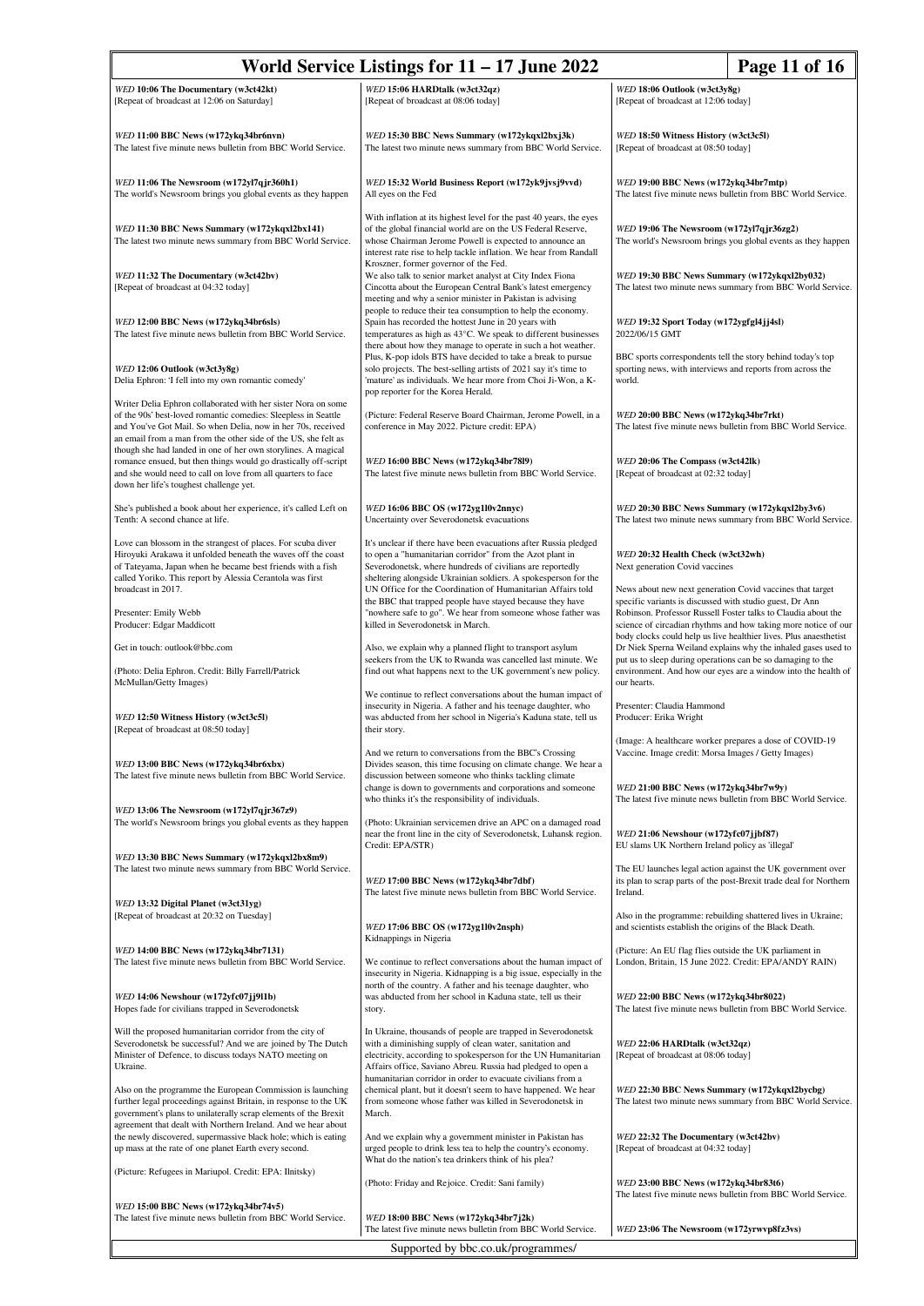| World Service Listings for $11 - 17$ June 2022<br>Page 11 of 16                                                                                                                                                                                                               |                                                                                                                                                                                                                                                                                                                             |                                                                                                                                                                                                                                                                  |  |
|-------------------------------------------------------------------------------------------------------------------------------------------------------------------------------------------------------------------------------------------------------------------------------|-----------------------------------------------------------------------------------------------------------------------------------------------------------------------------------------------------------------------------------------------------------------------------------------------------------------------------|------------------------------------------------------------------------------------------------------------------------------------------------------------------------------------------------------------------------------------------------------------------|--|
| WED 10:06 The Documentary (w3ct42kt)<br>[Repeat of broadcast at 12:06 on Saturday]                                                                                                                                                                                            | WED 15:06 HARDtalk (w3ct32qz)<br>[Repeat of broadcast at 08:06 today]                                                                                                                                                                                                                                                       | WED 18:06 Outlook (w3ct3y8g)<br>[Repeat of broadcast at 12:06 today]                                                                                                                                                                                             |  |
| WED 11:00 BBC News (w172ykq34br6nvn)<br>The latest five minute news bulletin from BBC World Service.                                                                                                                                                                          | WED 15:30 BBC News Summary (w172ykqxl2bxj3k)<br>The latest two minute news summary from BBC World Service.                                                                                                                                                                                                                  | WED 18:50 Witness History (w3ct3c5l)<br>[Repeat of broadcast at 08:50 today]                                                                                                                                                                                     |  |
| WED 11:06 The Newsroom (w172yl7qjr360h1)<br>The world's Newsroom brings you global events as they happen                                                                                                                                                                      | WED 15:32 World Business Report (w172yk9jvsj9vvd)<br>All eyes on the Fed                                                                                                                                                                                                                                                    | WED 19:00 BBC News (w172ykq34br7mtp)<br>The latest five minute news bulletin from BBC World Service.                                                                                                                                                             |  |
| WED 11:30 BBC News Summary (w172ykqxl2bx141)<br>The latest two minute news summary from BBC World Service.                                                                                                                                                                    | With inflation at its highest level for the past 40 years, the eyes<br>of the global financial world are on the US Federal Reserve,<br>whose Chairman Jerome Powell is expected to announce an<br>interest rate rise to help tackle inflation. We hear from Randall                                                         | WED 19:06 The Newsroom (w172yl7qjr36zg2)<br>The world's Newsroom brings you global events as they happen                                                                                                                                                         |  |
| WED 11:32 The Documentary (w3ct42bv)<br>[Repeat of broadcast at 04:32 today]                                                                                                                                                                                                  | Kroszner, former governor of the Fed.<br>We also talk to senior market analyst at City Index Fiona<br>Cincotta about the European Central Bank's latest emergency<br>meeting and why a senior minister in Pakistan is advising                                                                                              | WED 19:30 BBC News Summary (w172ykqxl2by032)<br>The latest two minute news summary from BBC World Service.                                                                                                                                                       |  |
| WED 12:00 BBC News (w172ykq34br6sls)<br>The latest five minute news bulletin from BBC World Service.                                                                                                                                                                          | people to reduce their tea consumption to help the economy.<br>Spain has recorded the hottest June in 20 years with<br>temperatures as high as 43°C. We speak to different businesses<br>there about how they manage to operate in such a hot weather.                                                                      | WED 19:32 Sport Today (w172ygfgl4jj4sl)<br>2022/06/15 GMT                                                                                                                                                                                                        |  |
| WED 12:06 Outlook (w3ct3y8g)<br>Delia Ephron: 'I fell into my own romantic comedy'                                                                                                                                                                                            | Plus, K-pop idols BTS have decided to take a break to pursue<br>solo projects. The best-selling artists of 2021 say it's time to<br>'mature' as individuals. We hear more from Choi Ji-Won, a K-<br>pop reporter for the Korea Herald.                                                                                      | BBC sports correspondents tell the story behind today's top<br>sporting news, with interviews and reports from across the<br>world.                                                                                                                              |  |
| Writer Delia Ephron collaborated with her sister Nora on some<br>of the 90s' best-loved romantic comedies: Sleepless in Seattle<br>and You've Got Mail. So when Delia, now in her 70s, received<br>an email from a man from the other side of the US, she felt as             | (Picture: Federal Reserve Board Chairman, Jerome Powell, in a<br>conference in May 2022. Picture credit: EPA)                                                                                                                                                                                                               | WED 20:00 BBC News (w172ykq34br7rkt)<br>The latest five minute news bulletin from BBC World Service.                                                                                                                                                             |  |
| though she had landed in one of her own storylines. A magical<br>romance ensued, but then things would go drastically off-script<br>and she would need to call on love from all quarters to face<br>down her life's toughest challenge yet.                                   | WED 16:00 BBC News (w172ykq34br7819)<br>The latest five minute news bulletin from BBC World Service.                                                                                                                                                                                                                        | WED 20:06 The Compass (w3ct42lk)<br>[Repeat of broadcast at 02:32 today]                                                                                                                                                                                         |  |
| She's published a book about her experience, it's called Left on<br>Tenth: A second chance at life.                                                                                                                                                                           | <i>WED</i> 16:06 BBC OS (w172yg1l0v2nnyc)<br>Uncertainty over Severodonetsk evacuations                                                                                                                                                                                                                                     | WED 20:30 BBC News Summary (w172ykqxl2by3v6)<br>The latest two minute news summary from BBC World Service.                                                                                                                                                       |  |
| Love can blossom in the strangest of places. For scuba diver<br>Hiroyuki Arakawa it unfolded beneath the waves off the coast<br>of Tateyama, Japan when he became best friends with a fish<br>called Yoriko. This report by Alessia Cerantola was first<br>broadcast in 2017. | It's unclear if there have been evacuations after Russia pledged<br>to open a "humanitarian corridor" from the Azot plant in<br>Severodonetsk, where hundreds of civilians are reportedly<br>sheltering alongside Ukrainian soldiers. A spokesperson for the<br>UN Office for the Coordination of Humanitarian Affairs told | WED 20:32 Health Check (w3ct32wh)<br>Next generation Covid vaccines<br>News about new next generation Covid vaccines that target                                                                                                                                 |  |
| Presenter: Emily Webb<br>Producer: Edgar Maddicott                                                                                                                                                                                                                            | the BBC that trapped people have stayed because they have<br>"nowhere safe to go". We hear from someone whose father was<br>killed in Severodonetsk in March.                                                                                                                                                               | specific variants is discussed with studio guest, Dr Ann<br>Robinson. Professor Russell Foster talks to Claudia about the<br>science of circadian rhythms and how taking more notice of our<br>body clocks could help us live healthier lives. Plus anaesthetist |  |
| Get in touch: outlook@bbc.com<br>(Photo: Delia Ephron. Credit: Billy Farrell/Patrick<br>McMullan/Getty Images)                                                                                                                                                                | Also, we explain why a planned flight to transport asylum<br>seekers from the UK to Rwanda was cancelled last minute. We<br>find out what happens next to the UK government's new policy.                                                                                                                                   | Dr Niek Sperna Weiland explains why the inhaled gases used to<br>put us to sleep during operations can be so damaging to the<br>environment. And how our eyes are a window into the health of<br>our hearts.                                                     |  |
| WED 12:50 Witness History (w3ct3c5l)<br>[Repeat of broadcast at 08:50 today]                                                                                                                                                                                                  | We continue to reflect conversations about the human impact of<br>insecurity in Nigeria. A father and his teenage daughter, who<br>was abducted from her school in Nigeria's Kaduna state, tell us<br>their story.                                                                                                          | Presenter: Claudia Hammond<br>Producer: Erika Wright                                                                                                                                                                                                             |  |
| WED 13:00 BBC News (w172ykq34br6xbx)<br>The latest five minute news bulletin from BBC World Service.                                                                                                                                                                          | And we return to conversations from the BBC's Crossing<br>Divides season, this time focusing on climate change. We hear a<br>discussion between someone who thinks tackling climate<br>change is down to governments and corporations and someone                                                                           | (Image: A healthcare worker prepares a dose of COVID-19<br>Vaccine. Image credit: Morsa Images / Getty Images)<br>WED 21:00 BBC News (w172ykq34br7w9y)                                                                                                           |  |
| WED 13:06 The Newsroom (w172yl7qjr367z9)<br>The world's Newsroom brings you global events as they happen                                                                                                                                                                      | who thinks it's the responsibility of individuals.<br>(Photo: Ukrainian servicemen drive an APC on a damaged road<br>near the front line in the city of Severodonetsk, Luhansk region.                                                                                                                                      | The latest five minute news bulletin from BBC World Service.<br>WED 21:06 Newshour (w172yfc07jjbf87)                                                                                                                                                             |  |
| WED 13:30 BBC News Summary (w172ykqxl2bx8m9)<br>The latest two minute news summary from BBC World Service.                                                                                                                                                                    | Credit: EPA/STR)<br>WED 17:00 BBC News (w172ykq34br7dbf)<br>The latest five minute news bulletin from BBC World Service.                                                                                                                                                                                                    | EU slams UK Northern Ireland policy as 'illegal'<br>The EU launches legal action against the UK government over<br>its plan to scrap parts of the post-Brexit trade deal for Northern<br>Ireland.                                                                |  |
| WED 13:32 Digital Planet (w3ct31yg)<br>[Repeat of broadcast at 20:32 on Tuesday]                                                                                                                                                                                              | WED 17:06 BBC OS (w172yg1l0v2nsph)                                                                                                                                                                                                                                                                                          | Also in the programme: rebuilding shattered lives in Ukraine;<br>and scientists establish the origins of the Black Death.                                                                                                                                        |  |
| WED 14:00 BBC News (w172ykq34br7131)<br>The latest five minute news bulletin from BBC World Service.                                                                                                                                                                          | Kidnappings in Nigeria<br>We continue to reflect conversations about the human impact of<br>insecurity in Nigeria. Kidnapping is a big issue, especially in the                                                                                                                                                             | (Picture: An EU flag flies outside the UK parliament in<br>London, Britain, 15 June 2022. Credit: EPA/ANDY RAIN)                                                                                                                                                 |  |
| WED 14:06 Newshour (w172yfc07jj9l1b)<br>Hopes fade for civilians trapped in Severodonetsk                                                                                                                                                                                     | north of the country. A father and his teenage daughter, who<br>was abducted from her school in Kaduna state, tell us their<br>story.                                                                                                                                                                                       | WED 22:00 BBC News (w172ykq34br8022)<br>The latest five minute news bulletin from BBC World Service.                                                                                                                                                             |  |
| Will the proposed humanitarian corridor from the city of<br>Severodonetsk be successful? And we are joined by The Dutch<br>Minister of Defence, to discuss todays NATO meeting on<br>Ukraine.                                                                                 | In Ukraine, thousands of people are trapped in Severodonetsk<br>with a diminishing supply of clean water, sanitation and<br>electricity, according to spokesperson for the UN Humanitarian<br>Affairs office, Saviano Abreu. Russia had pledged to open a                                                                   | WED 22:06 HARDtalk (w3ct32qz)<br>[Repeat of broadcast at 08:06 today]                                                                                                                                                                                            |  |
| Also on the programme the European Commission is launching<br>further legal proceedings against Britain, in response to the UK<br>government's plans to unilaterally scrap elements of the Brexit<br>agreement that dealt with Northern Ireland. And we hear about            | humanitarian corridor in order to evacuate civilians from a<br>chemical plant, but it doesn't seem to have happened. We hear<br>from someone whose father was killed in Severodonetsk in<br>March.                                                                                                                          | WED 22:30 BBC News Summary (w172ykqxl2bycbg)<br>The latest two minute news summary from BBC World Service.                                                                                                                                                       |  |
| the newly discovered, supermassive black hole; which is eating<br>up mass at the rate of one planet Earth every second.                                                                                                                                                       | And we explain why a government minister in Pakistan has<br>urged people to drink less tea to help the country's economy.<br>What do the nation's tea drinkers think of his plea?                                                                                                                                           | WED 22:32 The Documentary (w3ct42bv)<br>[Repeat of broadcast at 04:32 today]                                                                                                                                                                                     |  |
| (Picture: Refugees in Mariupol. Credit: EPA: Ilnitsky)<br>WED 15:00 BBC News (w172ykq34br74v5)                                                                                                                                                                                | (Photo: Friday and Rejoice. Credit: Sani family)                                                                                                                                                                                                                                                                            | WED 23:00 BBC News (w172ykq34br83t6)<br>The latest five minute news bulletin from BBC World Service.                                                                                                                                                             |  |
| The latest five minute news bulletin from BBC World Service.                                                                                                                                                                                                                  | WED 18:00 BBC News (w172ykq34br7j2k)<br>The latest five minute news bulletin from BBC World Service.                                                                                                                                                                                                                        | WED 23:06 The Newsroom (w172yrwvp8fz3vs)                                                                                                                                                                                                                         |  |
| Supported by bbc.co.uk/programmes/                                                                                                                                                                                                                                            |                                                                                                                                                                                                                                                                                                                             |                                                                                                                                                                                                                                                                  |  |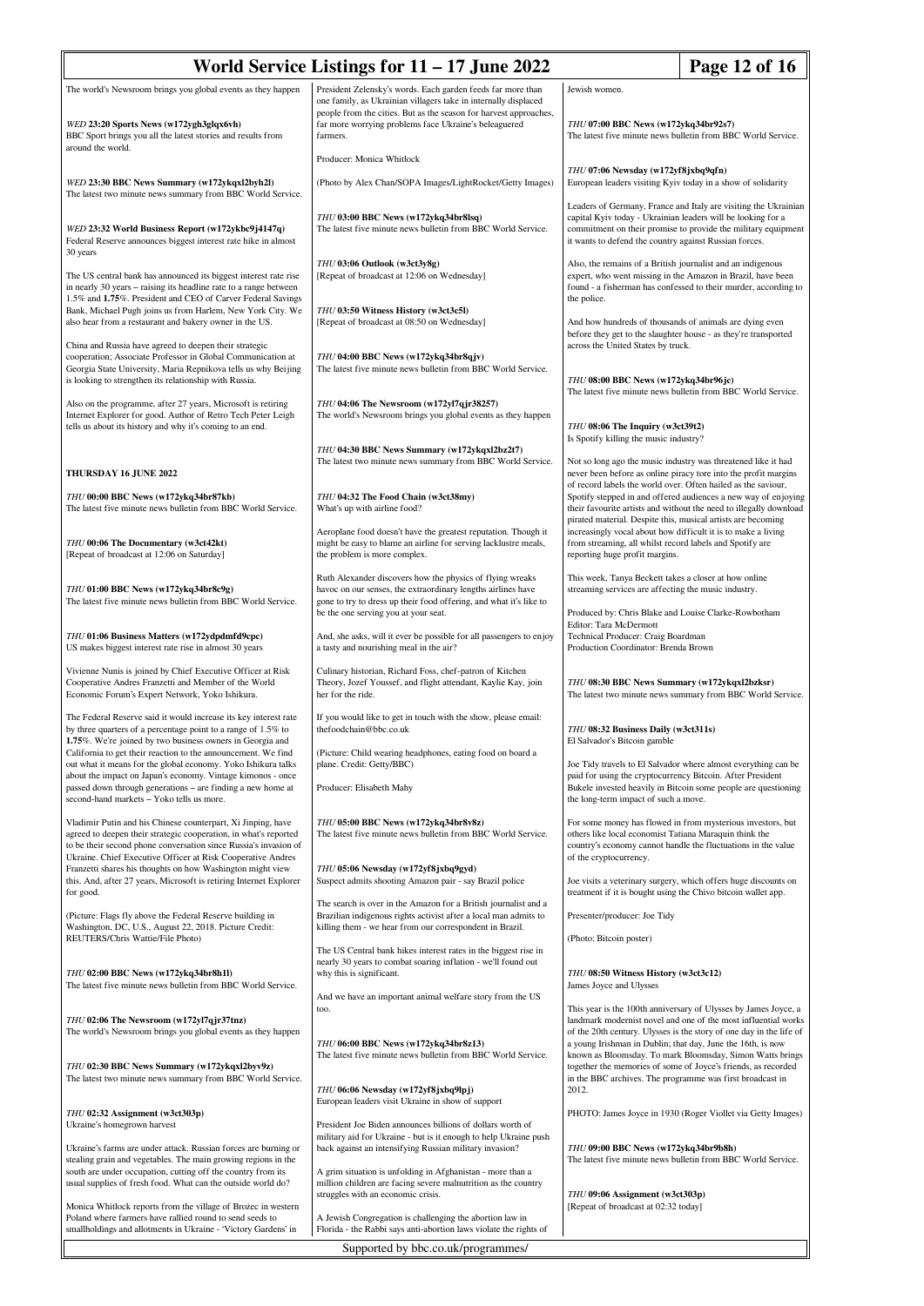| World Service Listings for 11 - 17 June 2022<br>Page 12 of 16                                                                                                                                                                                                                                                |                                                                                                                                                                                                 |                                                                                                                                                                                                                                                                         |                                                                                                                                                                                                         |  |
|--------------------------------------------------------------------------------------------------------------------------------------------------------------------------------------------------------------------------------------------------------------------------------------------------------------|-------------------------------------------------------------------------------------------------------------------------------------------------------------------------------------------------|-------------------------------------------------------------------------------------------------------------------------------------------------------------------------------------------------------------------------------------------------------------------------|---------------------------------------------------------------------------------------------------------------------------------------------------------------------------------------------------------|--|
| The world's Newsroom brings you global events as they happen                                                                                                                                                                                                                                                 | President Zelensky's words. Each garden feeds far more than<br>one family, as Ukrainian villagers take in internally displaced                                                                  | Jewish women.                                                                                                                                                                                                                                                           |                                                                                                                                                                                                         |  |
| WED 23:20 Sports News (w172ygh3glqx6vh)<br>BBC Sport brings you all the latest stories and results from<br>around the world.                                                                                                                                                                                 | people from the cities. But as the season for harvest approaches,<br>far more worrying problems face Ukraine's beleaguered<br>farmers.                                                          | THU 07:00 BBC News (w172ykq34br92s7)<br>The latest five minute news bulletin from BBC World Service.                                                                                                                                                                    |                                                                                                                                                                                                         |  |
| WED 23:30 BBC News Summary (w172ykqxl2byh2l)                                                                                                                                                                                                                                                                 | Producer: Monica Whitlock<br>(Photo by Alex Chan/SOPA Images/LightRocket/Getty Images)                                                                                                          | THU 07:06 Newsday (w172yf8jxbq9qfn)<br>European leaders visiting Kyiv today in a show of solidarity                                                                                                                                                                     |                                                                                                                                                                                                         |  |
| The latest two minute news summary from BBC World Service.<br>WED 23:32 World Business Report (w172ykbc9j4147q)<br>Federal Reserve announces biggest interest rate hike in almost                                                                                                                            | THU 03:00 BBC News (w172ykq34br8lsq)<br>The latest five minute news bulletin from BBC World Service.                                                                                            | Leaders of Germany, France and Italy are visiting the Ukrainian<br>capital Kyiv today - Ukrainian leaders will be looking for a<br>commitment on their promise to provide the military equipment<br>it wants to defend the country against Russian forces.              |                                                                                                                                                                                                         |  |
| 30 years<br>The US central bank has announced its biggest interest rate rise<br>in nearly 30 years - raising its headline rate to a range between<br>1.5% and 1.75%. President and CEO of Carver Federal Savings<br>Bank, Michael Pugh joins us from Harlem, New York City. We                               | THU 03:06 Outlook (w3ct3y8g)<br>[Repeat of broadcast at 12:06 on Wednesday]<br>THU 03:50 Witness History (w3ct3c5l)                                                                             | Also, the remains of a British journalist and an indigenous<br>expert, who went missing in the Amazon in Brazil, have been<br>found - a fisherman has confessed to their murder, according to<br>the police.                                                            |                                                                                                                                                                                                         |  |
| also hear from a restaurant and bakery owner in the US.<br>China and Russia have agreed to deepen their strategic<br>cooperation; Associate Professor in Global Communication at<br>Georgia State University, Maria Repnikova tells us why Beijing<br>is looking to strengthen its relationship with Russia. | [Repeat of broadcast at 08:50 on Wednesday]<br>THU 04:00 BBC News (w172ykq34br8qjv)<br>The latest five minute news bulletin from BBC World Service.                                             | And how hundreds of thousands of animals are dying even<br>before they get to the slaughter house - as they're transported<br>across the United States by truck.                                                                                                        |                                                                                                                                                                                                         |  |
| Also on the programme, after 27 years, Microsoft is retiring<br>Internet Explorer for good. Author of Retro Tech Peter Leigh<br>tells us about its history and why it's coming to an end.                                                                                                                    | THU 04:06 The Newsroom (w172yl7qjr38257)<br>The world's Newsroom brings you global events as they happen                                                                                        | THU 08:00 BBC News (w172ykq34br96jc)<br>THU 08:06 The Inquiry (w3ct39t2)<br>Is Spotify killing the music industry?                                                                                                                                                      | The latest five minute news bulletin from BBC World Service.                                                                                                                                            |  |
|                                                                                                                                                                                                                                                                                                              | THU 04:30 BBC News Summary (w172ykqxl2bz2t7)<br>The latest two minute news summary from BBC World Service.                                                                                      |                                                                                                                                                                                                                                                                         | Not so long ago the music industry was threatened like it had                                                                                                                                           |  |
| THURSDAY 16 JUNE 2022<br>THU 00:00 BBC News (w172ykq34br87kb)<br>The latest five minute news bulletin from BBC World Service.                                                                                                                                                                                | THU 04:32 The Food Chain (w3ct38my)<br>What's up with airline food?                                                                                                                             | of record labels the world over. Often hailed as the saviour,                                                                                                                                                                                                           | never been before as online piracy tore into the profit margins<br>Spotify stepped in and offered audiences a new way of enjoying<br>their favourite artists and without the need to illegally download |  |
| THU 00:06 The Documentary (w3ct42kt)<br>[Repeat of broadcast at 12:06 on Saturday]                                                                                                                                                                                                                           | Aeroplane food doesn't have the greatest reputation. Though it<br>might be easy to blame an airline for serving lacklustre meals,<br>the problem is more complex.                               | pirated material. Despite this, musical artists are becoming<br>increasingly vocal about how difficult it is to make a living<br>from streaming, all whilst record labels and Spotify are<br>reporting huge profit margins.                                             |                                                                                                                                                                                                         |  |
| THU 01:00 BBC News (w172ykq34br8c9g)<br>The latest five minute news bulletin from BBC World Service.                                                                                                                                                                                                         | Ruth Alexander discovers how the physics of flying wreaks<br>havoc on our senses, the extraordinary lengths airlines have<br>gone to try to dress up their food offering, and what it's like to | This week, Tanya Beckett takes a closer at how online<br>streaming services are affecting the music industry.                                                                                                                                                           |                                                                                                                                                                                                         |  |
| THU 01:06 Business Matters (w172ydpdmfd9cpc)<br>US makes biggest interest rate rise in almost 30 years                                                                                                                                                                                                       | be the one serving you at your seat.<br>And, she asks, will it ever be possible for all passengers to enjoy<br>a tasty and nourishing meal in the air?                                          | Produced by: Chris Blake and Louise Clarke-Rowbotham<br>Editor: Tara McDermott<br>Technical Producer: Craig Boardman<br>Production Coordinator: Brenda Brown                                                                                                            |                                                                                                                                                                                                         |  |
| Vivienne Nunis is joined by Chief Executive Officer at Risk<br>Cooperative Andres Franzetti and Member of the World<br>Economic Forum's Expert Network, Yoko Ishikura.                                                                                                                                       | Culinary historian, Richard Foss, chef-patron of Kitchen<br>Theory, Jozef Youssef, and flight attendant, Kaylie Kay, join<br>her for the ride.                                                  | THU 08:30 BBC News Summary (w172ykqxl2bzksr)<br>The latest two minute news summary from BBC World Service.                                                                                                                                                              |                                                                                                                                                                                                         |  |
| The Federal Reserve said it would increase its key interest rate<br>by three quarters of a percentage point to a range of 1.5% to<br>1.75%. We're joined by two business owners in Georgia and                                                                                                               | If you would like to get in touch with the show, please email:<br>thefoodchain@bbc.co.uk                                                                                                        | THU 08:32 Business Daily (w3ct311s)<br>El Salvador's Bitcoin gamble                                                                                                                                                                                                     |                                                                                                                                                                                                         |  |
| California to get their reaction to the announcement. We find<br>out what it means for the global economy. Yoko Ishikura talks<br>about the impact on Japan's economy. Vintage kimonos - once<br>passed down through generations - are finding a new home at<br>second-hand markets - Yoko tells us more.    | (Picture: Child wearing headphones, eating food on board a<br>plane. Credit: Getty/BBC)<br>Producer: Elisabeth Mahy                                                                             | paid for using the cryptocurrency Bitcoin. After President<br>the long-term impact of such a move.                                                                                                                                                                      | Joe Tidy travels to El Salvador where almost everything can be<br>Bukele invested heavily in Bitcoin some people are questioning                                                                        |  |
| Vladimir Putin and his Chinese counterpart, Xi Jinping, have<br>agreed to deepen their strategic cooperation, in what's reported<br>to be their second phone conversation since Russia's invasion of<br>Ukraine. Chief Executive Officer at Risk Cooperative Andres                                          | THU 05:00 BBC News (w172ykq34br8v8z)<br>The latest five minute news bulletin from BBC World Service.                                                                                            | others like local economist Tatiana Maraquin think the<br>of the cryptocurrency.                                                                                                                                                                                        | For some money has flowed in from mysterious investors, but<br>country's economy cannot handle the fluctuations in the value                                                                            |  |
| Franzetti shares his thoughts on how Washington might view<br>this. And, after 27 years, Microsoft is retiring Internet Explorer<br>for good.                                                                                                                                                                | THU 05:06 Newsday (w172yf8jxbq9gyd)<br>Suspect admits shooting Amazon pair - say Brazil police                                                                                                  | treatment if it is bought using the Chivo bitcoin wallet app.                                                                                                                                                                                                           | Joe visits a veterinary surgery, which offers huge discounts on                                                                                                                                         |  |
| (Picture: Flags fly above the Federal Reserve building in<br>Washington, DC, U.S., August 22, 2018. Picture Credit:<br>REUTERS/Chris Wattie/File Photo)                                                                                                                                                      | The search is over in the Amazon for a British journalist and a<br>Brazilian indigenous rights activist after a local man admits to<br>killing them - we hear from our correspondent in Brazil. | Presenter/producer: Joe Tidy                                                                                                                                                                                                                                            |                                                                                                                                                                                                         |  |
| THU 02:00 BBC News (w172ykq34br8h1l)<br>The latest five minute news bulletin from BBC World Service.                                                                                                                                                                                                         | The US Central bank hikes interest rates in the biggest rise in<br>nearly 30 years to combat soaring inflation - we'll found out<br>why this is significant.                                    | (Photo: Bitcoin poster)<br>THU 08:50 Witness History (w3ct3c12)<br>James Joyce and Ulysses                                                                                                                                                                              |                                                                                                                                                                                                         |  |
| THU 02:06 The Newsroom (w172yl7qjr37tnz)<br>The world's Newsroom brings you global events as they happen                                                                                                                                                                                                     | And we have an important animal welfare story from the US<br>too.<br>THU 06:00 BBC News (w172ykq34br8z13)                                                                                       | This year is the 100th anniversary of Ulysses by James Joyce, a<br>landmark modernist novel and one of the most influential works<br>of the 20th century. Ulysses is the story of one day in the life of<br>a young Irishman in Dublin; that day, June the 16th, is now |                                                                                                                                                                                                         |  |
| THU 02:30 BBC News Summary (w172ykqxl2byv9z)<br>The latest two minute news summary from BBC World Service.                                                                                                                                                                                                   | The latest five minute news bulletin from BBC World Service.<br>THU 06:06 Newsday (w172yf8jxbq9lpj)                                                                                             | known as Bloomsday. To mark Bloomsday, Simon Watts brings<br>together the memories of some of Joyce's friends, as recorded<br>in the BBC archives. The programme was first broadcast in<br>2012.                                                                        |                                                                                                                                                                                                         |  |
| THU 02:32 Assignment (w3ct303p)<br>Ukraine's homegrown harvest                                                                                                                                                                                                                                               | European leaders visit Ukraine in show of support<br>President Joe Biden announces billions of dollars worth of<br>military aid for Ukraine - but is it enough to help Ukraine push             |                                                                                                                                                                                                                                                                         | PHOTO: James Joyce in 1930 (Roger Viollet via Getty Images)                                                                                                                                             |  |
| Ukraine's farms are under attack. Russian forces are burning or<br>stealing grain and vegetables. The main growing regions in the<br>south are under occupation, cutting off the country from its<br>usual supplies of fresh food. What can the outside world do?                                            | back against an intensifying Russian military invasion?<br>A grim situation is unfolding in Afghanistan - more than a<br>million children are facing severe malnutrition as the country         | THU 09:00 BBC News (w172ykq34br9b8h)<br>The latest five minute news bulletin from BBC World Service.                                                                                                                                                                    |                                                                                                                                                                                                         |  |
| Monica Whitlock reports from the village of Brożec in western<br>Poland where farmers have rallied round to send seeds to                                                                                                                                                                                    | struggles with an economic crisis.<br>A Jewish Congregation is challenging the abortion law in<br>Florida - the Rabbi says anti-abortion laws violate the rights of                             | THU 09:06 Assignment (w3ct303p)<br>[Repeat of broadcast at 02:32 today]                                                                                                                                                                                                 |                                                                                                                                                                                                         |  |
| smallholdings and allotments in Ukraine - 'Victory Gardens' in                                                                                                                                                                                                                                               | Supported by bbc.co.uk/programmes/                                                                                                                                                              |                                                                                                                                                                                                                                                                         |                                                                                                                                                                                                         |  |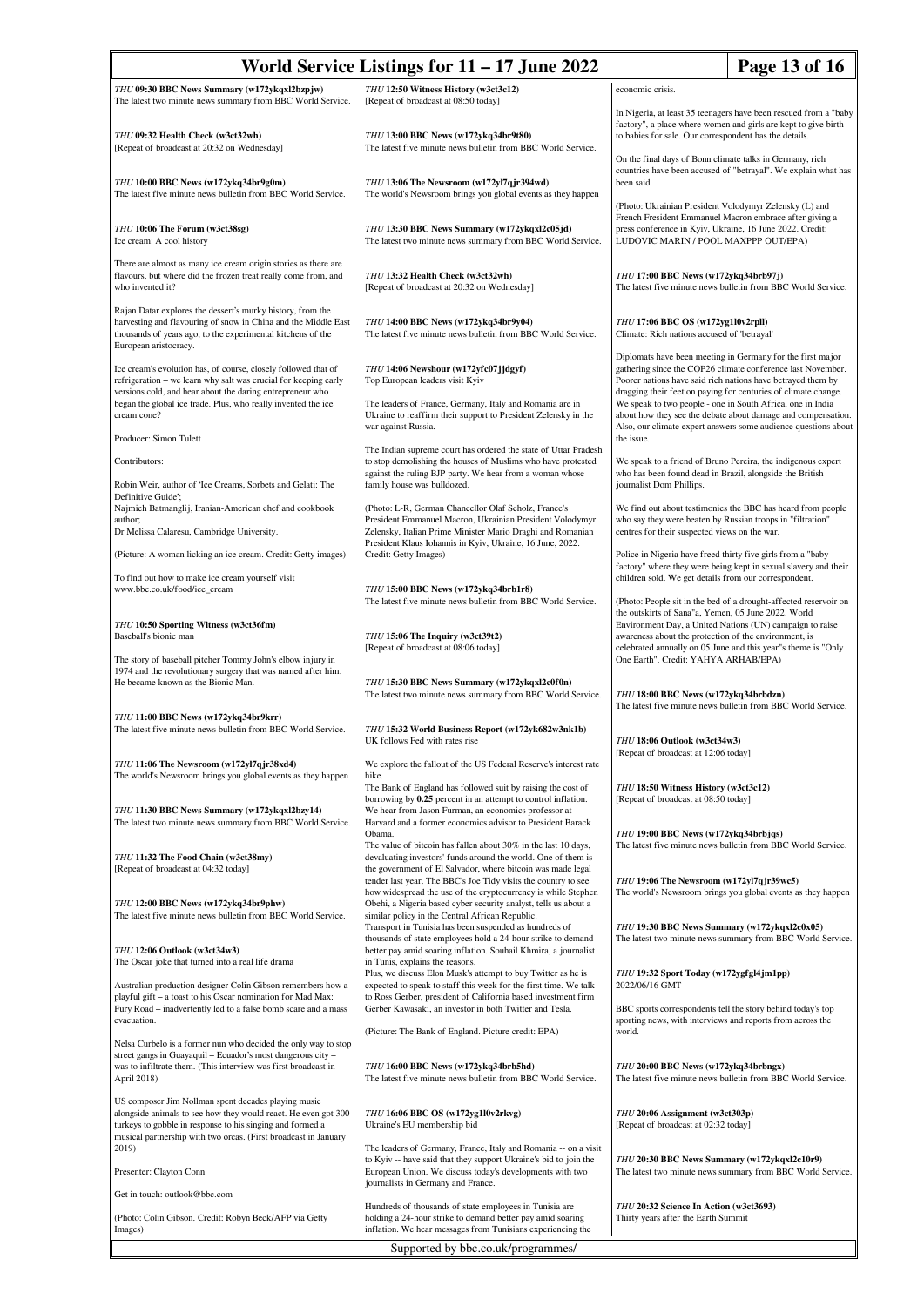| Page 13 of 16<br>World Service Listings for $11 - 17$ June 2022                                                                                                                                                                                                 |                                                                                                                                                                                                                                                       |                                                                                                                                                                                                                                                                                                                          |  |  |  |  |  |
|-----------------------------------------------------------------------------------------------------------------------------------------------------------------------------------------------------------------------------------------------------------------|-------------------------------------------------------------------------------------------------------------------------------------------------------------------------------------------------------------------------------------------------------|--------------------------------------------------------------------------------------------------------------------------------------------------------------------------------------------------------------------------------------------------------------------------------------------------------------------------|--|--|--|--|--|
| THU 09:30 BBC News Summary (w172ykqxl2bzpjw)                                                                                                                                                                                                                    | THU 12:50 Witness History (w3ct3c12)                                                                                                                                                                                                                  | economic crisis.                                                                                                                                                                                                                                                                                                         |  |  |  |  |  |
| The latest two minute news summary from BBC World Service.<br>THU 09:32 Health Check (w3ct32wh)<br>[Repeat of broadcast at 20:32 on Wednesday]                                                                                                                  | [Repeat of broadcast at 08:50 today]<br>THU 13:00 BBC News (w172ykq34br9t80)<br>The latest five minute news bulletin from BBC World Service.                                                                                                          | In Nigeria, at least 35 teenagers have been rescued from a "baby<br>factory", a place where women and girls are kept to give birth<br>to babies for sale. Our correspondent has the details.                                                                                                                             |  |  |  |  |  |
| THU 10:00 BBC News (w172ykq34br9g0m)                                                                                                                                                                                                                            | THU 13:06 The Newsroom (w172yl7qjr394wd)                                                                                                                                                                                                              | On the final days of Bonn climate talks in Germany, rich<br>countries have been accused of "betrayal". We explain what has<br>been said.                                                                                                                                                                                 |  |  |  |  |  |
| The latest five minute news bulletin from BBC World Service.<br>THU 10:06 The Forum (w3ct38sg)                                                                                                                                                                  | The world's Newsroom brings you global events as they happen<br>THU 13:30 BBC News Summary (w172ykqxl2c05jd)                                                                                                                                          | (Photo: Ukrainian President Volodymyr Zelensky (L) and<br>French Fresident Emmanuel Macron embrace after giving a<br>press conference in Kyiv, Ukraine, 16 June 2022. Credit:                                                                                                                                            |  |  |  |  |  |
| Ice cream: A cool history                                                                                                                                                                                                                                       | The latest two minute news summary from BBC World Service.                                                                                                                                                                                            | LUDOVIC MARIN / POOL MAXPPP OUT/EPA)                                                                                                                                                                                                                                                                                     |  |  |  |  |  |
| There are almost as many ice cream origin stories as there are<br>flavours, but where did the frozen treat really come from, and<br>who invented it?                                                                                                            | THU 13:32 Health Check (w3ct32wh)<br>[Repeat of broadcast at 20:32 on Wednesday]                                                                                                                                                                      | THU 17:00 BBC News (w172ykq34brb97j)<br>The latest five minute news bulletin from BBC World Service.                                                                                                                                                                                                                     |  |  |  |  |  |
| Rajan Datar explores the dessert's murky history, from the<br>harvesting and flavouring of snow in China and the Middle East<br>thousands of years ago, to the experimental kitchens of the<br>European aristocracy.                                            | THU 14:00 BBC News (w172ykq34br9y04)<br>The latest five minute news bulletin from BBC World Service.                                                                                                                                                  | THU 17:06 BBC OS (w172yg1l0v2rpll)<br>Climate: Rich nations accused of 'betrayal'                                                                                                                                                                                                                                        |  |  |  |  |  |
| Ice cream's evolution has, of course, closely followed that of<br>refrigeration - we learn why salt was crucial for keeping early<br>versions cold, and hear about the daring entrepreneur who<br>began the global ice trade. Plus, who really invented the ice | THU 14:06 Newshour (w172yfc07jjdgyf)<br>Top European leaders visit Kyiv<br>The leaders of France, Germany, Italy and Romania are in                                                                                                                   | Diplomats have been meeting in Germany for the first major<br>gathering since the COP26 climate conference last November.<br>Poorer nations have said rich nations have betrayed them by<br>dragging their feet on paying for centuries of climate change.<br>We speak to two people - one in South Africa, one in India |  |  |  |  |  |
| cream cone?                                                                                                                                                                                                                                                     | Ukraine to reaffirm their support to President Zelensky in the<br>war against Russia.                                                                                                                                                                 | about how they see the debate about damage and compensation.<br>Also, our climate expert answers some audience questions about                                                                                                                                                                                           |  |  |  |  |  |
| Producer: Simon Tulett                                                                                                                                                                                                                                          | The Indian supreme court has ordered the state of Uttar Pradesh                                                                                                                                                                                       | the issue.                                                                                                                                                                                                                                                                                                               |  |  |  |  |  |
| Contributors:<br>Robin Weir, author of 'Ice Creams, Sorbets and Gelati: The<br>Definitive Guide':                                                                                                                                                               | to stop demolishing the houses of Muslims who have protested<br>against the ruling BJP party. We hear from a woman whose<br>family house was bulldozed.                                                                                               | We speak to a friend of Bruno Pereira, the indigenous expert<br>who has been found dead in Brazil, alongside the British<br>journalist Dom Phillips.                                                                                                                                                                     |  |  |  |  |  |
| Najmieh Batmanglij, Iranian-American chef and cookbook<br>author;                                                                                                                                                                                               | (Photo: L-R, German Chancellor Olaf Scholz, France's<br>President Emmanuel Macron, Ukrainian President Volodymyr                                                                                                                                      | We find out about testimonies the BBC has heard from people<br>who say they were beaten by Russian troops in "filtration"                                                                                                                                                                                                |  |  |  |  |  |
| Dr Melissa Calaresu, Cambridge University.                                                                                                                                                                                                                      | Zelensky, Italian Prime Minister Mario Draghi and Romanian<br>President Klaus Iohannis in Kyiv, Ukraine, 16 June, 2022.                                                                                                                               | centres for their suspected views on the war.                                                                                                                                                                                                                                                                            |  |  |  |  |  |
| (Picture: A woman licking an ice cream. Credit: Getty images)<br>To find out how to make ice cream yourself visit                                                                                                                                               | Credit: Getty Images)                                                                                                                                                                                                                                 | Police in Nigeria have freed thirty five girls from a "baby<br>factory" where they were being kept in sexual slavery and their<br>children sold. We get details from our correspondent.                                                                                                                                  |  |  |  |  |  |
| www.bbc.co.uk/food/ice_cream                                                                                                                                                                                                                                    | THU 15:00 BBC News (w172ykq34brb1r8)<br>The latest five minute news bulletin from BBC World Service.                                                                                                                                                  | (Photo: People sit in the bed of a drought-affected reservoir on<br>the outskirts of Sana"a, Yemen, 05 June 2022. World                                                                                                                                                                                                  |  |  |  |  |  |
| THU 10:50 Sporting Witness (w3ct36fm)<br>Baseball's bionic man<br>The story of baseball pitcher Tommy John's elbow injury in                                                                                                                                    | THU 15:06 The Inquiry (w3ct39t2)<br>[Repeat of broadcast at 08:06 today]                                                                                                                                                                              | Environment Day, a United Nations (UN) campaign to raise<br>awareness about the protection of the environment, is<br>celebrated annually on 05 June and this year"s theme is "Only<br>One Earth". Credit: YAHYA ARHAB/EPA)                                                                                               |  |  |  |  |  |
| 1974 and the revolutionary surgery that was named after him.<br>He became known as the Bionic Man.                                                                                                                                                              | THU 15:30 BBC News Summary (w172ykqxl2c0f0n)<br>The latest two minute news summary from BBC World Service.                                                                                                                                            | THU 18:00 BBC News (w172ykq34brbdzn)<br>The latest five minute news bulletin from BBC World Service.                                                                                                                                                                                                                     |  |  |  |  |  |
| THU 11:00 BBC News (w172ykq34br9krr)<br>The latest five minute news bulletin from BBC World Service.                                                                                                                                                            | THU 15:32 World Business Report (w172yk682w3nk1b)<br>UK follows Fed with rates rise                                                                                                                                                                   | THU 18:06 Outlook (w3ct34w3)                                                                                                                                                                                                                                                                                             |  |  |  |  |  |
| THU 11:06 The Newsroom (w172yl7qjr38xd4)<br>The world's Newsroom brings you global events as they happen                                                                                                                                                        | We explore the fallout of the US Federal Reserve's interest rate<br>hike.<br>The Bank of England has followed suit by raising the cost of                                                                                                             | [Repeat of broadcast at 12:06 today]                                                                                                                                                                                                                                                                                     |  |  |  |  |  |
| THU 11:30 BBC News Summary (w172ykqxl2bzy14)<br>The latest two minute news summary from BBC World Service.                                                                                                                                                      | borrowing by 0.25 percent in an attempt to control inflation.<br>We hear from Jason Furman, an economics professor at<br>Harvard and a former economics advisor to President Barack                                                                   | THU 18:50 Witness History (w3ct3c12)<br>[Repeat of broadcast at 08:50 today]                                                                                                                                                                                                                                             |  |  |  |  |  |
| THU 11:32 The Food Chain (w3ct38my)<br>[Repeat of broadcast at 04:32 today]                                                                                                                                                                                     | Obama.<br>The value of bitcoin has fallen about 30% in the last 10 days,<br>devaluating investors' funds around the world. One of them is<br>the government of El Salvador, where bitcoin was made legal                                              | THU 19:00 BBC News (w172ykq34brbjqs)<br>The latest five minute news bulletin from BBC World Service.                                                                                                                                                                                                                     |  |  |  |  |  |
| THU 12:00 BBC News (w172ykq34br9phw)<br>The latest five minute news bulletin from BBC World Service.                                                                                                                                                            | tender last year. The BBC's Joe Tidy visits the country to see<br>how widespread the use of the cryptocurrency is while Stephen<br>Obehi, a Nigeria based cyber security analyst, tells us about a<br>similar policy in the Central African Republic. | THU 19:06 The Newsroom (w172yl7qjr39wc5)<br>The world's Newsroom brings you global events as they happen                                                                                                                                                                                                                 |  |  |  |  |  |
| THU 12:06 Outlook (w3ct34w3)<br>The Oscar joke that turned into a real life drama                                                                                                                                                                               | Transport in Tunisia has been suspended as hundreds of<br>thousands of state employees hold a 24-hour strike to demand<br>better pay amid soaring inflation. Souhail Khmira, a journalist<br>in Tunis, explains the reasons.                          | THU 19:30 BBC News Summary (w172ykqxl2c0x05)<br>The latest two minute news summary from BBC World Service.                                                                                                                                                                                                               |  |  |  |  |  |
| Australian production designer Colin Gibson remembers how a<br>playful gift - a toast to his Oscar nomination for Mad Max:                                                                                                                                      | Plus, we discuss Elon Musk's attempt to buy Twitter as he is<br>expected to speak to staff this week for the first time. We talk<br>to Ross Gerber, president of California based investment firm                                                     | THU 19:32 Sport Today (w172ygfgl4jm1pp)<br>2022/06/16 GMT                                                                                                                                                                                                                                                                |  |  |  |  |  |
| Fury Road - inadvertently led to a false bomb scare and a mass<br>evacuation.<br>Nelsa Curbelo is a former nun who decided the only way to stop                                                                                                                 | Gerber Kawasaki, an investor in both Twitter and Tesla.<br>(Picture: The Bank of England. Picture credit: EPA)                                                                                                                                        | BBC sports correspondents tell the story behind today's top<br>sporting news, with interviews and reports from across the<br>world.                                                                                                                                                                                      |  |  |  |  |  |
| street gangs in Guayaquil - Ecuador's most dangerous city -<br>was to infiltrate them. (This interview was first broadcast in<br>April 2018)                                                                                                                    | THU 16:00 BBC News (w172ykq34brb5hd)<br>The latest five minute news bulletin from BBC World Service.                                                                                                                                                  | THU 20:00 BBC News (w172ykq34brbngx)<br>The latest five minute news bulletin from BBC World Service.                                                                                                                                                                                                                     |  |  |  |  |  |
| US composer Jim Nollman spent decades playing music<br>alongside animals to see how they would react. He even got 300<br>turkeys to gobble in response to his singing and formed a<br>musical partnership with two orcas. (First broadcast in January           | THU 16:06 BBC OS (w172yg1l0v2rkvg)<br>Ukraine's EU membership bid                                                                                                                                                                                     | THU 20:06 Assignment (w3ct303p)<br>[Repeat of broadcast at 02:32 today]                                                                                                                                                                                                                                                  |  |  |  |  |  |
| 2019)<br>Presenter: Clayton Conn                                                                                                                                                                                                                                | The leaders of Germany, France, Italy and Romania -- on a visit<br>to Kyiv -- have said that they support Ukraine's bid to join the<br>European Union. We discuss today's developments with two                                                       | THU 20:30 BBC News Summary (w172ykqxl2c10r9)<br>The latest two minute news summary from BBC World Service.                                                                                                                                                                                                               |  |  |  |  |  |
| Get in touch: outlook@bbc.com                                                                                                                                                                                                                                   | journalists in Germany and France.                                                                                                                                                                                                                    |                                                                                                                                                                                                                                                                                                                          |  |  |  |  |  |
| (Photo: Colin Gibson. Credit: Robyn Beck/AFP via Getty<br>Images)                                                                                                                                                                                               | Hundreds of thousands of state employees in Tunisia are<br>holding a 24-hour strike to demand better pay amid soaring<br>inflation. We hear messages from Tunisians experiencing the                                                                  | THU 20:32 Science In Action (w3ct3693)<br>Thirty years after the Earth Summit                                                                                                                                                                                                                                            |  |  |  |  |  |
| Supported by bbc.co.uk/programmes/                                                                                                                                                                                                                              |                                                                                                                                                                                                                                                       |                                                                                                                                                                                                                                                                                                                          |  |  |  |  |  |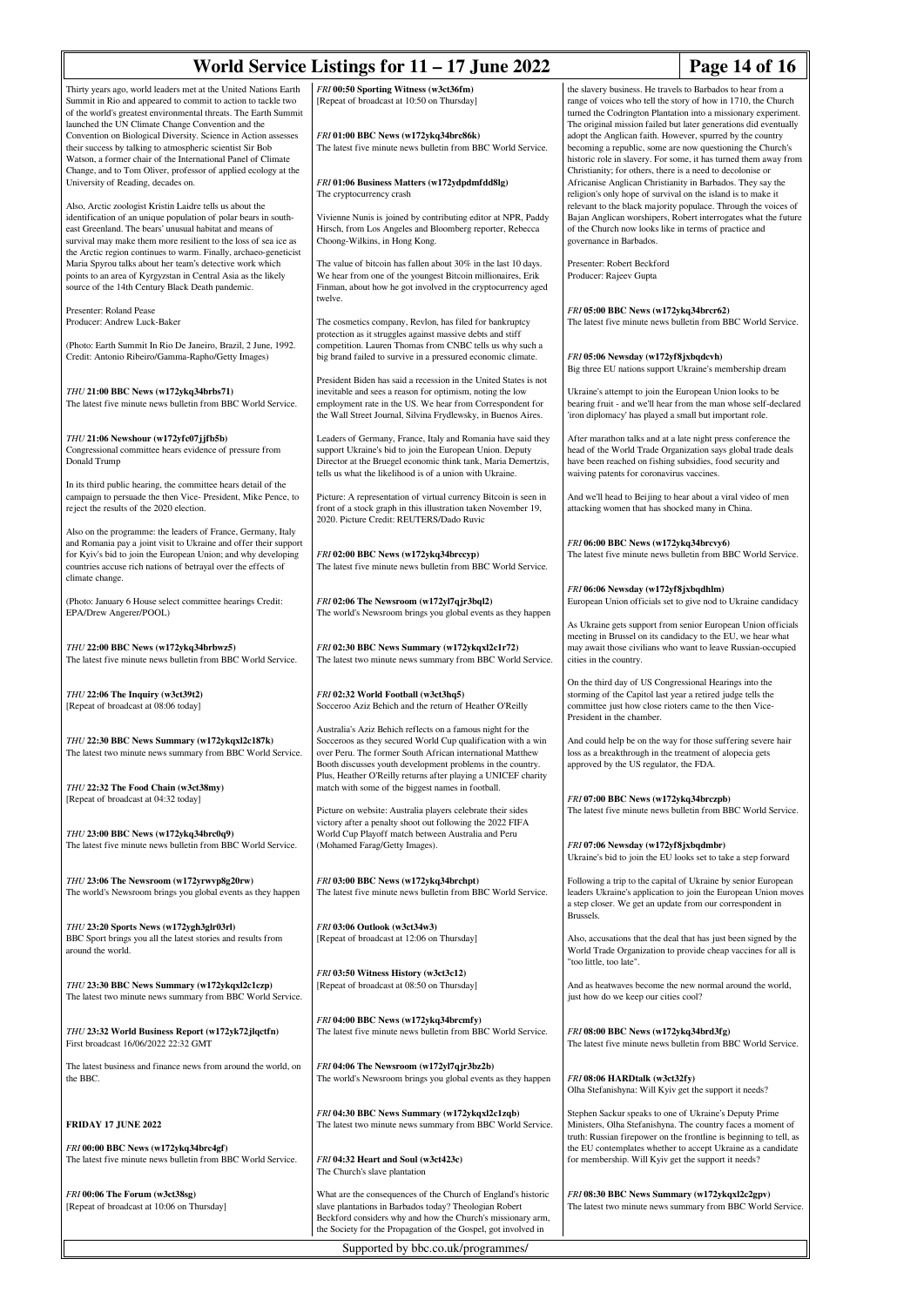|                                                                                                                                                                                                                                                                                                                           | World Service Listings for 11 – 17 June 2022                                                                                                                                                                                                                                                                           |                                                                                                                                                                                                                                                                                                                                                                                                                                                                                                                                                                                                                                                                                                                                                                                                                                                                                       | Page 14 of 16 |  |  |  |
|---------------------------------------------------------------------------------------------------------------------------------------------------------------------------------------------------------------------------------------------------------------------------------------------------------------------------|------------------------------------------------------------------------------------------------------------------------------------------------------------------------------------------------------------------------------------------------------------------------------------------------------------------------|---------------------------------------------------------------------------------------------------------------------------------------------------------------------------------------------------------------------------------------------------------------------------------------------------------------------------------------------------------------------------------------------------------------------------------------------------------------------------------------------------------------------------------------------------------------------------------------------------------------------------------------------------------------------------------------------------------------------------------------------------------------------------------------------------------------------------------------------------------------------------------------|---------------|--|--|--|
| Thirty years ago, world leaders met at the United Nations Earth<br>Summit in Rio and appeared to commit to action to tackle two<br>of the world's greatest environmental threats. The Earth Summit<br>launched the UN Climate Change Convention and the<br>Convention on Biological Diversity. Science in Action assesses | FRI 00:50 Sporting Witness (w3ct36fm)<br>[Repeat of broadcast at 10:50 on Thursday]<br>FRI 01:00 BBC News (w172ykq34brc86k)                                                                                                                                                                                            | the slavery business. He travels to Barbados to hear from a<br>range of voices who tell the story of how in 1710, the Church<br>turned the Codrington Plantation into a missionary experiment.<br>The original mission failed but later generations did eventually<br>adopt the Anglican faith. However, spurred by the country<br>becoming a republic, some are now questioning the Church's<br>historic role in slavery. For some, it has turned them away from<br>Christianity; for others, there is a need to decolonise or<br>Africanise Anglican Christianity in Barbados. They say the<br>religion's only hope of survival on the island is to make it<br>relevant to the black majority populace. Through the voices of<br>Bajan Anglican worshipers, Robert interrogates what the future<br>of the Church now looks like in terms of practice and<br>governance in Barbados. |               |  |  |  |
| their success by talking to atmospheric scientist Sir Bob<br>Watson, a former chair of the International Panel of Climate<br>Change, and to Tom Oliver, professor of applied ecology at the<br>University of Reading, decades on.                                                                                         | The latest five minute news bulletin from BBC World Service.<br>FRI 01:06 Business Matters (w172ydpdmfdd8lg)                                                                                                                                                                                                           |                                                                                                                                                                                                                                                                                                                                                                                                                                                                                                                                                                                                                                                                                                                                                                                                                                                                                       |               |  |  |  |
| Also, Arctic zoologist Kristin Laidre tells us about the<br>identification of an unique population of polar bears in south-<br>east Greenland. The bears' unusual habitat and means of<br>survival may make them more resilient to the loss of sea ice as                                                                 | The cryptocurrency crash<br>Vivienne Nunis is joined by contributing editor at NPR, Paddy<br>Hirsch, from Los Angeles and Bloomberg reporter, Rebecca<br>Choong-Wilkins, in Hong Kong.                                                                                                                                 |                                                                                                                                                                                                                                                                                                                                                                                                                                                                                                                                                                                                                                                                                                                                                                                                                                                                                       |               |  |  |  |
| the Arctic region continues to warm. Finally, archaeo-geneticist<br>Maria Spyrou talks about her team's detective work which<br>points to an area of Kyrgyzstan in Central Asia as the likely<br>source of the 14th Century Black Death pandemic.                                                                         | The value of bitcoin has fallen about 30% in the last 10 days.<br>We hear from one of the youngest Bitcoin millionaires, Erik<br>Finman, about how he got involved in the cryptocurrency aged<br>twelve.                                                                                                               | Presenter: Robert Beckford<br>Producer: Rajeev Gupta                                                                                                                                                                                                                                                                                                                                                                                                                                                                                                                                                                                                                                                                                                                                                                                                                                  |               |  |  |  |
| Presenter: Roland Pease<br>Producer: Andrew Luck-Baker<br>(Photo: Earth Summit In Rio De Janeiro, Brazil, 2 June, 1992.                                                                                                                                                                                                   | The cosmetics company, Revlon, has filed for bankruptcy<br>protection as it struggles against massive debts and stiff<br>competition. Lauren Thomas from CNBC tells us why such a                                                                                                                                      | FRI 05:00 BBC News (w172ykq34brcr62)<br>The latest five minute news bulletin from BBC World Service.<br>FRI 05:06 Newsday (w172yf8jxbqdcvh)<br>Big three EU nations support Ukraine's membership dream<br>Ukraine's attempt to join the European Union looks to be<br>bearing fruit - and we'll hear from the man whose self-declared<br>'iron diplomacy' has played a small but important role.                                                                                                                                                                                                                                                                                                                                                                                                                                                                                      |               |  |  |  |
| Credit: Antonio Ribeiro/Gamma-Rapho/Getty Images)<br>THU 21:00 BBC News (w172ykq34brbs71)                                                                                                                                                                                                                                 | big brand failed to survive in a pressured economic climate.<br>President Biden has said a recession in the United States is not<br>inevitable and sees a reason for optimism, noting the low                                                                                                                          |                                                                                                                                                                                                                                                                                                                                                                                                                                                                                                                                                                                                                                                                                                                                                                                                                                                                                       |               |  |  |  |
| The latest five minute news bulletin from BBC World Service.                                                                                                                                                                                                                                                              | employment rate in the US. We hear from Correspondent for<br>the Wall Street Journal, Silvina Frydlewsky, in Buenos Aires.                                                                                                                                                                                             |                                                                                                                                                                                                                                                                                                                                                                                                                                                                                                                                                                                                                                                                                                                                                                                                                                                                                       |               |  |  |  |
| THU 21:06 Newshour (w172yfc07jjfb5b)<br>Congressional committee hears evidence of pressure from<br>Donald Trump                                                                                                                                                                                                           | Leaders of Germany, France, Italy and Romania have said they<br>support Ukraine's bid to join the European Union. Deputy<br>Director at the Bruegel economic think tank, Maria Demertzis,<br>tells us what the likelihood is of a union with Ukraine.                                                                  | After marathon talks and at a late night press conference the<br>head of the World Trade Organization says global trade deals<br>have been reached on fishing subsidies, food security and<br>waiving patents for coronavirus vaccines.                                                                                                                                                                                                                                                                                                                                                                                                                                                                                                                                                                                                                                               |               |  |  |  |
| In its third public hearing, the committee hears detail of the<br>campaign to persuade the then Vice-President, Mike Pence, to<br>reject the results of the 2020 election.                                                                                                                                                | Picture: A representation of virtual currency Bitcoin is seen in<br>front of a stock graph in this illustration taken November 19,<br>2020. Picture Credit: REUTERS/Dado Ruvic                                                                                                                                         | And we'll head to Beijing to hear about a viral video of men<br>attacking women that has shocked many in China.                                                                                                                                                                                                                                                                                                                                                                                                                                                                                                                                                                                                                                                                                                                                                                       |               |  |  |  |
| Also on the programme: the leaders of France, Germany, Italy<br>and Romania pay a joint visit to Ukraine and offer their support<br>for Kyiv's bid to join the European Union; and why developing<br>countries accuse rich nations of betrayal over the effects of<br>climate change.                                     | FRI 02:00 BBC News (w172ykq34brccyp)<br>The latest five minute news bulletin from BBC World Service.                                                                                                                                                                                                                   | FRI 06:00 BBC News (w172ykq34brcvy6)<br>The latest five minute news bulletin from BBC World Service.                                                                                                                                                                                                                                                                                                                                                                                                                                                                                                                                                                                                                                                                                                                                                                                  |               |  |  |  |
| (Photo: January 6 House select committee hearings Credit:<br>EPA/Drew Angerer/POOL)                                                                                                                                                                                                                                       | FRI 02:06 The Newsroom (w172yl7qjr3bql2)<br>The world's Newsroom brings you global events as they happen                                                                                                                                                                                                               | FRI 06:06 Newsday (w172yf8jxbqdhlm)<br>European Union officials set to give nod to Ukraine candidacy                                                                                                                                                                                                                                                                                                                                                                                                                                                                                                                                                                                                                                                                                                                                                                                  |               |  |  |  |
| THU 22:00 BBC News (w172ykq34brbwz5)<br>The latest five minute news bulletin from BBC World Service.                                                                                                                                                                                                                      | FRI 02:30 BBC News Summary (w172ykqxl2c1r72)<br>The latest two minute news summary from BBC World Service.                                                                                                                                                                                                             | As Ukraine gets support from senior European Union officials<br>meeting in Brussel on its candidacy to the EU, we hear what<br>may await those civilians who want to leave Russian-occupied<br>cities in the country.                                                                                                                                                                                                                                                                                                                                                                                                                                                                                                                                                                                                                                                                 |               |  |  |  |
| THU 22:06 The Inquiry (w3ct39t2)<br>[Repeat of broadcast at 08:06 today]                                                                                                                                                                                                                                                  | FRI 02:32 World Football (w3ct3hq5)<br>Socceroo Aziz Behich and the return of Heather O'Reilly                                                                                                                                                                                                                         | On the third day of US Congressional Hearings into the<br>storming of the Capitol last year a retired judge tells the<br>committee just how close rioters came to the then Vice-<br>President in the chamber.                                                                                                                                                                                                                                                                                                                                                                                                                                                                                                                                                                                                                                                                         |               |  |  |  |
| THU 22:30 BBC News Summary (w172ykqxl2c187k)<br>The latest two minute news summary from BBC World Service.                                                                                                                                                                                                                | Australia's Aziz Behich reflects on a famous night for the<br>Socceroos as they secured World Cup qualification with a win<br>over Peru. The former South African international Matthew<br>Booth discusses youth development problems in the country.<br>Plus, Heather O'Reilly returns after playing a UNICEF charity | And could help be on the way for those suffering severe hair<br>loss as a breakthrough in the treatment of alopecia gets<br>approved by the US regulator, the FDA.                                                                                                                                                                                                                                                                                                                                                                                                                                                                                                                                                                                                                                                                                                                    |               |  |  |  |
| THU 22:32 The Food Chain (w3ct38my)<br>[Repeat of broadcast at 04:32 today]                                                                                                                                                                                                                                               | match with some of the biggest names in football.<br>Picture on website: Australia players celebrate their sides<br>victory after a penalty shoot out following the 2022 FIFA                                                                                                                                          | FRI 07:00 BBC News (w172ykq34brczpb)<br>The latest five minute news bulletin from BBC World Service.                                                                                                                                                                                                                                                                                                                                                                                                                                                                                                                                                                                                                                                                                                                                                                                  |               |  |  |  |
| THU 23:00 BBC News (w172ykq34brc0q9)<br>The latest five minute news bulletin from BBC World Service.                                                                                                                                                                                                                      | World Cup Playoff match between Australia and Peru<br>(Mohamed Farag/Getty Images).                                                                                                                                                                                                                                    | FRI 07:06 Newsday (w172yf8jxbqdmbr)<br>Ukraine's bid to join the EU looks set to take a step forward                                                                                                                                                                                                                                                                                                                                                                                                                                                                                                                                                                                                                                                                                                                                                                                  |               |  |  |  |
| THU 23:06 The Newsroom (w172yrwvp8g20rw)<br>The world's Newsroom brings you global events as they happen                                                                                                                                                                                                                  | FRI 03:00 BBC News (w172ykq34brchpt)<br>The latest five minute news bulletin from BBC World Service.                                                                                                                                                                                                                   | Following a trip to the capital of Ukraine by senior European<br>leaders Ukraine's application to join the European Union moves<br>a step closer. We get an update from our correspondent in<br>Brussels.                                                                                                                                                                                                                                                                                                                                                                                                                                                                                                                                                                                                                                                                             |               |  |  |  |
| THU 23:20 Sports News (w172ygh3glr03rl)<br>BBC Sport brings you all the latest stories and results from<br>around the world.                                                                                                                                                                                              | FRI 03:06 Outlook (w3ct34w3)<br>[Repeat of broadcast at 12:06 on Thursday]                                                                                                                                                                                                                                             | Also, accusations that the deal that has just been signed by the<br>World Trade Organization to provide cheap vaccines for all is<br>"too little, too late".                                                                                                                                                                                                                                                                                                                                                                                                                                                                                                                                                                                                                                                                                                                          |               |  |  |  |
| THU 23:30 BBC News Summary (w172ykqxl2c1czp)<br>The latest two minute news summary from BBC World Service.                                                                                                                                                                                                                | FRI 03:50 Witness History (w3ct3c12)<br>[Repeat of broadcast at 08:50 on Thursday]                                                                                                                                                                                                                                     | And as heatwaves become the new normal around the world,<br>just how do we keep our cities cool?                                                                                                                                                                                                                                                                                                                                                                                                                                                                                                                                                                                                                                                                                                                                                                                      |               |  |  |  |
| THU 23:32 World Business Report (w172yk72jlqctfn)<br>First broadcast 16/06/2022 22:32 GMT                                                                                                                                                                                                                                 | FRI 04:00 BBC News (w172ykq34brcmfy)<br>The latest five minute news bulletin from BBC World Service.                                                                                                                                                                                                                   | FRI 08:00 BBC News (w172ykq34brd3fg)<br>The latest five minute news bulletin from BBC World Service.                                                                                                                                                                                                                                                                                                                                                                                                                                                                                                                                                                                                                                                                                                                                                                                  |               |  |  |  |
| The latest business and finance news from around the world, on<br>the BBC.                                                                                                                                                                                                                                                | FRI 04:06 The Newsroom (w172yl7qjr3bz2b)<br>The world's Newsroom brings you global events as they happen                                                                                                                                                                                                               | FRI 08:06 HARDtalk (w3ct32fy)<br>Olha Stefanishyna: Will Kyiv get the support it needs?                                                                                                                                                                                                                                                                                                                                                                                                                                                                                                                                                                                                                                                                                                                                                                                               |               |  |  |  |
| <b>FRIDAY 17 JUNE 2022</b>                                                                                                                                                                                                                                                                                                | FRI 04:30 BBC News Summary (w172ykqxl2c1zqb)<br>The latest two minute news summary from BBC World Service.                                                                                                                                                                                                             | Stephen Sackur speaks to one of Ukraine's Deputy Prime<br>Ministers, Olha Stefanishyna. The country faces a moment of<br>truth: Russian firepower on the frontline is beginning to tell, as                                                                                                                                                                                                                                                                                                                                                                                                                                                                                                                                                                                                                                                                                           |               |  |  |  |
| FRI 00:00 BBC News (w172ykq34brc4gf)<br>The latest five minute news bulletin from BBC World Service.                                                                                                                                                                                                                      | FRI 04:32 Heart and Soul (w3ct423c)<br>The Church's slave plantation                                                                                                                                                                                                                                                   | the EU contemplates whether to accept Ukraine as a candidate<br>for membership. Will Kyiv get the support it needs?                                                                                                                                                                                                                                                                                                                                                                                                                                                                                                                                                                                                                                                                                                                                                                   |               |  |  |  |
| FRI 00:06 The Forum (w3ct38sg)<br>[Repeat of broadcast at 10:06 on Thursday]                                                                                                                                                                                                                                              | What are the consequences of the Church of England's historic<br>slave plantations in Barbados today? Theologian Robert<br>Beckford considers why and how the Church's missionary arm,<br>the Society for the Propagation of the Gospel, got involved in                                                               | FRI 08:30 BBC News Summary (w172ykqxl2c2gpv)<br>The latest two minute news summary from BBC World Service.                                                                                                                                                                                                                                                                                                                                                                                                                                                                                                                                                                                                                                                                                                                                                                            |               |  |  |  |
| Supported by bbc.co.uk/programmes/                                                                                                                                                                                                                                                                                        |                                                                                                                                                                                                                                                                                                                        |                                                                                                                                                                                                                                                                                                                                                                                                                                                                                                                                                                                                                                                                                                                                                                                                                                                                                       |               |  |  |  |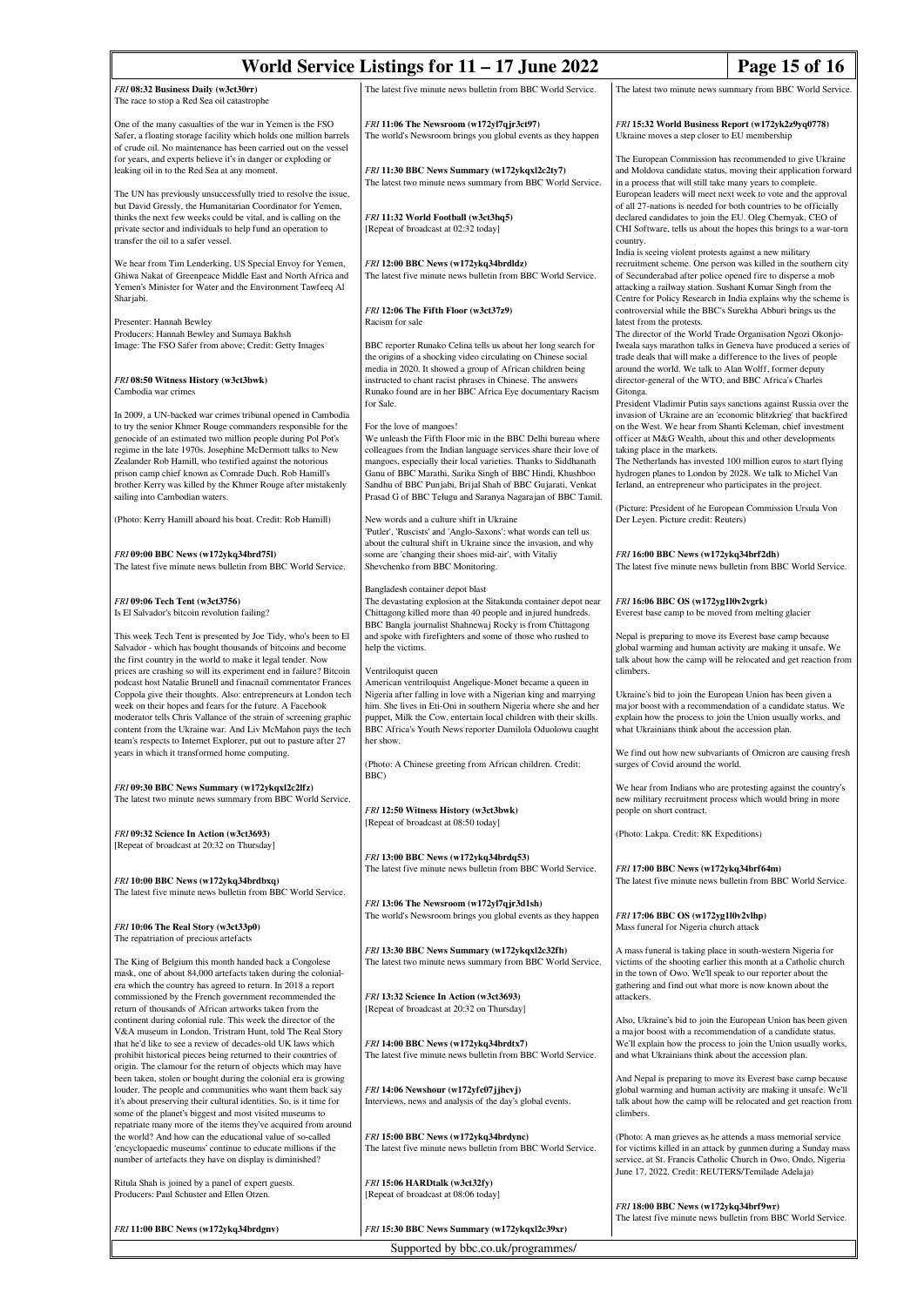| World Service Listings for $11 - 17$ June 2022                                                                                                                                                                                                                                                                                                                                                         |                                                                                                                                                                                                                                                                                                                                               | Page 15 of 16                                                                                                                                                                                                                                                                                                                                                                                                                                         |  |  |  |
|--------------------------------------------------------------------------------------------------------------------------------------------------------------------------------------------------------------------------------------------------------------------------------------------------------------------------------------------------------------------------------------------------------|-----------------------------------------------------------------------------------------------------------------------------------------------------------------------------------------------------------------------------------------------------------------------------------------------------------------------------------------------|-------------------------------------------------------------------------------------------------------------------------------------------------------------------------------------------------------------------------------------------------------------------------------------------------------------------------------------------------------------------------------------------------------------------------------------------------------|--|--|--|
| FRI 08:32 Business Daily (w3ct30rr)<br>The race to stop a Red Sea oil catastrophe                                                                                                                                                                                                                                                                                                                      | The latest five minute news bulletin from BBC World Service.                                                                                                                                                                                                                                                                                  | The latest two minute news summary from BBC World Service.                                                                                                                                                                                                                                                                                                                                                                                            |  |  |  |
| One of the many casualties of the war in Yemen is the FSO<br>Safer, a floating storage facility which holds one million barrels<br>of crude oil. No maintenance has been carried out on the vessel                                                                                                                                                                                                     | FRI 11:06 The Newsroom (w172yl7qjr3ct97)<br>The world's Newsroom brings you global events as they happen                                                                                                                                                                                                                                      | FRI 15:32 World Business Report (w172yk2z9yq0778)<br>Ukraine moves a step closer to EU membership                                                                                                                                                                                                                                                                                                                                                     |  |  |  |
| for years, and experts believe it's in danger or exploding or<br>leaking oil in to the Red Sea at any moment.<br>The UN has previously unsuccessfully tried to resolve the issue,                                                                                                                                                                                                                      | FRI 11:30 BBC News Summary (w172ykqxl2c2ty7)<br>The latest two minute news summary from BBC World Service.                                                                                                                                                                                                                                    | The European Commission has recommended to give Ukraine<br>and Moldova candidate status, moving their application forward<br>in a process that will still take many years to complete.<br>European leaders will meet next week to vote and the approval                                                                                                                                                                                               |  |  |  |
| but David Gressly, the Humanitarian Coordinator for Yemen,<br>thinks the next few weeks could be vital, and is calling on the<br>private sector and individuals to help fund an operation to<br>transfer the oil to a safer vessel.                                                                                                                                                                    | FRI 11:32 World Football (w3ct3hq5)<br>[Repeat of broadcast at 02:32 today]                                                                                                                                                                                                                                                                   | of all 27-nations is needed for both countries to be officially<br>declared candidates to join the EU. Oleg Chernyak, CEO of<br>CHI Software, tells us about the hopes this brings to a war-torn<br>country.<br>India is seeing violent protests against a new military                                                                                                                                                                               |  |  |  |
| We hear from Tim Lenderking, US Special Envoy for Yemen,<br>Ghiwa Nakat of Greenpeace Middle East and North Africa and<br>Yemen's Minister for Water and the Environment Tawfeeq Al<br>Sharjabi.                                                                                                                                                                                                       | FRI 12:00 BBC News (w172ykq34brdldz)<br>The latest five minute news bulletin from BBC World Service.                                                                                                                                                                                                                                          | recruitment scheme. One person was killed in the southern city<br>of Secunderabad after police opened fire to disperse a mob<br>attacking a railway station. Sushant Kumar Singh from the<br>Centre for Policy Research in India explains why the scheme is                                                                                                                                                                                           |  |  |  |
| Presenter: Hannah Bewley                                                                                                                                                                                                                                                                                                                                                                               | FRI 12:06 The Fifth Floor (w3ct37z9)<br>Racism for sale                                                                                                                                                                                                                                                                                       | controversial while the BBC's Surekha Abburi brings us the<br>latest from the protests.                                                                                                                                                                                                                                                                                                                                                               |  |  |  |
| Producers: Hannah Bewley and Sumaya Bakhsh<br>Image: The FSO Safer from above; Credit: Getty Images<br>FRI 08:50 Witness History (w3ct3bwk)                                                                                                                                                                                                                                                            | BBC reporter Runako Celina tells us about her long search for<br>the origins of a shocking video circulating on Chinese social<br>media in 2020. It showed a group of African children being<br>instructed to chant racist phrases in Chinese. The answers                                                                                    | The director of the World Trade Organisation Ngozi Okonjo-<br>Iweala says marathon talks in Geneva have produced a series of<br>trade deals that will make a difference to the lives of people<br>around the world. We talk to Alan Wolff, former deputy                                                                                                                                                                                              |  |  |  |
| Cambodia war crimes                                                                                                                                                                                                                                                                                                                                                                                    | Runako found are in her BBC Africa Eye documentary Racism<br>for Sale.                                                                                                                                                                                                                                                                        | director-general of the WTO, and BBC Africa's Charles<br>Gitonga.<br>President Vladimir Putin says sanctions against Russia over the                                                                                                                                                                                                                                                                                                                  |  |  |  |
| In 2009, a UN-backed war crimes tribunal opened in Cambodia<br>to try the senior Khmer Rouge commanders responsible for the                                                                                                                                                                                                                                                                            | For the love of mangoes!                                                                                                                                                                                                                                                                                                                      | invasion of Ukraine are an 'economic blitzkrieg' that backfired<br>on the West. We hear from Shanti Keleman, chief investment                                                                                                                                                                                                                                                                                                                         |  |  |  |
| genocide of an estimated two million people during Pol Pot's<br>regime in the late 1970s. Josephine McDermott talks to New<br>Zealander Rob Hamill, who testified against the notorious<br>prison camp chief known as Comrade Duch. Rob Hamill's<br>brother Kerry was killed by the Khmer Rouge after mistakenly                                                                                       | We unleash the Fifth Floor mic in the BBC Delhi bureau where<br>colleagues from the Indian language services share their love of<br>mangoes, especially their local varieties. Thanks to Siddhanath<br>Ganu of BBC Marathi, Sarika Singh of BBC Hindi, Khushboo<br>Sandhu of BBC Punjabi, Brijal Shah of BBC Gujarati, Venkat                 | officer at M&G Wealth, about this and other developments<br>taking place in the markets.<br>The Netherlands has invested 100 million euros to start flying<br>hydrogen planes to London by 2028. We talk to Michel Van<br>Ierland, an entrepreneur who participates in the project.                                                                                                                                                                   |  |  |  |
| sailing into Cambodian waters.<br>(Photo: Kerry Hamill aboard his boat. Credit: Rob Hamill)                                                                                                                                                                                                                                                                                                            | Prasad G of BBC Telugu and Saranya Nagarajan of BBC Tamil.<br>New words and a culture shift in Ukraine<br>'Putler', 'Ruscists' and 'Anglo-Saxons': what words can tell us                                                                                                                                                                     | (Picture: President of he European Commission Ursula Von<br>Der Leyen. Picture credit: Reuters)                                                                                                                                                                                                                                                                                                                                                       |  |  |  |
| FRI 09:00 BBC News (w172ykq34brd751)<br>The latest five minute news bulletin from BBC World Service.                                                                                                                                                                                                                                                                                                   | about the cultural shift in Ukraine since the invasion, and why<br>some are 'changing their shoes mid-air', with Vitaliy<br>Shevchenko from BBC Monitoring.                                                                                                                                                                                   | FRI 16:00 BBC News (w172ykq34brf2dh)<br>The latest five minute news bulletin from BBC World Service.                                                                                                                                                                                                                                                                                                                                                  |  |  |  |
| FRI 09:06 Tech Tent (w3ct3756)<br>Is El Salvador's bitcoin revolution failing?                                                                                                                                                                                                                                                                                                                         | Bangladesh container depot blast<br>The devastating explosion at the Sitakunda container depot near<br>Chittagong killed more than 40 people and injured hundreds.<br>BBC Bangla journalist Shahnewaj Rocky is from Chittagong                                                                                                                | FRI 16:06 BBC OS (w172yg1l0v2vgrk)<br>Everest base camp to be moved from melting glacier                                                                                                                                                                                                                                                                                                                                                              |  |  |  |
| This week Tech Tent is presented by Joe Tidy, who's been to El<br>Salvador - which has bought thousands of bitcoins and become<br>the first country in the world to make it legal tender. Now<br>prices are crashing so will its experiment end in failure? Bitcoin                                                                                                                                    | and spoke with firefighters and some of those who rushed to<br>help the victims.<br>Ventriloquist queen                                                                                                                                                                                                                                       | Nepal is preparing to move its Everest base camp because<br>global warming and human activity are making it unsafe. We<br>talk about how the camp will be relocated and get reaction from<br>climbers.<br>Ukraine's bid to join the European Union has been given a<br>major boost with a recommendation of a candidate status. We<br>explain how the process to join the Union usually works, and<br>what Ukrainians think about the accession plan. |  |  |  |
| podcast host Natalie Brunell and finacnail commentator Frances<br>Coppola give their thoughts. Also: entrepreneurs at London tech<br>week on their hopes and fears for the future. A Facebook<br>moderator tells Chris Vallance of the strain of screening graphic<br>content from the Ukraine war. And Liv McMahon pays the tech<br>team's respects to Internet Explorer, put out to pasture after 27 | American ventriloquist Angelique-Monet became a queen in<br>Nigeria after falling in love with a Nigerian king and marrying<br>him. She lives in Eti-Oni in southern Nigeria where she and her<br>puppet, Milk the Cow, entertain local children with their skills.<br>BBC Africa's Youth News reporter Damilola Oduolowu caught<br>her show. |                                                                                                                                                                                                                                                                                                                                                                                                                                                       |  |  |  |
| years in which it transformed home computing.                                                                                                                                                                                                                                                                                                                                                          | (Photo: A Chinese greeting from African children. Credit:<br>BBC)                                                                                                                                                                                                                                                                             | We find out how new subvariants of Omicron are causing fresh<br>surges of Covid around the world.                                                                                                                                                                                                                                                                                                                                                     |  |  |  |
| FRI 09:30 BBC News Summary (w172ykqxl2c2lfz)<br>The latest two minute news summary from BBC World Service.                                                                                                                                                                                                                                                                                             | FRI 12:50 Witness History (w3ct3bwk)<br>[Repeat of broadcast at 08:50 today]                                                                                                                                                                                                                                                                  | We hear from Indians who are protesting against the country's<br>new military recruitment process which would bring in more<br>people on short contract.                                                                                                                                                                                                                                                                                              |  |  |  |
| FRI 09:32 Science In Action (w3ct3693)<br>[Repeat of broadcast at 20:32 on Thursday]                                                                                                                                                                                                                                                                                                                   |                                                                                                                                                                                                                                                                                                                                               | (Photo: Lakpa. Credit: 8K Expeditions)                                                                                                                                                                                                                                                                                                                                                                                                                |  |  |  |
| FRI 10:00 BBC News (w172ykq34brdbxq)                                                                                                                                                                                                                                                                                                                                                                   | FRI 13:00 BBC News (w172ykq34brdq53)<br>The latest five minute news bulletin from BBC World Service.                                                                                                                                                                                                                                          | FRI 17:00 BBC News (w172ykq34brf64m)<br>The latest five minute news bulletin from BBC World Service.                                                                                                                                                                                                                                                                                                                                                  |  |  |  |
| The latest five minute news bulletin from BBC World Service.                                                                                                                                                                                                                                                                                                                                           | FRI 13:06 The Newsroom (w172yl7qjr3d1sh)<br>The world's Newsroom brings you global events as they happen                                                                                                                                                                                                                                      | FRI 17:06 BBC OS (w172yg1l0v2vlhp)                                                                                                                                                                                                                                                                                                                                                                                                                    |  |  |  |
| FRI 10:06 The Real Story (w3ct33p0)<br>The repatriation of precious artefacts                                                                                                                                                                                                                                                                                                                          |                                                                                                                                                                                                                                                                                                                                               | Mass funeral for Nigeria church attack                                                                                                                                                                                                                                                                                                                                                                                                                |  |  |  |
| The King of Belgium this month handed back a Congolese<br>mask, one of about 84,000 artefacts taken during the colonial-<br>era which the country has agreed to return. In 2018 a report                                                                                                                                                                                                               | FRI 13:30 BBC News Summary (w172ykqxl2c32fh)<br>The latest two minute news summary from BBC World Service.                                                                                                                                                                                                                                    | A mass funeral is taking place in south-western Nigeria for<br>victims of the shooting earlier this month at a Catholic church<br>in the town of Owo. We'll speak to our reporter about the<br>gathering and find out what more is now known about the                                                                                                                                                                                                |  |  |  |
| commissioned by the French government recommended the<br>return of thousands of African artworks taken from the<br>continent during colonial rule. This week the director of the<br>V&A museum in London, Tristram Hunt, told The Real Story                                                                                                                                                           | FRI 13:32 Science In Action (w3ct3693)<br>[Repeat of broadcast at 20:32 on Thursday]                                                                                                                                                                                                                                                          | attackers.<br>Also, Ukraine's bid to join the European Union has been given<br>a major boost with a recommendation of a candidate status.                                                                                                                                                                                                                                                                                                             |  |  |  |
| that he'd like to see a review of decades-old UK laws which<br>prohibit historical pieces being returned to their countries of                                                                                                                                                                                                                                                                         | FRI 14:00 BBC News (w172ykq34brdtx7)<br>The latest five minute news bulletin from BBC World Service.                                                                                                                                                                                                                                          | We'll explain how the process to join the Union usually works,<br>and what Ukrainians think about the accession plan.                                                                                                                                                                                                                                                                                                                                 |  |  |  |
| origin. The clamour for the return of objects which may have<br>been taken, stolen or bought during the colonial era is growing<br>louder. The people and communities who want them back say<br>it's about preserving their cultural identities. So, is it time for<br>some of the planet's biggest and most visited museums to<br>repatriate many more of the items they've acquired from around      | FRI 14:06 Newshour (w172yfc07jjhcvj)<br>Interviews, news and analysis of the day's global events.                                                                                                                                                                                                                                             | And Nepal is preparing to move its Everest base camp because<br>global warming and human activity are making it unsafe. We'll<br>talk about how the camp will be relocated and get reaction from<br>climbers.                                                                                                                                                                                                                                         |  |  |  |
| the world? And how can the educational value of so-called<br>'encyclopaedic museums' continue to educate millions if the<br>number of artefacts they have on display is diminished?                                                                                                                                                                                                                    | FRI 15:00 BBC News (w172ykq34brdync)<br>The latest five minute news bulletin from BBC World Service.                                                                                                                                                                                                                                          | (Photo: A man grieves as he attends a mass memorial service<br>for victims killed in an attack by gunmen during a Sunday mass<br>service, at St. Francis Catholic Church in Owo, Ondo, Nigeria                                                                                                                                                                                                                                                        |  |  |  |
| Ritula Shah is joined by a panel of expert guests.<br>Producers: Paul Schuster and Ellen Otzen.                                                                                                                                                                                                                                                                                                        | FRI 15:06 HARDtalk (w3ct32fy)<br>[Repeat of broadcast at 08:06 today]                                                                                                                                                                                                                                                                         | June 17, 2022. Credit: REUTERS/Temilade Adelaja)<br>FRI 18:00 BBC News (w172ykq34brf9wr)                                                                                                                                                                                                                                                                                                                                                              |  |  |  |
| FRI 11:00 BBC News (w172ykq34brdgnv)                                                                                                                                                                                                                                                                                                                                                                   | FRI 15:30 BBC News Summary (w172ykqxl2c39xr)                                                                                                                                                                                                                                                                                                  | The latest five minute news bulletin from BBC World Service.                                                                                                                                                                                                                                                                                                                                                                                          |  |  |  |
| Supported by bbc.co.uk/programmes/                                                                                                                                                                                                                                                                                                                                                                     |                                                                                                                                                                                                                                                                                                                                               |                                                                                                                                                                                                                                                                                                                                                                                                                                                       |  |  |  |